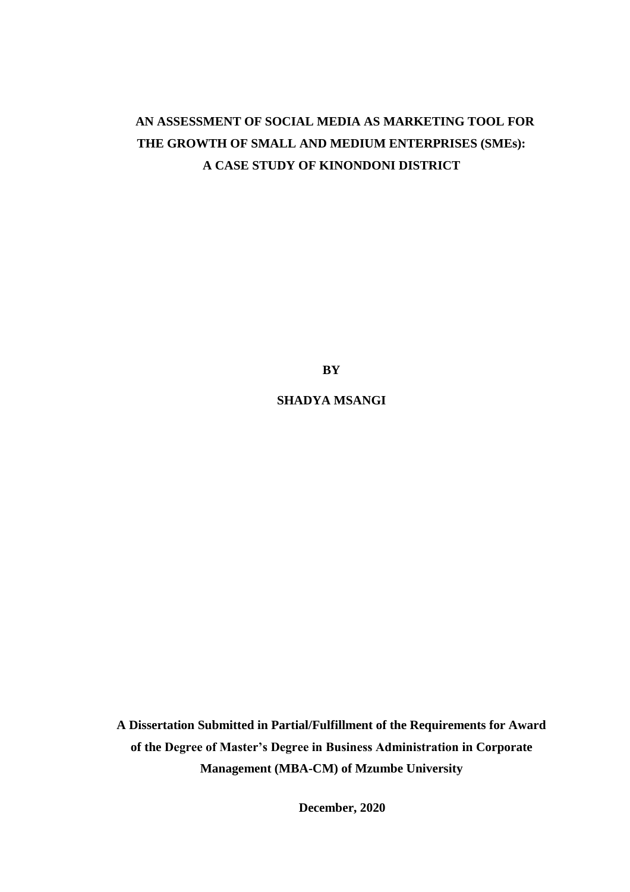# +**AN ASSESSMENT OF SOCIAL MEDIA AS MARKETING TOOL FOR THE GROWTH OF SMALL AND MEDIUM ENTERPRISES (SMEs): A CASE STUDY OF KINONDONI DISTRICT**

**BY**

**SHADYA MSANGI**

**A Dissertation Submitted in Partial/Fulfillment of the Requirements for Award of the Degree of Master's Degree in Business Administration in Corporate Management (MBA-CM) of Mzumbe University**

i **December, 2020**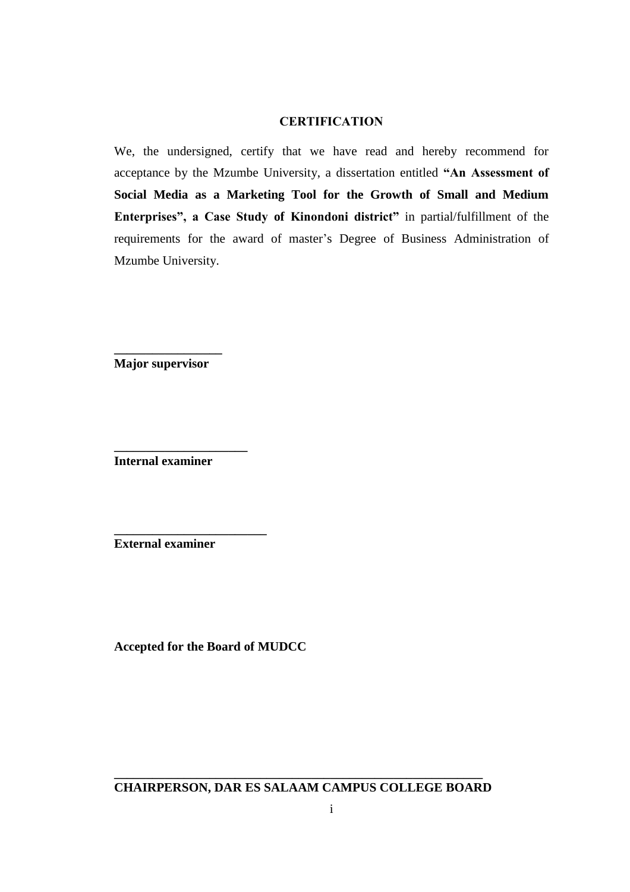# **CERTIFICATION**

We, the undersigned, certify that we have read and hereby recommend for acceptance by the Mzumbe University, a dissertation entitled **"An Assessment of Social Media as a Marketing Tool for the Growth of Small and Medium Enterprises", a Case Study of Kinondoni district"** in partial/fulfillment of the requirements for the award of master's Degree of Business Administration of Mzumbe University.

**\_\_\_\_\_\_\_\_\_\_\_\_\_\_\_\_\_ Major supervisor**

**Internal examiner** 

**\_\_\_\_\_\_\_\_\_\_\_\_\_\_\_\_\_\_\_\_\_**

**\_\_\_\_\_\_\_\_\_\_\_\_\_\_\_\_\_\_\_\_\_\_\_\_**

**External examiner** 

**Accepted for the Board of MUDCC**

**\_\_\_\_\_\_\_\_\_\_\_\_\_\_\_\_\_\_\_\_\_\_\_\_\_\_\_\_\_\_\_\_\_\_\_\_\_\_\_\_\_\_\_\_\_\_\_\_\_\_\_\_\_\_\_\_\_\_ CHAIRPERSON, DAR ES SALAAM CAMPUS COLLEGE BOARD**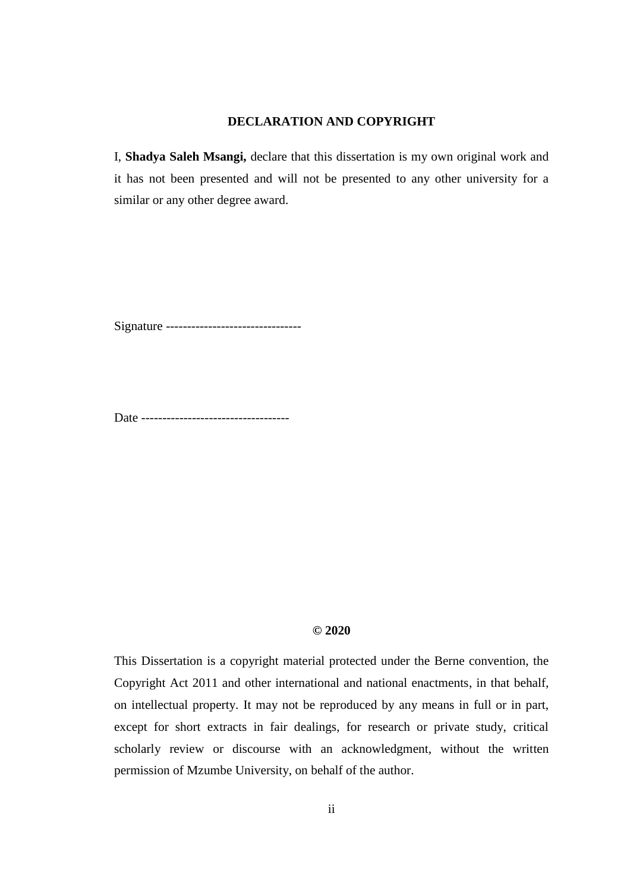## **DECLARATION AND COPYRIGHT**

I, **Shadya Saleh Msangi,** declare that this dissertation is my own original work and it has not been presented and will not be presented to any other university for a similar or any other degree award.

Signature ----------------------------------

Date -----------------------------------

### **© 2020**

This Dissertation is a copyright material protected under the Berne convention, the Copyright Act 2011 and other international and national enactments, in that behalf, on intellectual property. It may not be reproduced by any means in full or in part, except for short extracts in fair dealings, for research or private study, critical scholarly review or discourse with an acknowledgment, without the written permission of Mzumbe University, on behalf of the author.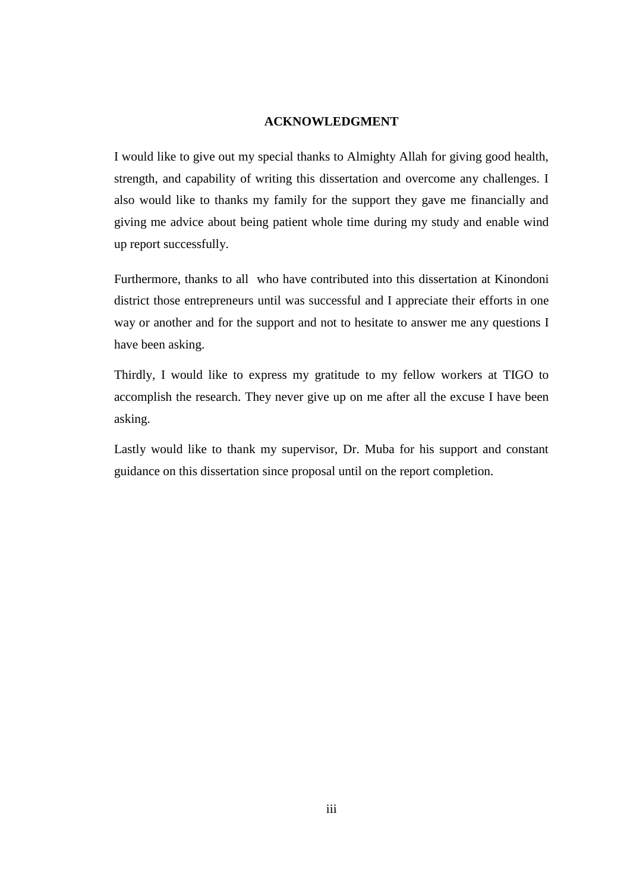### **ACKNOWLEDGMENT**

I would like to give out my special thanks to Almighty Allah for giving good health, strength, and capability of writing this dissertation and overcome any challenges. I also would like to thanks my family for the support they gave me financially and giving me advice about being patient whole time during my study and enable wind up report successfully.

Furthermore, thanks to all who have contributed into this dissertation at Kinondoni district those entrepreneurs until was successful and I appreciate their efforts in one way or another and for the support and not to hesitate to answer me any questions I have been asking.

Thirdly, I would like to express my gratitude to my fellow workers at TIGO to accomplish the research. They never give up on me after all the excuse I have been asking.

Lastly would like to thank my supervisor, Dr. Muba for his support and constant guidance on this dissertation since proposal until on the report completion.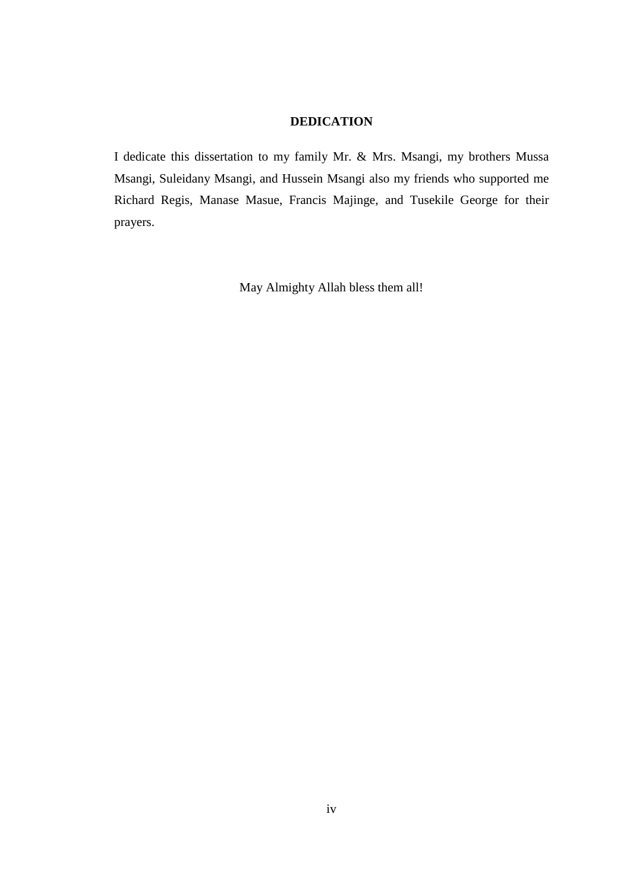# **DEDICATION**

I dedicate this dissertation to my family Mr. & Mrs. Msangi, my brothers Mussa Msangi, Suleidany Msangi, and Hussein Msangi also my friends who supported me Richard Regis, Manase Masue, Francis Majinge, and Tusekile George for their prayers.

May Almighty Allah bless them all!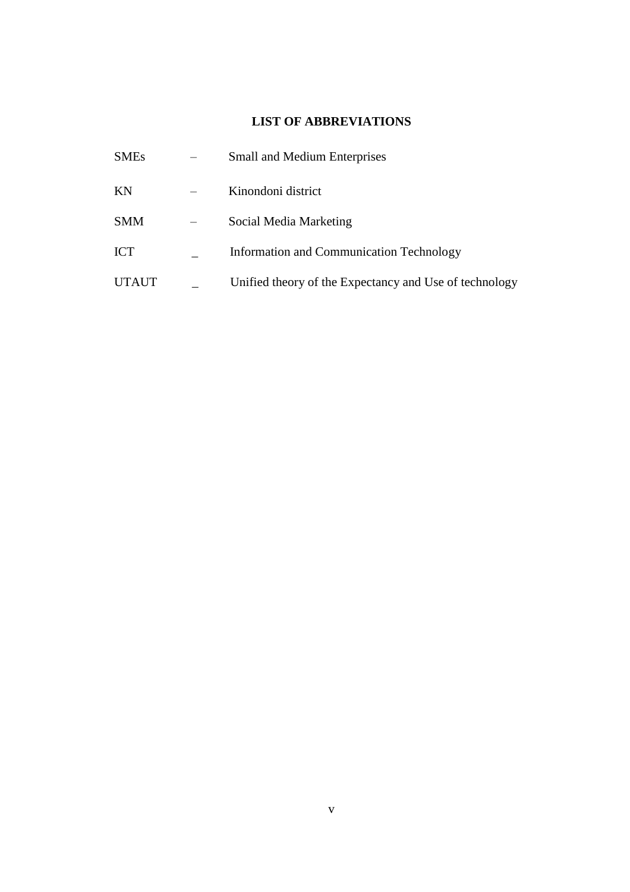# **LIST OF ABBREVIATIONS**

| <b>SMEs</b>  | <b>Small and Medium Enterprises</b>                    |
|--------------|--------------------------------------------------------|
| KN           | Kinondoni district                                     |
| <b>SMM</b>   | Social Media Marketing                                 |
| <b>ICT</b>   | Information and Communication Technology               |
| <b>UTAUT</b> | Unified theory of the Expectancy and Use of technology |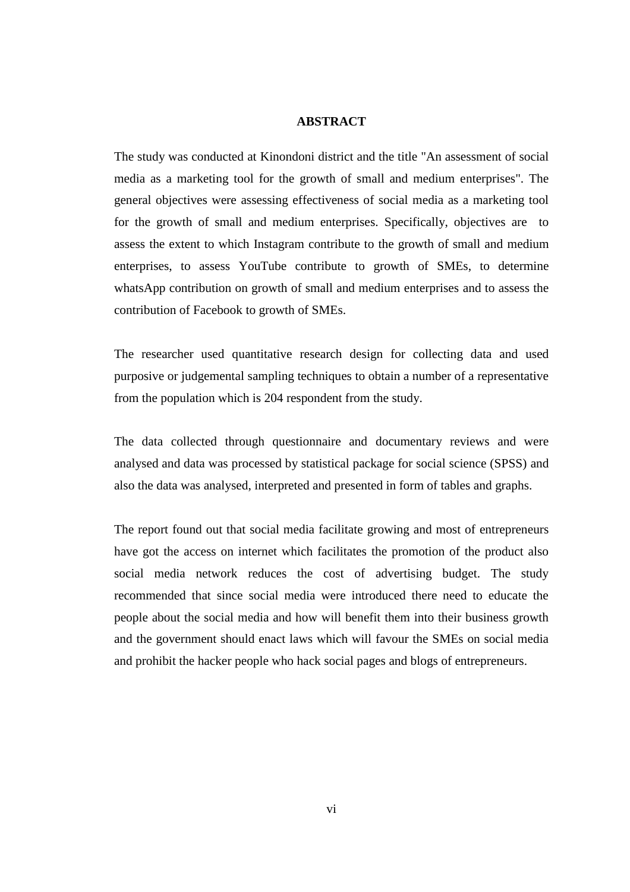#### **ABSTRACT**

The study was conducted at Kinondoni district and the title "An assessment of social media as a marketing tool for the growth of small and medium enterprises". The general objectives were assessing effectiveness of social media as a marketing tool for the growth of small and medium enterprises. Specifically, objectives are to assess the extent to which Instagram contribute to the growth of small and medium enterprises, to assess YouTube contribute to growth of SMEs, to determine whatsApp contribution on growth of small and medium enterprises and to assess the contribution of Facebook to growth of SMEs.

The researcher used quantitative research design for collecting data and used purposive or judgemental sampling techniques to obtain a number of a representative from the population which is 204 respondent from the study.

The data collected through questionnaire and documentary reviews and were analysed and data was processed by statistical package for social science (SPSS) and also the data was analysed, interpreted and presented in form of tables and graphs.

The report found out that social media facilitate growing and most of entrepreneurs have got the access on internet which facilitates the promotion of the product also social media network reduces the cost of advertising budget. The study recommended that since social media were introduced there need to educate the people about the social media and how will benefit them into their business growth and the government should enact laws which will favour the SMEs on social media and prohibit the hacker people who hack social pages and blogs of entrepreneurs.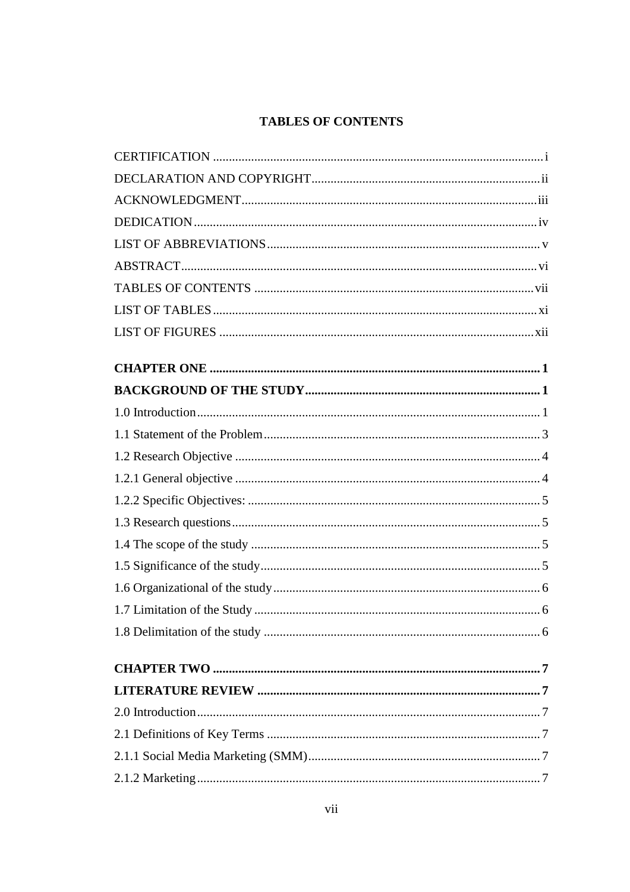# **TABLES OF CONTENTS**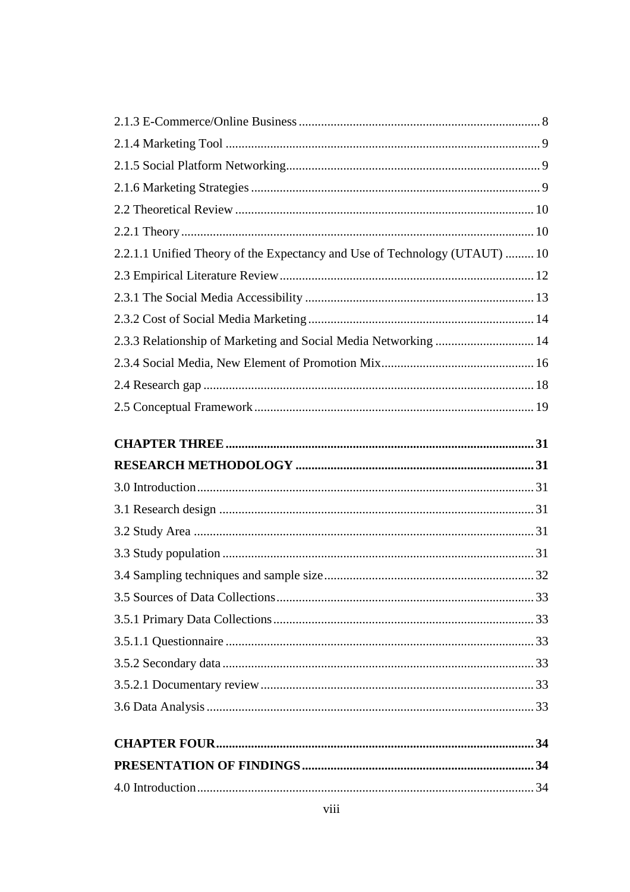| 2.2.1.1 Unified Theory of the Expectancy and Use of Technology (UTAUT)  10 |  |
|----------------------------------------------------------------------------|--|
|                                                                            |  |
|                                                                            |  |
|                                                                            |  |
| 2.3.3 Relationship of Marketing and Social Media Networking  14            |  |
|                                                                            |  |
|                                                                            |  |
|                                                                            |  |
|                                                                            |  |
|                                                                            |  |
|                                                                            |  |
|                                                                            |  |
|                                                                            |  |
|                                                                            |  |
|                                                                            |  |
|                                                                            |  |
|                                                                            |  |
|                                                                            |  |
|                                                                            |  |
|                                                                            |  |
|                                                                            |  |
|                                                                            |  |
|                                                                            |  |
|                                                                            |  |
|                                                                            |  |
|                                                                            |  |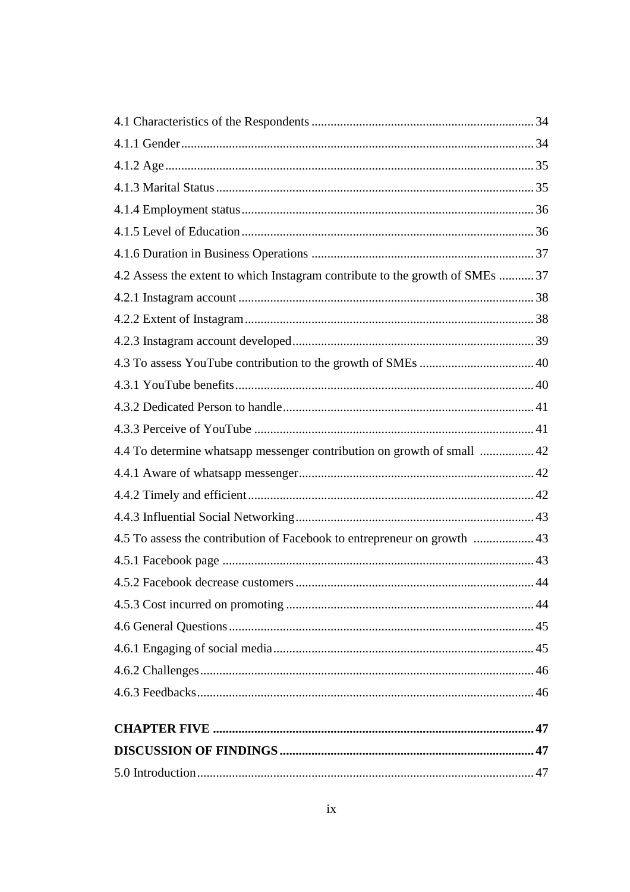| 4.2 Assess the extent to which Instagram contribute to the growth of SMEs 37 |  |
|------------------------------------------------------------------------------|--|
|                                                                              |  |
|                                                                              |  |
|                                                                              |  |
|                                                                              |  |
|                                                                              |  |
|                                                                              |  |
|                                                                              |  |
| 4.4 To determine whatsapp messenger contribution on growth of small  42      |  |
|                                                                              |  |
|                                                                              |  |
|                                                                              |  |
| 4.5 To assess the contribution of Facebook to entrepreneur on growth  43     |  |
|                                                                              |  |
|                                                                              |  |
|                                                                              |  |
|                                                                              |  |
|                                                                              |  |
|                                                                              |  |
|                                                                              |  |
|                                                                              |  |
|                                                                              |  |
|                                                                              |  |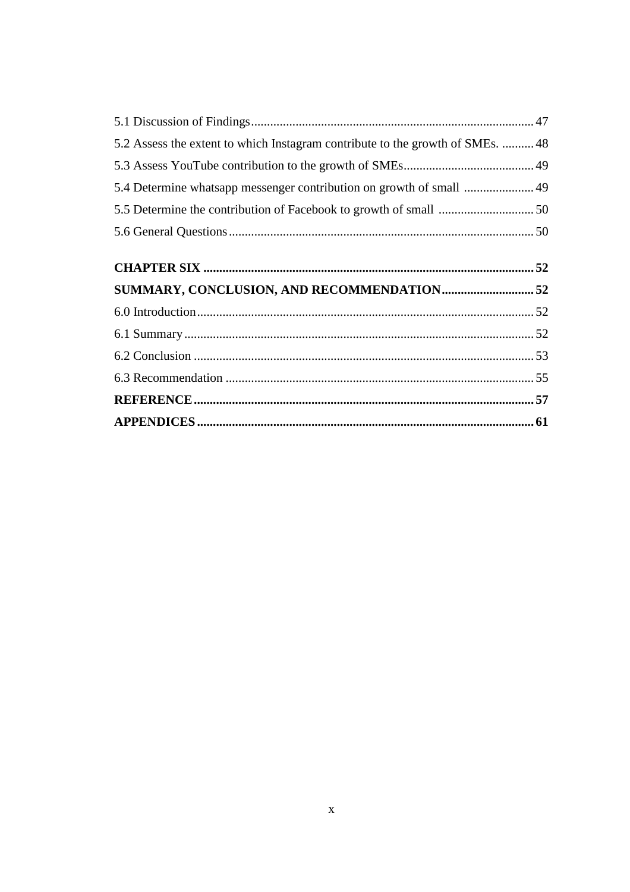| 5.2 Assess the extent to which Instagram contribute to the growth of SMEs.  48 |  |
|--------------------------------------------------------------------------------|--|
|                                                                                |  |
| 5.4 Determine whatsapp messenger contribution on growth of small  49           |  |
|                                                                                |  |
|                                                                                |  |
|                                                                                |  |
|                                                                                |  |
|                                                                                |  |
|                                                                                |  |
|                                                                                |  |
|                                                                                |  |
|                                                                                |  |
|                                                                                |  |
|                                                                                |  |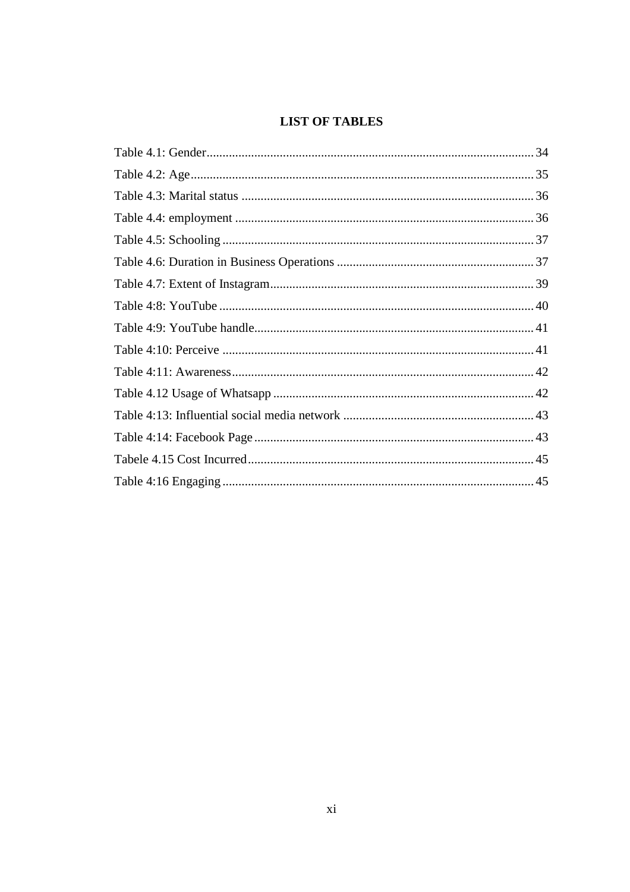# **LIST OF TABLES**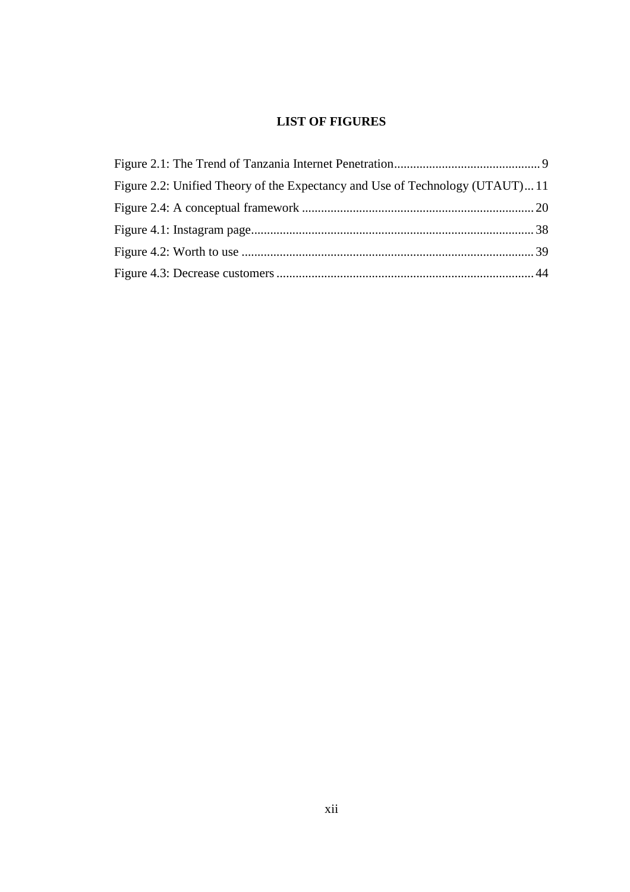# **LIST OF FIGURES**

| Figure 2.2: Unified Theory of the Expectancy and Use of Technology (UTAUT)11 |  |
|------------------------------------------------------------------------------|--|
|                                                                              |  |
|                                                                              |  |
|                                                                              |  |
|                                                                              |  |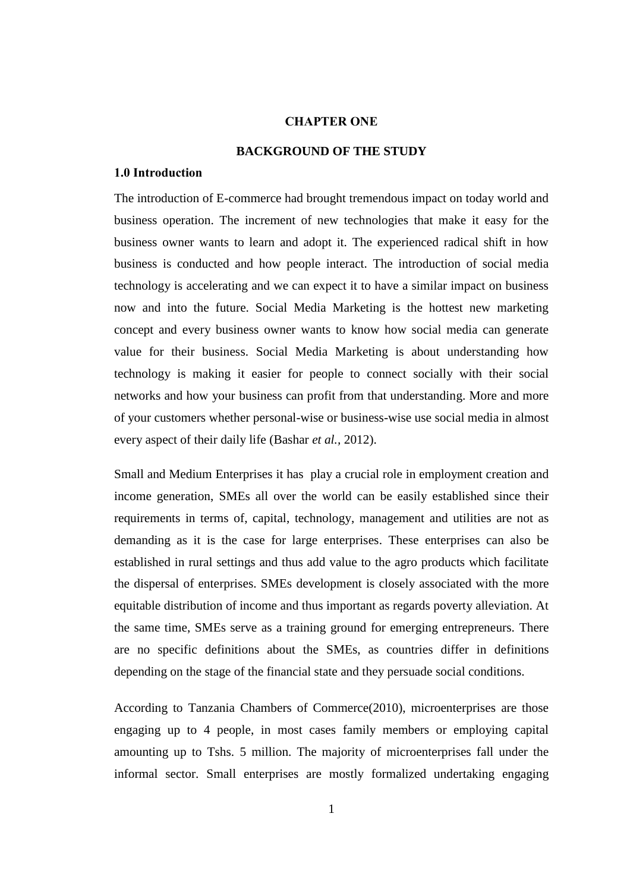# **CHAPTER ONE**

### **BACKGROUND OF THE STUDY**

#### **1.0 Introduction**

The introduction of E-commerce had brought tremendous impact on today world and business operation. The increment of new technologies that make it easy for the business owner wants to learn and adopt it. The experienced radical shift in how business is conducted and how people interact. The introduction of social media technology is accelerating and we can expect it to have a similar impact on business now and into the future. Social Media Marketing is the hottest new marketing concept and every business owner wants to know how social media can generate value for their business. Social Media Marketing is about understanding how technology is making it easier for people to connect socially with their social networks and how your business can profit from that understanding. More and more of your customers whether personal-wise or business-wise use social media in almost every aspect of their daily life (Bashar *et al.,* 2012).

Small and Medium Enterprises it has play a crucial role in employment creation and income generation, SMEs all over the world can be easily established since their requirements in terms of, capital, technology, management and utilities are not as demanding as it is the case for large enterprises. These enterprises can also be established in rural settings and thus add value to the agro products which facilitate the dispersal of enterprises. SMEs development is closely associated with the more equitable distribution of income and thus important as regards poverty alleviation. At the same time, SMEs serve as a training ground for emerging entrepreneurs. There are no specific definitions about the SMEs, as countries differ in definitions depending on the stage of the financial state and they persuade social conditions.

According to Tanzania Chambers of Commerce(2010), microenterprises are those engaging up to 4 people, in most cases family members or employing capital amounting up to Tshs. 5 million. The majority of microenterprises fall under the informal sector. Small enterprises are mostly formalized undertaking engaging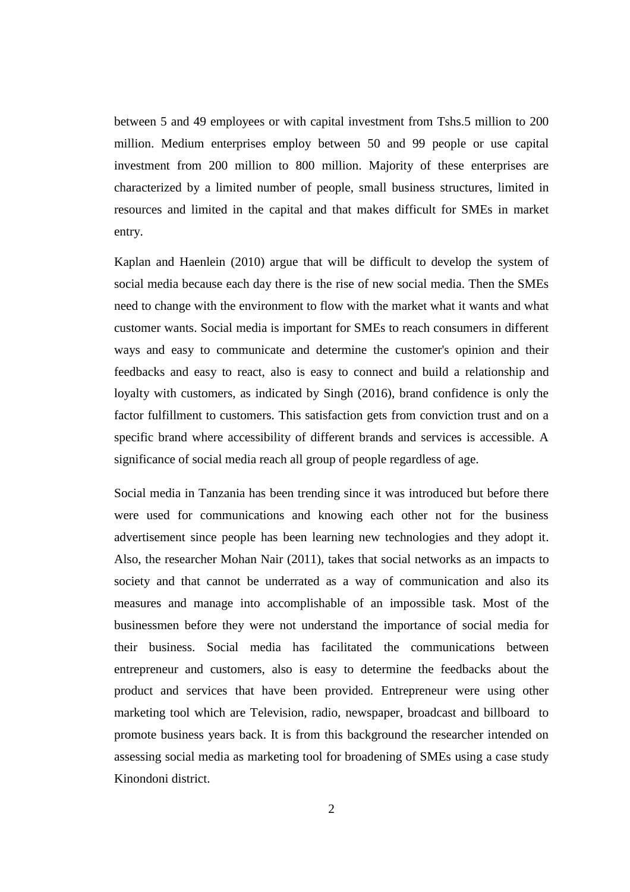between 5 and 49 employees or with capital investment from Tshs.5 million to 200 million. Medium enterprises employ between 50 and 99 people or use capital investment from 200 million to 800 million. Majority of these enterprises are characterized by a limited number of people, small business structures, limited in resources and limited in the capital and that makes difficult for SMEs in market entry.

Kaplan and Haenlein (2010) argue that will be difficult to develop the system of social media because each day there is the rise of new social media. Then the SMEs need to change with the environment to flow with the market what it wants and what customer wants. Social media is important for SMEs to reach consumers in different ways and easy to communicate and determine the customer's opinion and their feedbacks and easy to react, also is easy to connect and build a relationship and loyalty with customers, as indicated by Singh (2016), brand confidence is only the factor fulfillment to customers. This satisfaction gets from conviction trust and on a specific brand where accessibility of different brands and services is accessible. A significance of social media reach all group of people regardless of age.

Social media in Tanzania has been trending since it was introduced but before there were used for communications and knowing each other not for the business advertisement since people has been learning new technologies and they adopt it. Also, the researcher Mohan Nair (2011), takes that social networks as an impacts to society and that cannot be underrated as a way of communication and also its measures and manage into accomplishable of an impossible task. Most of the businessmen before they were not understand the importance of social media for their business. Social media has facilitated the communications between entrepreneur and customers, also is easy to determine the feedbacks about the product and services that have been provided. Entrepreneur were using other marketing tool which are Television, radio, newspaper, broadcast and billboard to promote business years back. It is from this background the researcher intended on assessing social media as marketing tool for broadening of SMEs using a case study Kinondoni district.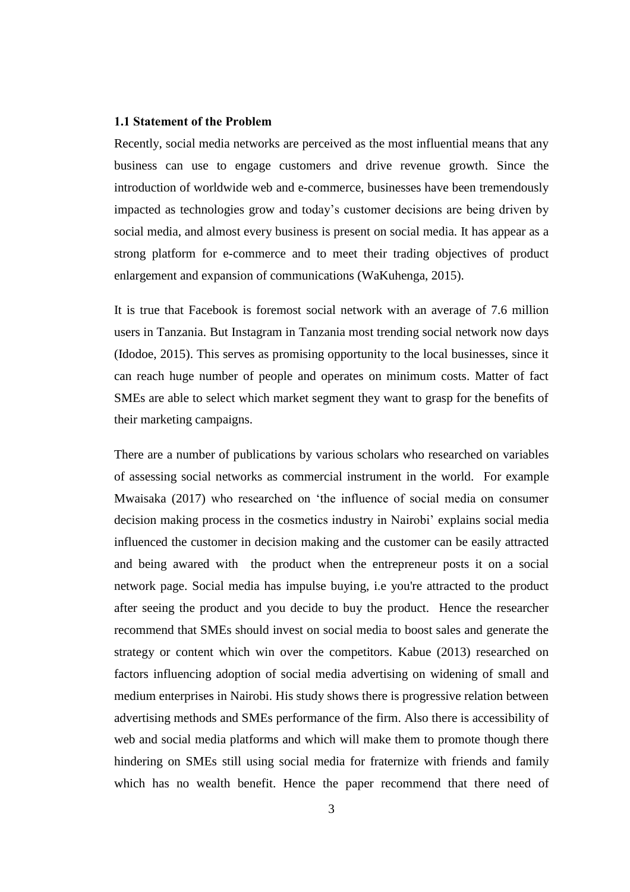#### **1.1 Statement of the Problem**

Recently, social media networks are perceived as the most influential means that any business can use to engage customers and drive revenue growth. Since the introduction of worldwide web and e-commerce, businesses have been tremendously impacted as technologies grow and today's customer decisions are being driven by social media, and almost every business is present on social media. It has appear as a strong platform for e-commerce and to meet their trading objectives of product enlargement and expansion of communications (WaKuhenga, 2015).

It is true that Facebook is foremost social network with an average of 7.6 million users in Tanzania. But Instagram in Tanzania most trending social network now days (Idodoe, 2015). This serves as promising opportunity to the local businesses, since it can reach huge number of people and operates on minimum costs. Matter of fact SMEs are able to select which market segment they want to grasp for the benefits of their marketing campaigns.

There are a number of publications by various scholars who researched on variables of assessing social networks as commercial instrument in the world. For example Mwaisaka (2017) who researched on 'the influence of social media on consumer decision making process in the cosmetics industry in Nairobi' explains social media influenced the customer in decision making and the customer can be easily attracted and being awared with the product when the entrepreneur posts it on a social network page. Social media has impulse buying, i.e you're attracted to the product after seeing the product and you decide to buy the product. Hence the researcher recommend that SMEs should invest on social media to boost sales and generate the strategy or content which win over the competitors. Kabue (2013) researched on factors influencing adoption of social media advertising on widening of small and medium enterprises in Nairobi. His study shows there is progressive relation between advertising methods and SMEs performance of the firm. Also there is accessibility of web and social media platforms and which will make them to promote though there hindering on SMEs still using social media for fraternize with friends and family which has no wealth benefit. Hence the paper recommend that there need of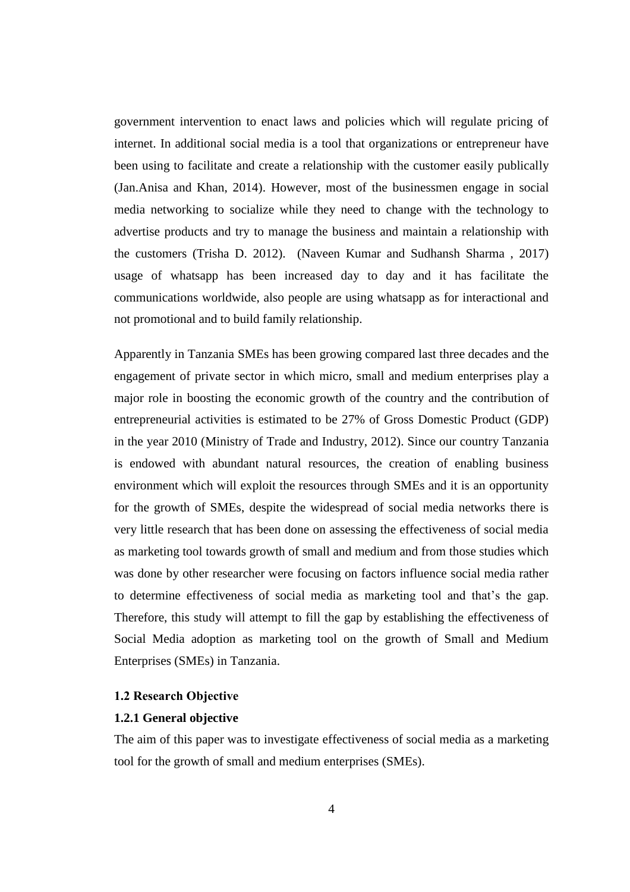government intervention to enact laws and policies which will regulate pricing of internet. In additional social media is a tool that organizations or entrepreneur have been using to facilitate and create a relationship with the customer easily publically (Jan.Anisa and Khan, 2014). However, most of the businessmen engage in social media networking to socialize while they need to change with the technology to advertise products and try to manage the business and maintain a relationship with the customers (Trisha D. 2012). (Naveen Kumar and Sudhansh Sharma , 2017) usage of whatsapp has been increased day to day and it has facilitate the communications worldwide, also people are using whatsapp as for interactional and not promotional and to build family relationship.

Apparently in Tanzania SMEs has been growing compared last three decades and the engagement of private sector in which micro, small and medium enterprises play a major role in boosting the economic growth of the country and the contribution of entrepreneurial activities is estimated to be 27% of Gross Domestic Product (GDP) in the year 2010 (Ministry of Trade and Industry, 2012). Since our country Tanzania is endowed with abundant natural resources, the creation of enabling business environment which will exploit the resources through SMEs and it is an opportunity for the growth of SMEs, despite the widespread of social media networks there is very little research that has been done on assessing the effectiveness of social media as marketing tool towards growth of small and medium and from those studies which was done by other researcher were focusing on factors influence social media rather to determine effectiveness of social media as marketing tool and that's the gap. Therefore, this study will attempt to fill the gap by establishing the effectiveness of Social Media adoption as marketing tool on the growth of Small and Medium Enterprises (SMEs) in Tanzania.

#### **1.2 Research Objective**

#### **1.2.1 General objective**

The aim of this paper was to investigate effectiveness of social media as a marketing tool for the growth of small and medium enterprises (SMEs).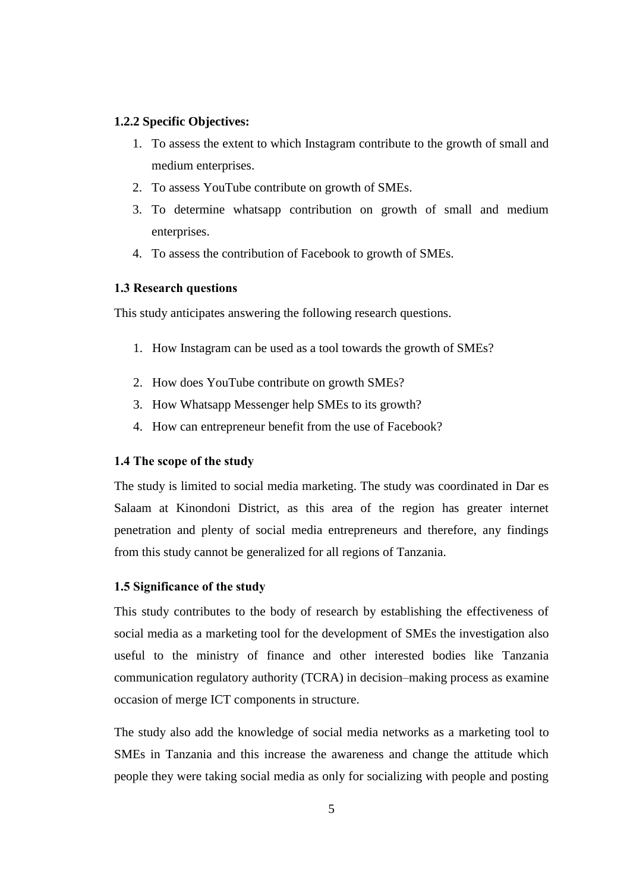### **1.2.2 Specific Objectives:**

- 1. To assess the extent to which Instagram contribute to the growth of small and medium enterprises.
- 2. To assess YouTube contribute on growth of SMEs.
- 3. To determine whatsapp contribution on growth of small and medium enterprises.
- 4. To assess the contribution of Facebook to growth of SMEs.

#### **1.3 Research questions**

This study anticipates answering the following research questions.

- 1. How Instagram can be used as a tool towards the growth of SMEs?
- 2. How does YouTube contribute on growth SMEs?
- 3. How Whatsapp Messenger help SMEs to its growth?
- 4. How can entrepreneur benefit from the use of Facebook?

#### **1.4 The scope of the study**

The study is limited to social media marketing. The study was coordinated in Dar es Salaam at Kinondoni District, as this area of the region has greater internet penetration and plenty of social media entrepreneurs and therefore, any findings from this study cannot be generalized for all regions of Tanzania.

#### **1.5 Significance of the study**

This study contributes to the body of research by establishing the effectiveness of social media as a marketing tool for the development of SMEs the investigation also useful to the ministry of finance and other interested bodies like Tanzania communication regulatory authority (TCRA) in decision–making process as examine occasion of merge ICT components in structure.

The study also add the knowledge of social media networks as a marketing tool to SMEs in Tanzania and this increase the awareness and change the attitude which people they were taking social media as only for socializing with people and posting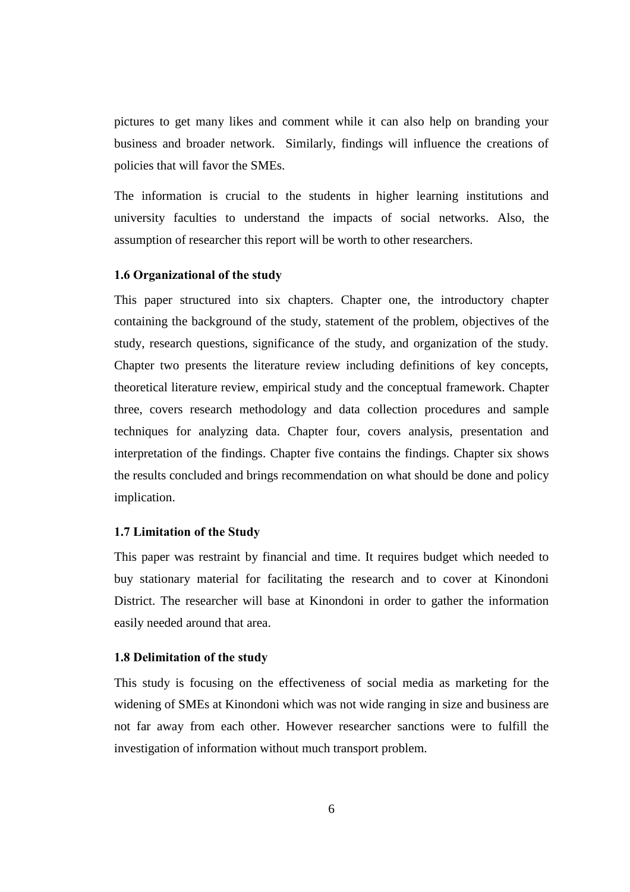pictures to get many likes and comment while it can also help on branding your business and broader network. Similarly, findings will influence the creations of policies that will favor the SMEs.

The information is crucial to the students in higher learning institutions and university faculties to understand the impacts of social networks. Also, the assumption of researcher this report will be worth to other researchers.

#### **1.6 Organizational of the study**

This paper structured into six chapters. Chapter one, the introductory chapter containing the background of the study, statement of the problem, objectives of the study, research questions, significance of the study, and organization of the study. Chapter two presents the literature review including definitions of key concepts, theoretical literature review, empirical study and the conceptual framework. Chapter three, covers research methodology and data collection procedures and sample techniques for analyzing data. Chapter four, covers analysis, presentation and interpretation of the findings. Chapter five contains the findings. Chapter six shows the results concluded and brings recommendation on what should be done and policy implication.

#### **1.7 Limitation of the Study**

This paper was restraint by financial and time. It requires budget which needed to buy stationary material for facilitating the research and to cover at Kinondoni District. The researcher will base at Kinondoni in order to gather the information easily needed around that area.

### **1.8 Delimitation of the study**

This study is focusing on the effectiveness of social media as marketing for the widening of SMEs at Kinondoni which was not wide ranging in size and business are not far away from each other. However researcher sanctions were to fulfill the investigation of information without much transport problem.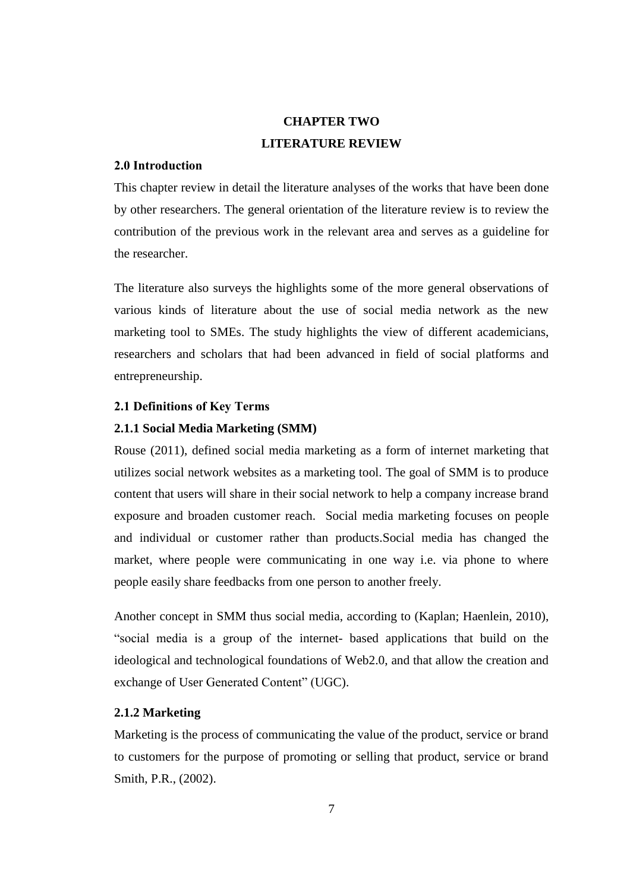# **CHAPTER TWO LITERATURE REVIEW**

### **2.0 Introduction**

This chapter review in detail the literature analyses of the works that have been done by other researchers. The general orientation of the literature review is to review the contribution of the previous work in the relevant area and serves as a guideline for the researcher.

The literature also surveys the highlights some of the more general observations of various kinds of literature about the use of social media network as the new marketing tool to SMEs. The study highlights the view of different academicians, researchers and scholars that had been advanced in field of social platforms and entrepreneurship.

# **2.1 Definitions of Key Terms**

# **2.1.1 Social Media Marketing (SMM)**

Rouse (2011), defined social media marketing as a form of internet marketing that utilizes social network websites as a marketing tool. The goal of SMM is to produce content that users will share in their social network to help a company increase brand exposure and broaden customer reach. Social media marketing focuses on people and individual or customer rather than products.Social media has changed the market, where people were communicating in one way i.e. via phone to where people easily share feedbacks from one person to another freely.

Another concept in SMM thus social media, according to (Kaplan; Haenlein, 2010), "social media is a group of the internet- based applications that build on the ideological and technological foundations of Web2.0, and that allow the creation and exchange of User Generated Content" (UGC).

# **2.1.2 Marketing**

Marketing is the process of communicating the value of the product, service or brand to customers for the purpose of promoting or selling that product, service or brand Smith, P.R., (2002).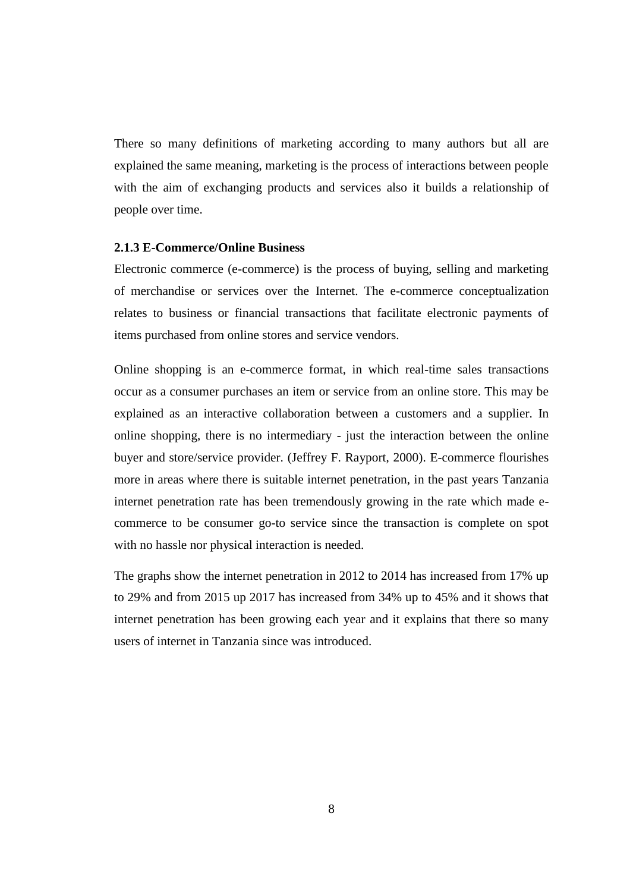There so many definitions of marketing according to many authors but all are explained the same meaning, marketing is the process of interactions between people with the aim of exchanging products and services also it builds a relationship of people over time.

#### **2.1.3 E-Commerce/Online Business**

Electronic commerce (e-commerce) is the process of buying, selling and marketing of merchandise or services over the Internet. The e-commerce conceptualization relates to business or financial transactions that facilitate electronic payments of items purchased from online stores and service vendors.

Online shopping is an e-commerce format, in which real-time sales transactions occur as a consumer purchases an item or service from an online store. This may be explained as an interactive collaboration between a customers and a supplier. In online shopping, there is no intermediary - just the interaction between the online buyer and store/service provider. (Jeffrey F. Rayport, 2000). E-commerce flourishes more in areas where there is suitable internet penetration, in the past years Tanzania internet penetration rate has been tremendously growing in the rate which made ecommerce to be consumer go-to service since the transaction is complete on spot with no hassle nor physical interaction is needed.

The graphs show the internet penetration in 2012 to 2014 has increased from 17% up to 29% and from 2015 up 2017 has increased from 34% up to 45% and it shows that internet penetration has been growing each year and it explains that there so many users of internet in Tanzania since was introduced.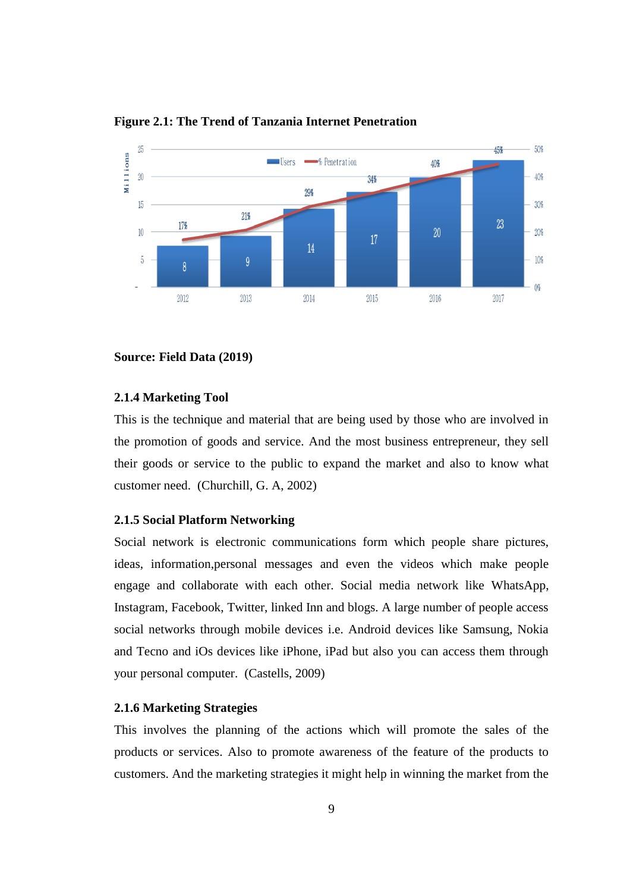

**Figure 2.1: The Trend of Tanzania Internet Penetration** 

#### **Source: Field Data (2019)**

#### **2.1.4 Marketing Tool**

This is the technique and material that are being used by those who are involved in the promotion of goods and service. And the most business entrepreneur, they sell their goods or service to the public to expand the market and also to know what customer need. (Churchill, G. A, 2002)

#### **2.1.5 Social Platform Networking**

Social network is electronic communications form which people share pictures, ideas, information,personal messages and even the videos which make people engage and collaborate with each other. Social media network like WhatsApp, Instagram, Facebook, Twitter, linked Inn and blogs. A large number of people access social networks through mobile devices i.e. Android devices like Samsung, Nokia and Tecno and iOs devices like iPhone, iPad but also you can access them through your personal computer. (Castells, 2009)

### **2.1.6 Marketing Strategies**

This involves the planning of the actions which will promote the sales of the products or services. Also to promote awareness of the feature of the products to customers. And the marketing strategies it might help in winning the market from the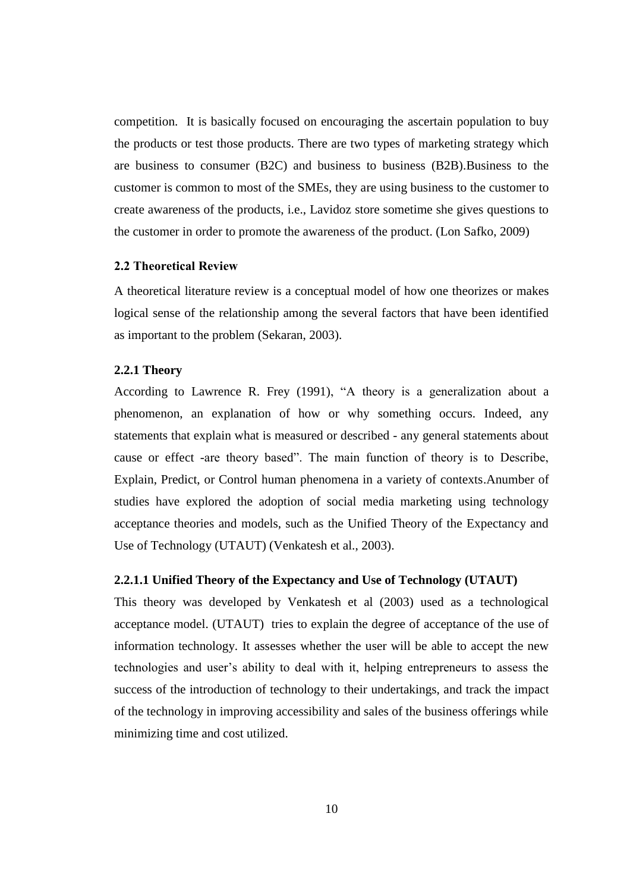competition. It is basically focused on encouraging the ascertain population to buy the products or test those products. There are two types of marketing strategy which are business to consumer (B2C) and business to business (B2B).Business to the customer is common to most of the SMEs, they are using business to the customer to create awareness of the products, i.e., Lavidoz store sometime she gives questions to the customer in order to promote the awareness of the product. (Lon Safko, 2009)

#### **2.2 Theoretical Review**

A theoretical literature review is a conceptual model of how one theorizes or makes logical sense of the relationship among the several factors that have been identified as important to the problem (Sekaran, 2003).

#### **2.2.1 Theory**

According to Lawrence R. Frey (1991), "A theory is a generalization about a phenomenon, an explanation of how or why something occurs. Indeed, any statements that explain what is measured or described - any general statements about cause or effect -are theory based". The main function of theory is to Describe, Explain, Predict, or Control human phenomena in a variety of contexts.Anumber of studies have explored the adoption of social media marketing using technology acceptance theories and models, such as the Unified Theory of the Expectancy and Use of Technology (UTAUT) (Venkatesh et al., 2003).

#### **2.2.1.1 Unified Theory of the Expectancy and Use of Technology (UTAUT)**

This theory was developed by Venkatesh et al (2003) used as a technological acceptance model. (UTAUT) tries to explain the degree of acceptance of the use of information technology. It assesses whether the user will be able to accept the new technologies and user's ability to deal with it, helping entrepreneurs to assess the success of the introduction of technology to their undertakings, and track the impact of the technology in improving accessibility and sales of the business offerings while minimizing time and cost utilized.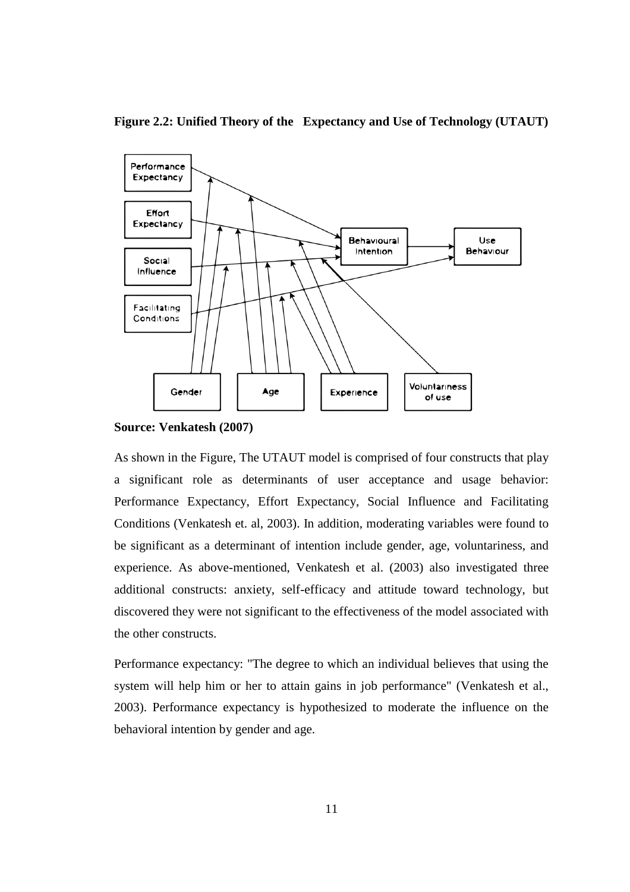# **Figure 2.2: Unified Theory of the Expectancy and Use of Technology (UTAUT)**



**Source: Venkatesh (2007)**

As shown in the Figure, The UTAUT model is comprised of four constructs that play a significant role as determinants of user acceptance and usage behavior: Performance Expectancy, Effort Expectancy, Social Influence and Facilitating Conditions (Venkatesh et. al, 2003). In addition, moderating variables were found to be significant as a determinant of intention include gender, age, voluntariness, and experience. As above-mentioned, Venkatesh et al. (2003) also investigated three additional constructs: anxiety, self-efficacy and attitude toward technology, but discovered they were not significant to the effectiveness of the model associated with the other constructs.

Performance expectancy: "The degree to which an individual believes that using the system will help him or her to attain gains in job performance" (Venkatesh et al., 2003). Performance expectancy is hypothesized to moderate the influence on the behavioral intention by gender and age.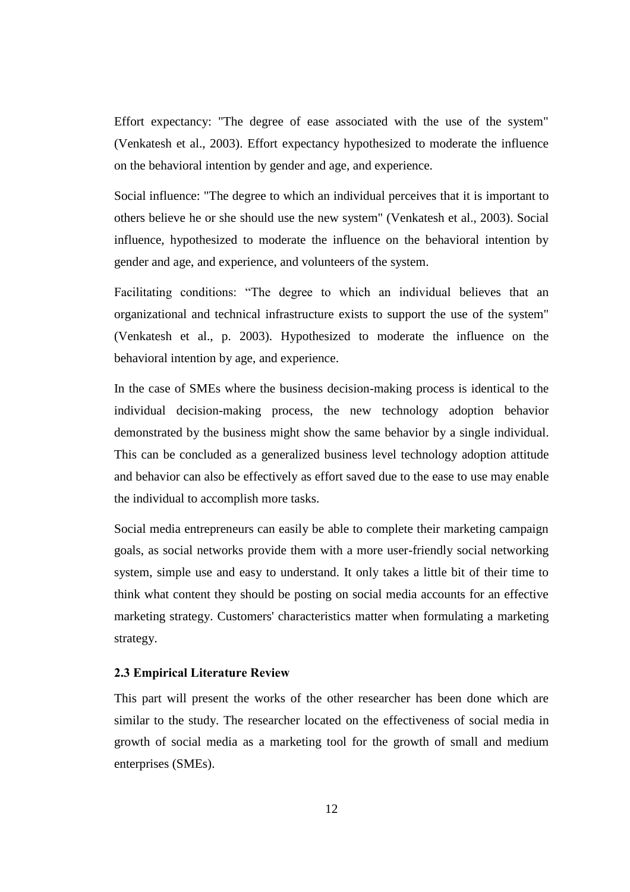Effort expectancy: "The degree of ease associated with the use of the system" (Venkatesh et al., 2003). Effort expectancy hypothesized to moderate the influence on the behavioral intention by gender and age, and experience.

Social influence: "The degree to which an individual perceives that it is important to others believe he or she should use the new system" (Venkatesh et al., 2003). Social influence, hypothesized to moderate the influence on the behavioral intention by gender and age, and experience, and volunteers of the system.

Facilitating conditions: "The degree to which an individual believes that an organizational and technical infrastructure exists to support the use of the system" (Venkatesh et al., p. 2003). Hypothesized to moderate the influence on the behavioral intention by age, and experience.

In the case of SMEs where the business decision-making process is identical to the individual decision-making process, the new technology adoption behavior demonstrated by the business might show the same behavior by a single individual. This can be concluded as a generalized business level technology adoption attitude and behavior can also be effectively as effort saved due to the ease to use may enable the individual to accomplish more tasks.

Social media entrepreneurs can easily be able to complete their marketing campaign goals, as social networks provide them with a more user-friendly social networking system, simple use and easy to understand. It only takes a little bit of their time to think what content they should be posting on social media accounts for an effective marketing strategy. Customers' characteristics matter when formulating a marketing strategy.

### **2.3 Empirical Literature Review**

This part will present the works of the other researcher has been done which are similar to the study. The researcher located on the effectiveness of social media in growth of social media as a marketing tool for the growth of small and medium enterprises (SMEs).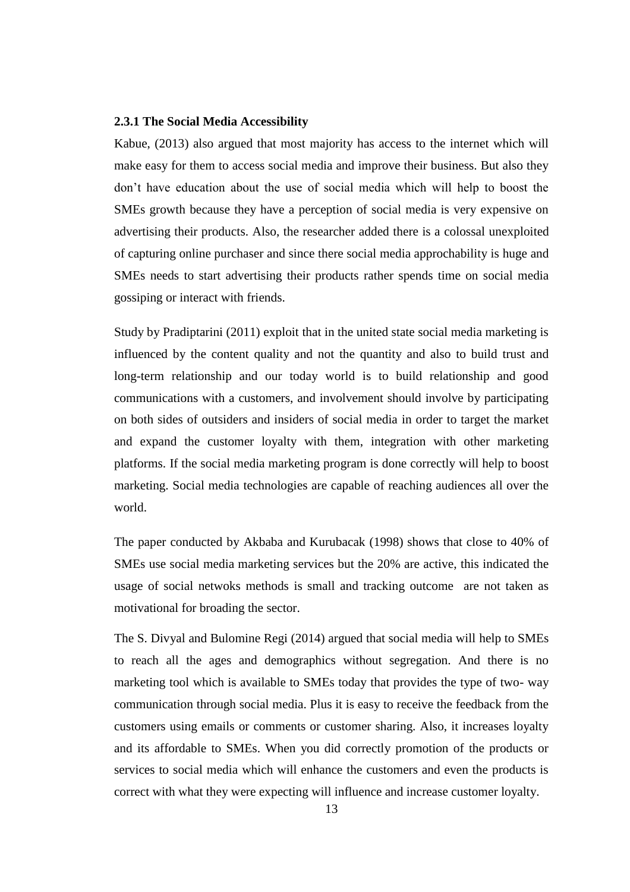### **2.3.1 The Social Media Accessibility**

Kabue, (2013) also argued that most majority has access to the internet which will make easy for them to access social media and improve their business. But also they don't have education about the use of social media which will help to boost the SMEs growth because they have a perception of social media is very expensive on advertising their products. Also, the researcher added there is a colossal unexploited of capturing online purchaser and since there social media approchability is huge and SMEs needs to start advertising their products rather spends time on social media gossiping or interact with friends.

Study by Pradiptarini (2011) exploit that in the united state social media marketing is influenced by the content quality and not the quantity and also to build trust and long-term relationship and our today world is to build relationship and good communications with a customers, and involvement should involve by participating on both sides of outsiders and insiders of social media in order to target the market and expand the customer loyalty with them, integration with other marketing platforms. If the social media marketing program is done correctly will help to boost marketing. Social media technologies are capable of reaching audiences all over the world.

The paper conducted by Akbaba and Kurubacak (1998) shows that close to 40% of SMEs use social media marketing services but the 20% are active, this indicated the usage of social netwoks methods is small and tracking outcome are not taken as motivational for broading the sector.

The S. Divyal and Bulomine Regi (2014) argued that social media will help to SMEs to reach all the ages and demographics without segregation. And there is no marketing tool which is available to SMEs today that provides the type of two- way communication through social media. Plus it is easy to receive the feedback from the customers using emails or comments or customer sharing. Also, it increases loyalty and its affordable to SMEs. When you did correctly promotion of the products or services to social media which will enhance the customers and even the products is correct with what they were expecting will influence and increase customer loyalty.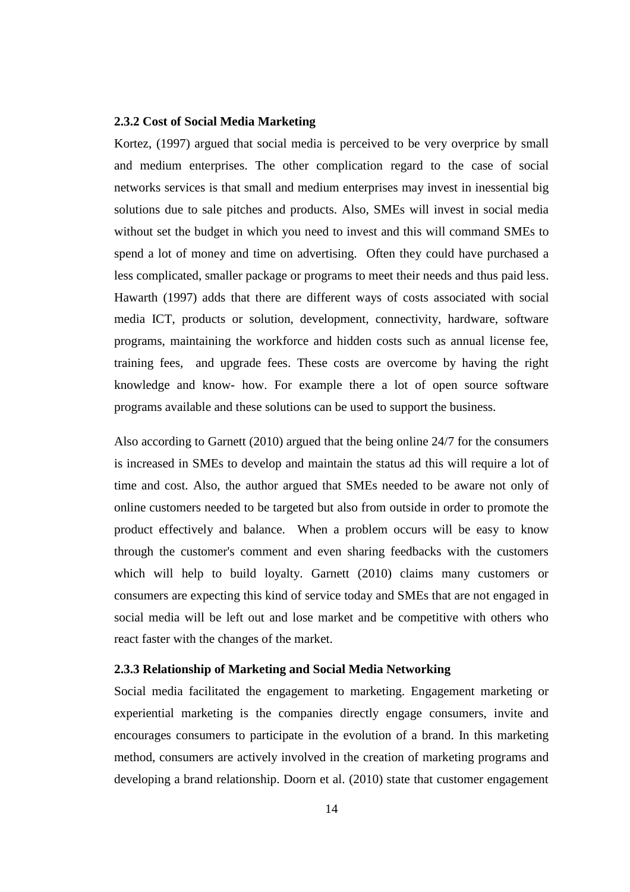### **2.3.2 Cost of Social Media Marketing**

Kortez, (1997) argued that social media is perceived to be very overprice by small and medium enterprises. The other complication regard to the case of social networks services is that small and medium enterprises may invest in inessential big solutions due to sale pitches and products. Also, SMEs will invest in social media without set the budget in which you need to invest and this will command SMEs to spend a lot of money and time on advertising. Often they could have purchased a less complicated, smaller package or programs to meet their needs and thus paid less. Hawarth (1997) adds that there are different ways of costs associated with social media ICT, products or solution, development, connectivity, hardware, software programs, maintaining the workforce and hidden costs such as annual license fee, training fees, and upgrade fees. These costs are overcome by having the right knowledge and know- how. For example there a lot of open source software programs available and these solutions can be used to support the business.

Also according to Garnett (2010) argued that the being online 24/7 for the consumers is increased in SMEs to develop and maintain the status ad this will require a lot of time and cost. Also, the author argued that SMEs needed to be aware not only of online customers needed to be targeted but also from outside in order to promote the product effectively and balance. When a problem occurs will be easy to know through the customer's comment and even sharing feedbacks with the customers which will help to build loyalty. Garnett (2010) claims many customers or consumers are expecting this kind of service today and SMEs that are not engaged in social media will be left out and lose market and be competitive with others who react faster with the changes of the market.

### **2.3.3 Relationship of Marketing and Social Media Networking**

Social media facilitated the engagement to marketing. Engagement marketing or experiential marketing is the companies directly engage consumers, invite and encourages consumers to participate in the evolution of a brand. In this marketing method, consumers are actively involved in the creation of marketing programs and developing a brand relationship. Doorn et al. (2010) state that customer engagement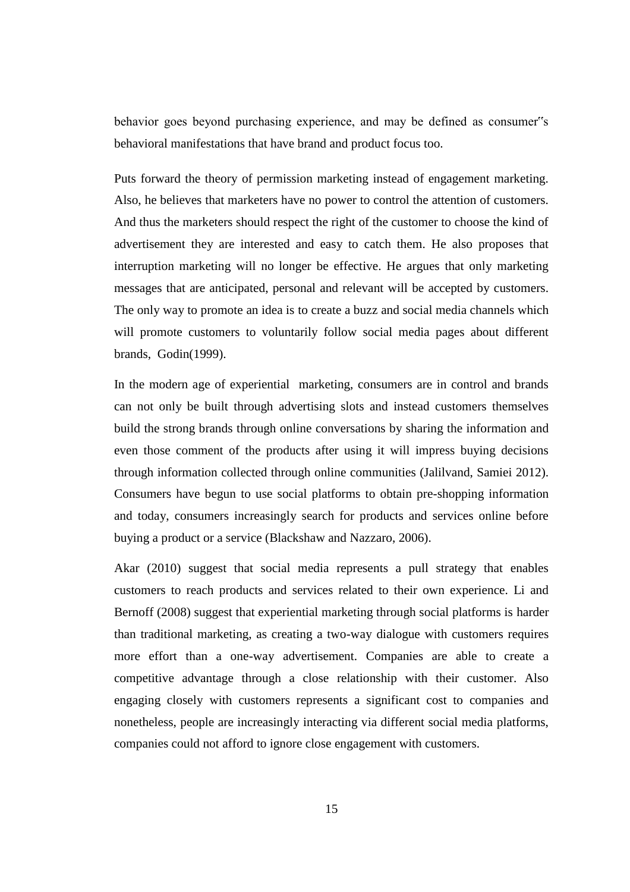behavior goes beyond purchasing experience, and may be defined as consumer"s behavioral manifestations that have brand and product focus too.

Puts forward the theory of permission marketing instead of engagement marketing. Also, he believes that marketers have no power to control the attention of customers. And thus the marketers should respect the right of the customer to choose the kind of advertisement they are interested and easy to catch them. He also proposes that interruption marketing will no longer be effective. He argues that only marketing messages that are anticipated, personal and relevant will be accepted by customers. The only way to promote an idea is to create a buzz and social media channels which will promote customers to voluntarily follow social media pages about different brands, Godin(1999).

In the modern age of experiential marketing, consumers are in control and brands can not only be built through advertising slots and instead customers themselves build the strong brands through online conversations by sharing the information and even those comment of the products after using it will impress buying decisions through information collected through online communities (Jalilvand, Samiei 2012). Consumers have begun to use social platforms to obtain pre-shopping information and today, consumers increasingly search for products and services online before buying a product or a service (Blackshaw and Nazzaro, 2006).

Akar (2010) suggest that social media represents a pull strategy that enables customers to reach products and services related to their own experience. Li and Bernoff (2008) suggest that experiential marketing through social platforms is harder than traditional marketing, as creating a two-way dialogue with customers requires more effort than a one-way advertisement. Companies are able to create a competitive advantage through a close relationship with their customer. Also engaging closely with customers represents a significant cost to companies and nonetheless, people are increasingly interacting via different social media platforms, companies could not afford to ignore close engagement with customers.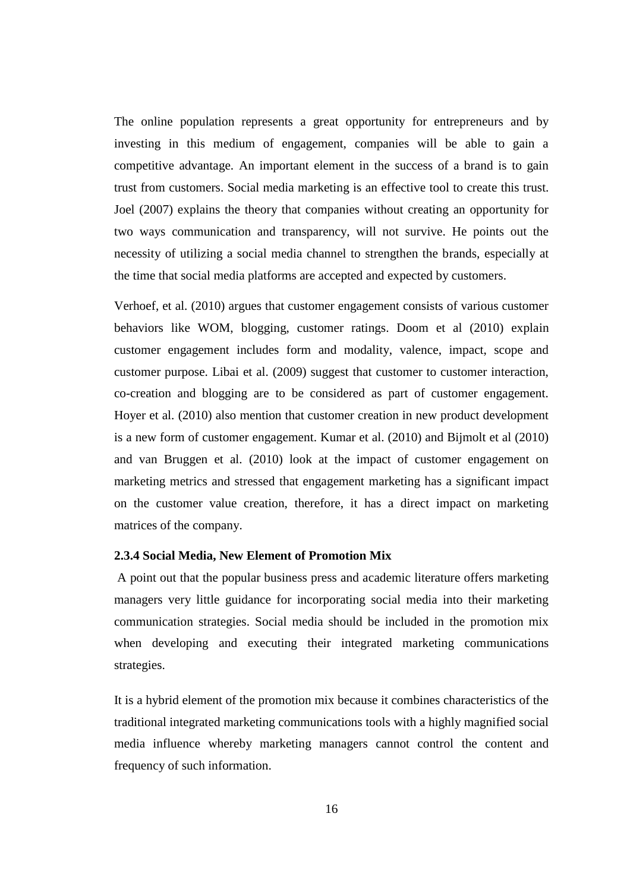The online population represents a great opportunity for entrepreneurs and by investing in this medium of engagement, companies will be able to gain a competitive advantage. An important element in the success of a brand is to gain trust from customers. Social media marketing is an effective tool to create this trust. Joel (2007) explains the theory that companies without creating an opportunity for two ways communication and transparency, will not survive. He points out the necessity of utilizing a social media channel to strengthen the brands, especially at the time that social media platforms are accepted and expected by customers.

Verhoef, et al. (2010) argues that customer engagement consists of various customer behaviors like WOM, blogging, customer ratings. Doom et al (2010) explain customer engagement includes form and modality, valence, impact, scope and customer purpose. Libai et al. (2009) suggest that customer to customer interaction, co-creation and blogging are to be considered as part of customer engagement. Hoyer et al. (2010) also mention that customer creation in new product development is a new form of customer engagement. Kumar et al. (2010) and Bijmolt et al (2010) and van Bruggen et al. (2010) look at the impact of customer engagement on marketing metrics and stressed that engagement marketing has a significant impact on the customer value creation, therefore, it has a direct impact on marketing matrices of the company.

#### **2.3.4 Social Media, New Element of Promotion Mix**

A point out that the popular business press and academic literature offers marketing managers very little guidance for incorporating social media into their marketing communication strategies. Social media should be included in the promotion mix when developing and executing their integrated marketing communications strategies.

It is a hybrid element of the promotion mix because it combines characteristics of the traditional integrated marketing communications tools with a highly magnified social media influence whereby marketing managers cannot control the content and frequency of such information.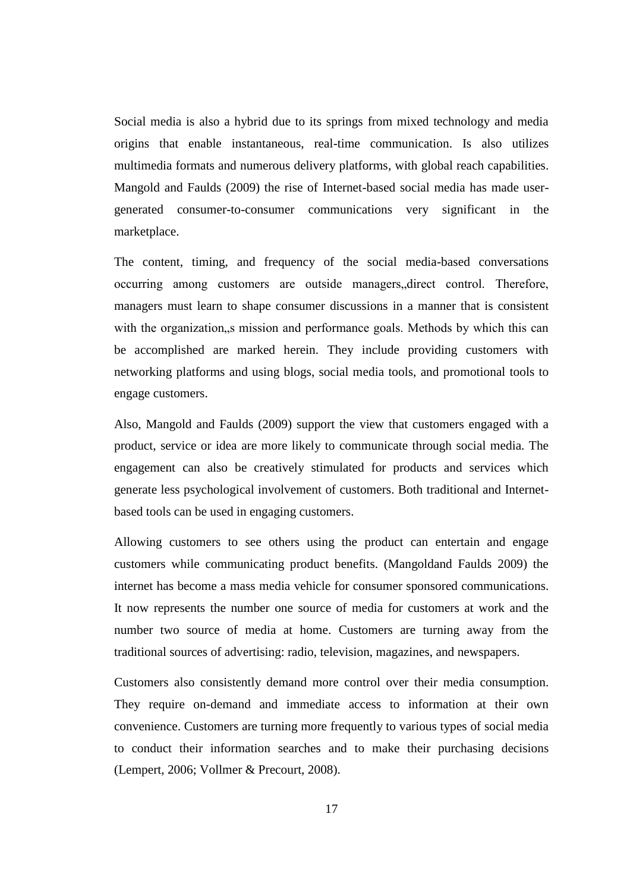Social media is also a hybrid due to its springs from mixed technology and media origins that enable instantaneous, real-time communication. Is also utilizes multimedia formats and numerous delivery platforms, with global reach capabilities. Mangold and Faulds (2009) the rise of Internet-based social media has made usergenerated consumer-to-consumer communications very significant in the marketplace.

The content, timing, and frequency of the social media-based conversations occurring among customers are outside managers,,direct control. Therefore, managers must learn to shape consumer discussions in a manner that is consistent with the organization, s mission and performance goals. Methods by which this can be accomplished are marked herein. They include providing customers with networking platforms and using blogs, social media tools, and promotional tools to engage customers.

Also, Mangold and Faulds (2009) support the view that customers engaged with a product, service or idea are more likely to communicate through social media. The engagement can also be creatively stimulated for products and services which generate less psychological involvement of customers. Both traditional and Internetbased tools can be used in engaging customers.

Allowing customers to see others using the product can entertain and engage customers while communicating product benefits. (Mangoldand Faulds 2009) the internet has become a mass media vehicle for consumer sponsored communications. It now represents the number one source of media for customers at work and the number two source of media at home. Customers are turning away from the traditional sources of advertising: radio, television, magazines, and newspapers.

Customers also consistently demand more control over their media consumption. They require on-demand and immediate access to information at their own convenience. Customers are turning more frequently to various types of social media to conduct their information searches and to make their purchasing decisions (Lempert, 2006; Vollmer & Precourt, 2008).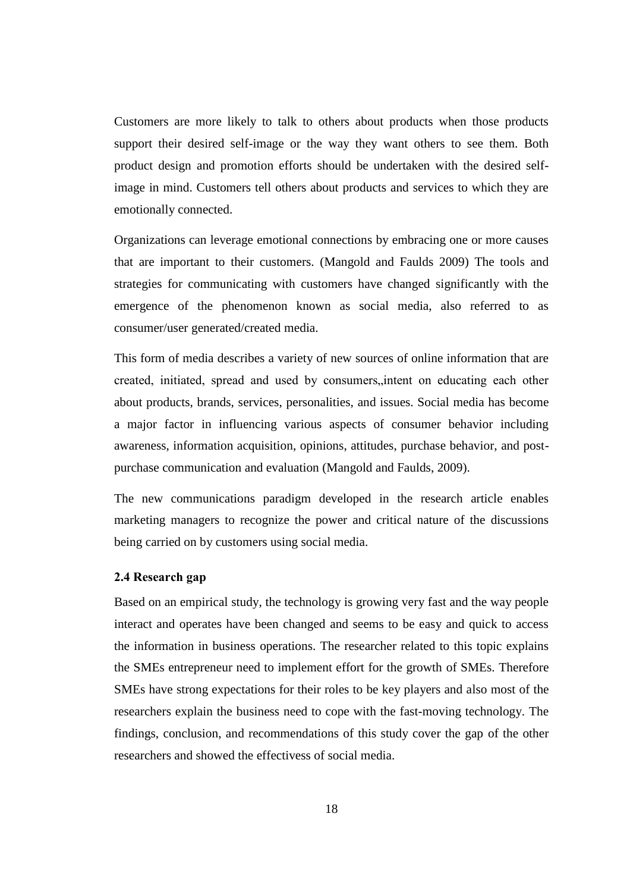Customers are more likely to talk to others about products when those products support their desired self-image or the way they want others to see them. Both product design and promotion efforts should be undertaken with the desired selfimage in mind. Customers tell others about products and services to which they are emotionally connected.

Organizations can leverage emotional connections by embracing one or more causes that are important to their customers. (Mangold and Faulds 2009) The tools and strategies for communicating with customers have changed significantly with the emergence of the phenomenon known as social media, also referred to as consumer/user generated/created media.

This form of media describes a variety of new sources of online information that are created, initiated, spread and used by consumers, intent on educating each other about products, brands, services, personalities, and issues. Social media has become a major factor in influencing various aspects of consumer behavior including awareness, information acquisition, opinions, attitudes, purchase behavior, and postpurchase communication and evaluation (Mangold and Faulds, 2009).

The new communications paradigm developed in the research article enables marketing managers to recognize the power and critical nature of the discussions being carried on by customers using social media.

# **2.4 Research gap**

Based on an empirical study, the technology is growing very fast and the way people interact and operates have been changed and seems to be easy and quick to access the information in business operations. The researcher related to this topic explains the SMEs entrepreneur need to implement effort for the growth of SMEs. Therefore SMEs have strong expectations for their roles to be key players and also most of the researchers explain the business need to cope with the fast-moving technology. The findings, conclusion, and recommendations of this study cover the gap of the other researchers and showed the effectivess of social media.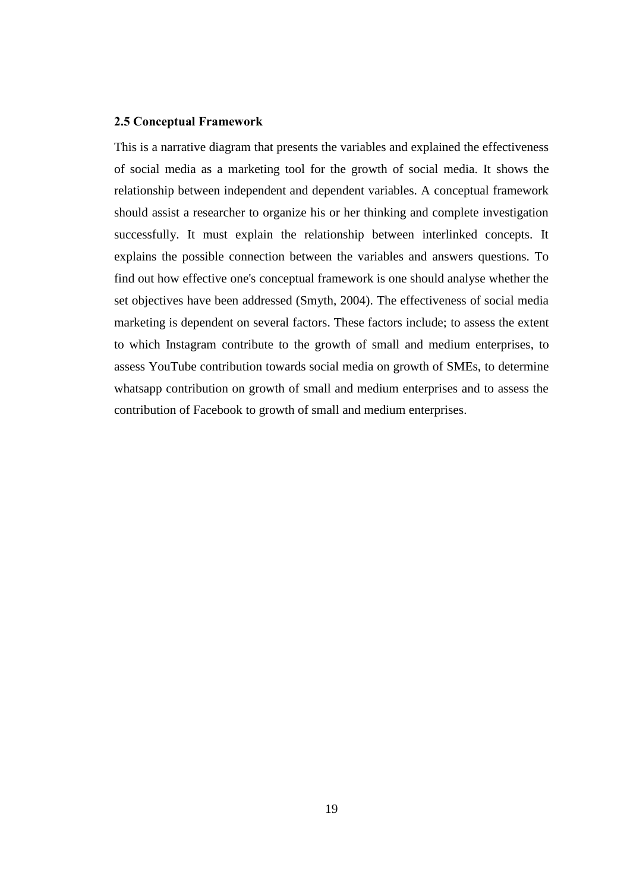## **2.5 Conceptual Framework**

This is a narrative diagram that presents the variables and explained the effectiveness of social media as a marketing tool for the growth of social media. It shows the relationship between independent and dependent variables. A conceptual framework should assist a researcher to organize his or her thinking and complete investigation successfully. It must explain the relationship between interlinked concepts. It explains the possible connection between the variables and answers questions. To find out how effective one's conceptual framework is one should analyse whether the set objectives have been addressed (Smyth, 2004). The effectiveness of social media marketing is dependent on several factors. These factors include; to assess the extent to which Instagram contribute to the growth of small and medium enterprises, to assess YouTube contribution towards social media on growth of SMEs, to determine whatsapp contribution on growth of small and medium enterprises and to assess the contribution of Facebook to growth of small and medium enterprises.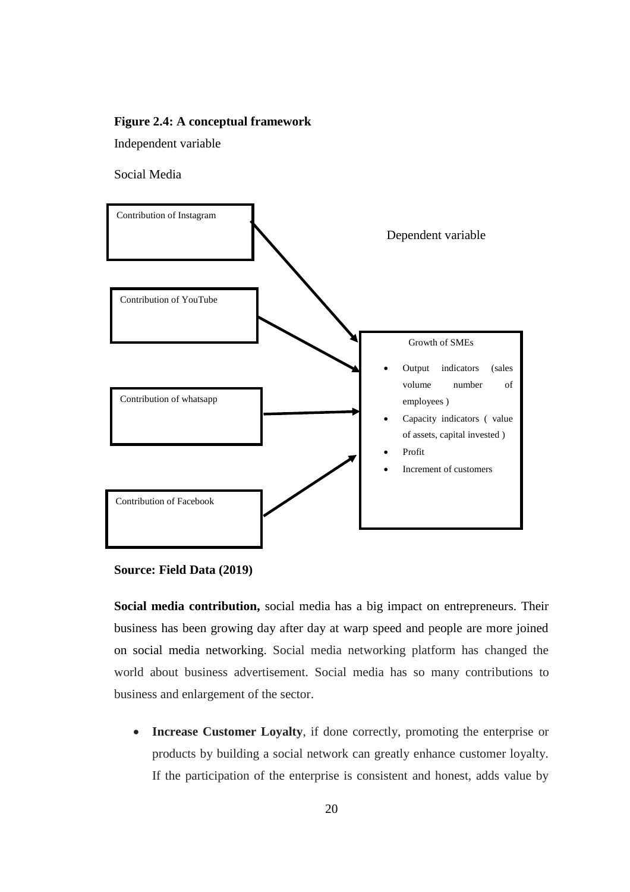## **Figure 2.4: A conceptual framework**

Independent variable

Social Media



**Source: Field Data (2019)**

**Social media contribution,** social media has a big impact on entrepreneurs. Their business has been growing day after day at warp speed and people are more joined on social media networking. Social media networking platform has changed the world about business advertisement. Social media has so many contributions to business and enlargement of the sector.

• **Increase Customer Loyalty**, if done correctly, promoting the enterprise or products by building a social network can greatly enhance customer loyalty. If the participation of the enterprise is consistent and honest, adds value by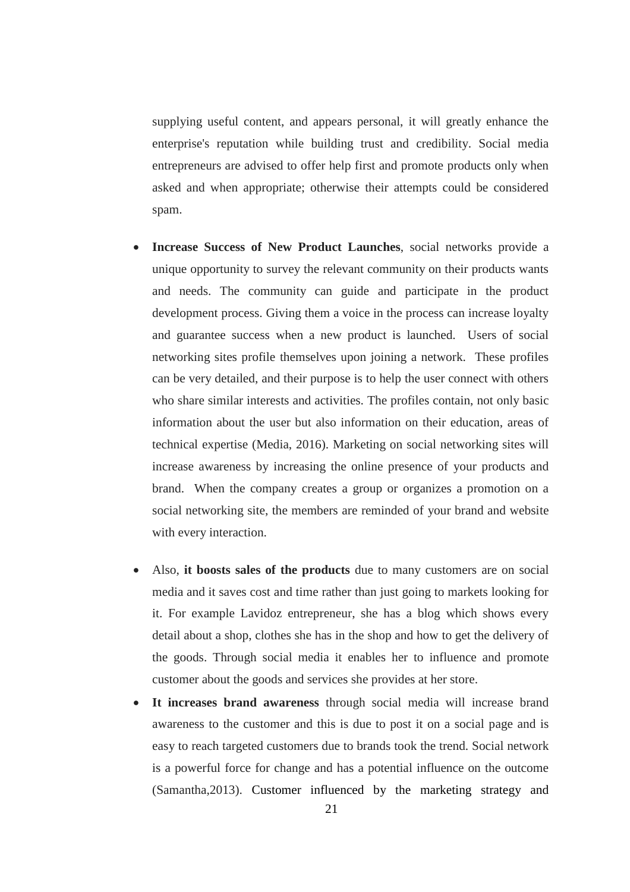supplying useful content, and appears personal, it will greatly enhance the enterprise's reputation while building trust and credibility. Social media entrepreneurs are advised to offer help first and promote products only when asked and when appropriate; otherwise their attempts could be considered spam.

- **Increase Success of New Product Launches**, social networks provide a unique opportunity to survey the relevant community on their products wants and needs. The community can guide and participate in the product development process. Giving them a voice in the process can increase loyalty and guarantee success when a new product is launched. Users of social networking sites profile themselves upon joining a network. These profiles can be very detailed, and their purpose is to help the user connect with others who share similar interests and activities. The profiles contain, not only basic information about the user but also information on their education, areas of technical expertise (Media, 2016). Marketing on social networking sites will increase awareness by increasing the online presence of your products and brand. When the company creates a group or organizes a promotion on a social networking site, the members are reminded of your brand and website with every interaction.
- Also, **it boosts sales of the products** due to many customers are on social media and it saves cost and time rather than just going to markets looking for it. For example Lavidoz entrepreneur, she has a blog which shows every detail about a shop, clothes she has in the shop and how to get the delivery of the goods. Through social media it enables her to influence and promote customer about the goods and services she provides at her store.
- It increases brand awareness through social media will increase brand awareness to the customer and this is due to post it on a social page and is easy to reach targeted customers due to brands took the trend. Social network is a powerful force for change and has a potential influence on the outcome (Samantha,2013). Customer influenced by the marketing strategy and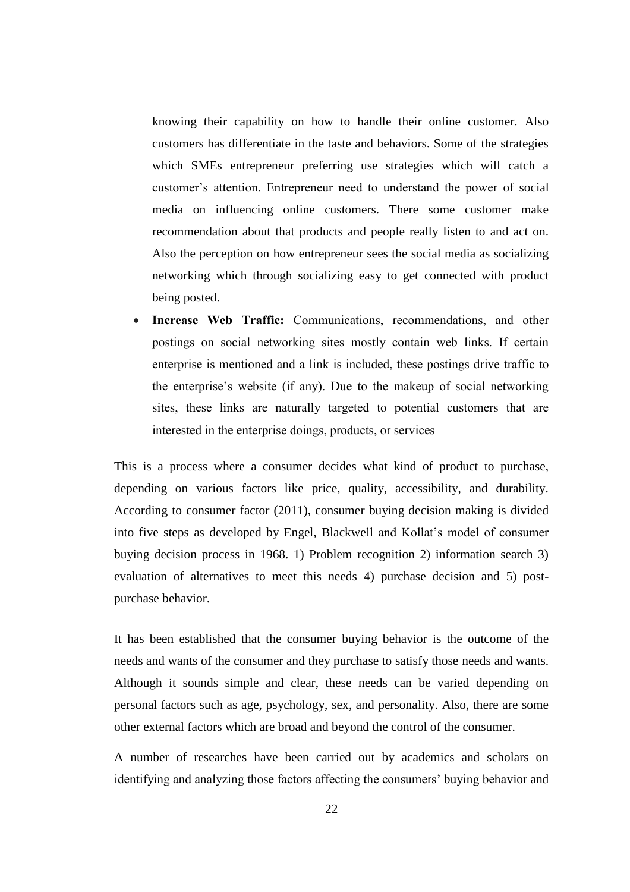knowing their capability on how to handle their online customer. Also customers has differentiate in the taste and behaviors. Some of the strategies which SMEs entrepreneur preferring use strategies which will catch a customer's attention. Entrepreneur need to understand the power of social media on influencing online customers. There some customer make recommendation about that products and people really listen to and act on. Also the perception on how entrepreneur sees the social media as socializing networking which through socializing easy to get connected with product being posted.

**Increase Web Traffic:** Communications, recommendations, and other postings on social networking sites mostly contain web links. If certain enterprise is mentioned and a link is included, these postings drive traffic to the enterprise's website (if any). Due to the makeup of social networking sites, these links are naturally targeted to potential customers that are interested in the enterprise doings, products, or services

This is a process where a consumer decides what kind of product to purchase, depending on various factors like price, quality, accessibility, and durability. According to consumer factor (2011), consumer buying decision making is divided into five steps as developed by Engel, Blackwell and Kollat's model of consumer buying decision process in 1968. 1) Problem recognition 2) information search 3) evaluation of alternatives to meet this needs 4) purchase decision and 5) postpurchase behavior.

It has been established that the consumer buying behavior is the outcome of the needs and wants of the consumer and they purchase to satisfy those needs and wants. Although it sounds simple and clear, these needs can be varied depending on personal factors such as age, psychology, sex, and personality. Also, there are some other external factors which are broad and beyond the control of the consumer.

A number of researches have been carried out by academics and scholars on identifying and analyzing those factors affecting the consumers' buying behavior and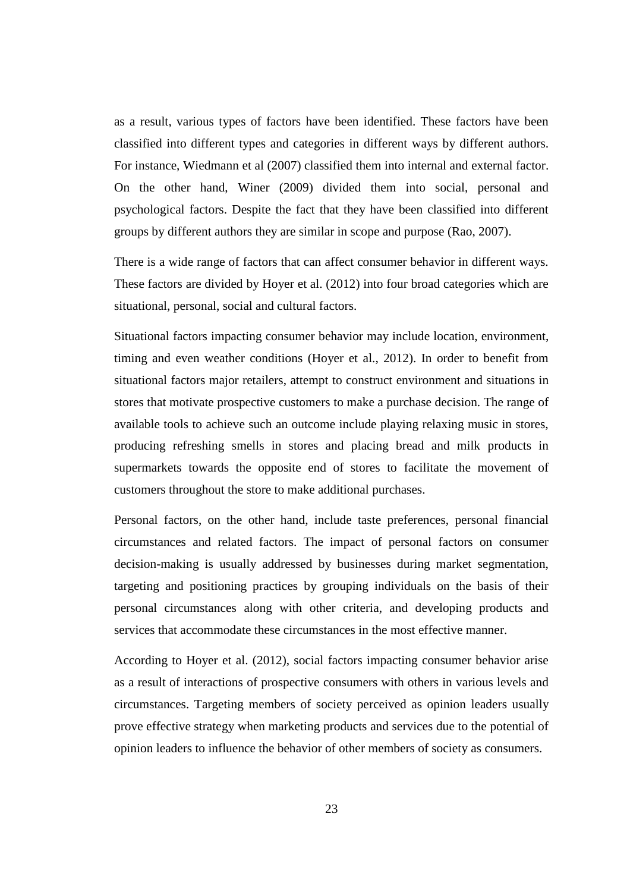as a result, various types of factors have been identified. These factors have been classified into different types and categories in different ways by different authors. For instance, Wiedmann et al (2007) classified them into internal and external factor. On the other hand, Winer (2009) divided them into social, personal and psychological factors. Despite the fact that they have been classified into different groups by different authors they are similar in scope and purpose (Rao, 2007).

There is a wide range of factors that can affect consumer behavior in different ways. These factors are divided by Hoyer et al. (2012) into four broad categories which are situational, personal, social and cultural factors.

Situational factors impacting consumer behavior may include location, environment, timing and even weather conditions (Hoyer et al., 2012). In order to benefit from situational factors major retailers, attempt to construct environment and situations in stores that motivate prospective customers to make a purchase decision. The range of available tools to achieve such an outcome include playing relaxing music in stores, producing refreshing smells in stores and placing bread and milk products in supermarkets towards the opposite end of stores to facilitate the movement of customers throughout the store to make additional purchases.

Personal factors, on the other hand, include taste preferences, personal financial circumstances and related factors. The impact of personal factors on consumer decision-making is usually addressed by businesses during market segmentation, targeting and positioning practices by grouping individuals on the basis of their personal circumstances along with other criteria, and developing products and services that accommodate these circumstances in the most effective manner.

According to Hoyer et al. (2012), social factors impacting consumer behavior arise as a result of interactions of prospective consumers with others in various levels and circumstances. Targeting members of society perceived as opinion leaders usually prove effective strategy when marketing products and services due to the potential of opinion leaders to influence the behavior of other members of society as consumers.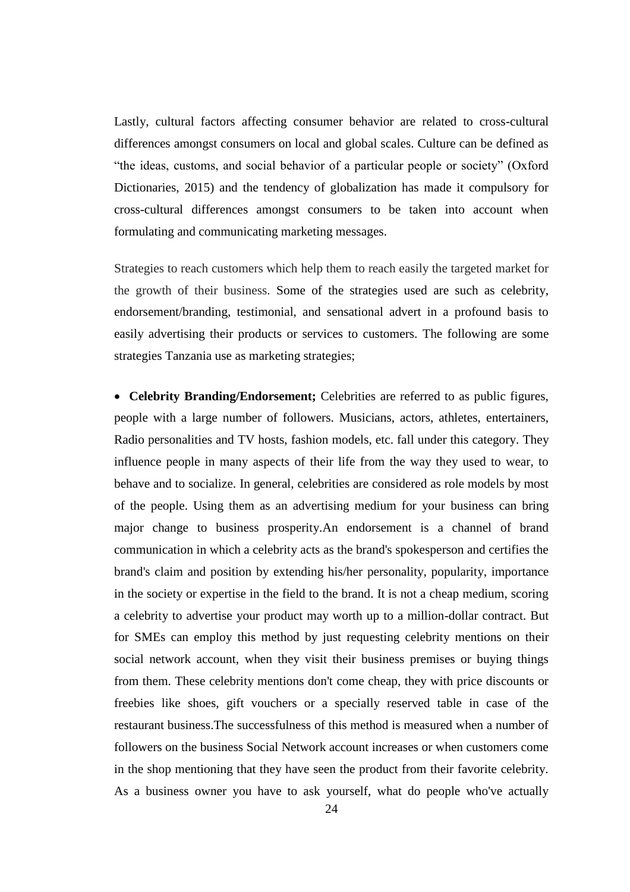Lastly, cultural factors affecting consumer behavior are related to cross-cultural differences amongst consumers on local and global scales. Culture can be defined as "the ideas, customs, and social behavior of a particular people or society" (Oxford Dictionaries, 2015) and the tendency of globalization has made it compulsory for cross-cultural differences amongst consumers to be taken into account when formulating and communicating marketing messages.

Strategies to reach customers which help them to reach easily the targeted market for the growth of their business. Some of the strategies used are such as celebrity, endorsement/branding, testimonial, and sensational advert in a profound basis to easily advertising their products or services to customers. The following are some strategies Tanzania use as marketing strategies;

• **Celebrity Branding/Endorsement;** Celebrities are referred to as public figures, people with a large number of followers. Musicians, actors, athletes, entertainers, Radio personalities and TV hosts, fashion models, etc. fall under this category. They influence people in many aspects of their life from the way they used to wear, to behave and to socialize. In general, celebrities are considered as role models by most of the people. Using them as an advertising medium for your business can bring major change to business prosperity.An endorsement is a channel of brand communication in which a celebrity acts as the brand's spokesperson and certifies the brand's claim and position by extending his/her personality, popularity, importance in the society or expertise in the field to the brand. It is not a cheap medium, scoring a celebrity to advertise your product may worth up to a million-dollar contract. But for SMEs can employ this method by just requesting celebrity mentions on their social network account, when they visit their business premises or buying things from them. These celebrity mentions don't come cheap, they with price discounts or freebies like shoes, gift vouchers or a specially reserved table in case of the restaurant business.The successfulness of this method is measured when a number of followers on the business Social Network account increases or when customers come in the shop mentioning that they have seen the product from their favorite celebrity. As a business owner you have to ask yourself, what do people who've actually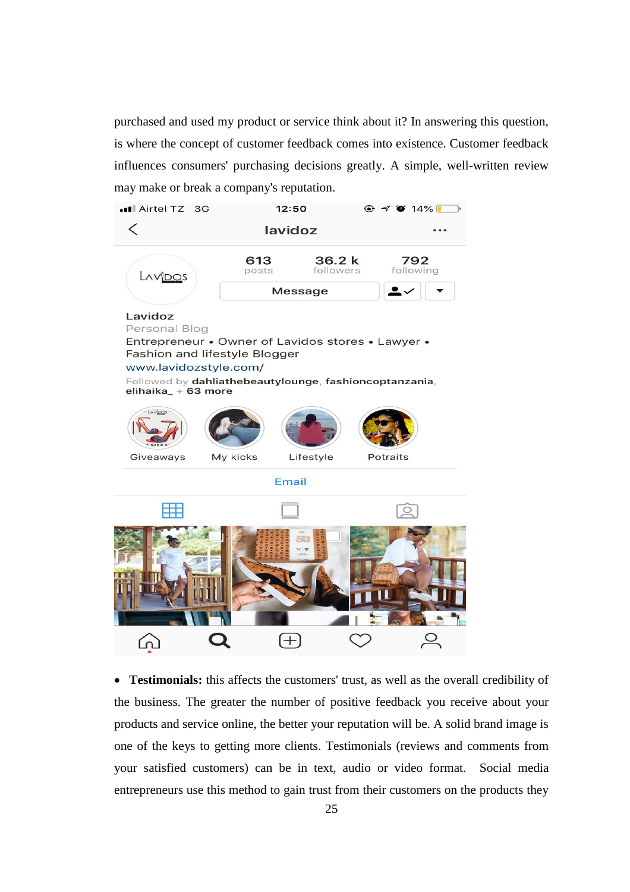purchased and used my product or service think about it? In answering this question, is where the concept of customer feedback comes into existence. Customer feedback influences consumers' purchasing decisions greatly. A simple, well-written review may make or break a company's reputation.



• **Testimonials:** this affects the customers' trust, as well as the overall credibility of the business. The greater the number of positive feedback you receive about your products and service online, the better your reputation will be. A solid brand image is one of the keys to getting more clients. Testimonials (reviews and comments from your satisfied customers) can be in text, audio or video format. Social media entrepreneurs use this method to gain trust from their customers on the products they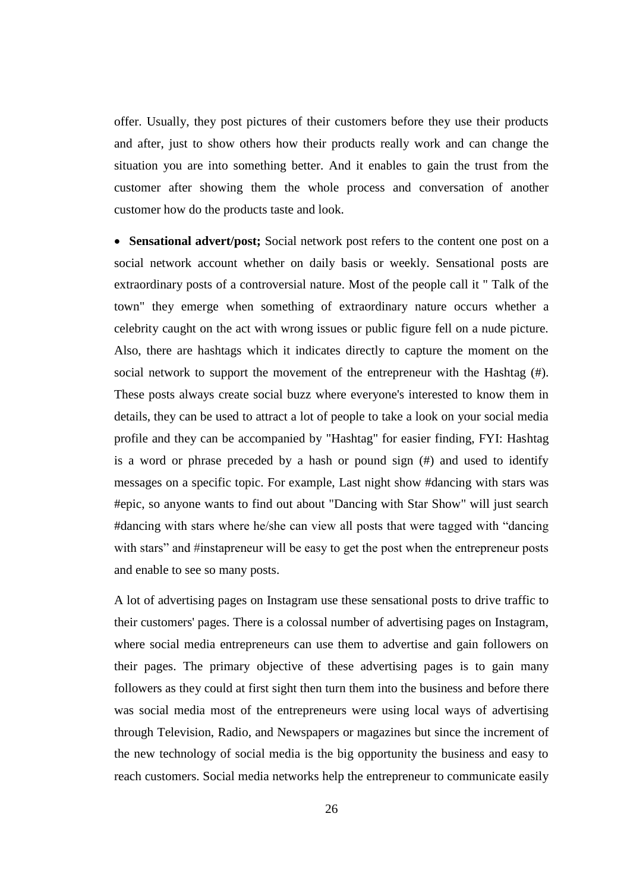offer. Usually, they post pictures of their customers before they use their products and after, just to show others how their products really work and can change the situation you are into something better. And it enables to gain the trust from the customer after showing them the whole process and conversation of another customer how do the products taste and look.

• **Sensational advert/post;** Social network post refers to the content one post on a social network account whether on daily basis or weekly. Sensational posts are extraordinary posts of a controversial nature. Most of the people call it " Talk of the town" they emerge when something of extraordinary nature occurs whether a celebrity caught on the act with wrong issues or public figure fell on a nude picture. Also, there are hashtags which it indicates directly to capture the moment on the social network to support the movement of the entrepreneur with the Hashtag (#). These posts always create social buzz where everyone's interested to know them in details, they can be used to attract a lot of people to take a look on your social media profile and they can be accompanied by "Hashtag" for easier finding, FYI: Hashtag is a word or phrase preceded by a hash or pound sign (#) and used to identify messages on a specific topic. For example, Last night show #dancing with stars was #epic, so anyone wants to find out about "Dancing with Star Show" will just search #dancing with stars where he/she can view all posts that were tagged with "dancing with stars" and #instapreneur will be easy to get the post when the entrepreneur posts and enable to see so many posts.

A lot of advertising pages on Instagram use these sensational posts to drive traffic to their customers' pages. There is a colossal number of advertising pages on Instagram, where social media entrepreneurs can use them to advertise and gain followers on their pages. The primary objective of these advertising pages is to gain many followers as they could at first sight then turn them into the business and before there was social media most of the entrepreneurs were using local ways of advertising through Television, Radio, and Newspapers or magazines but since the increment of the new technology of social media is the big opportunity the business and easy to reach customers. Social media networks help the entrepreneur to communicate easily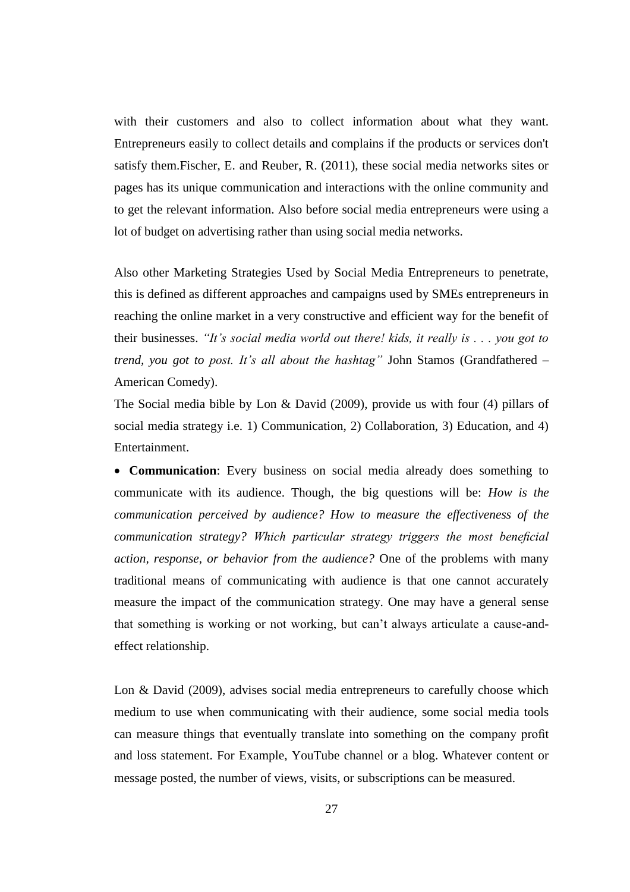with their customers and also to collect information about what they want. Entrepreneurs easily to collect details and complains if the products or services don't satisfy them.Fischer, E. and Reuber, R. (2011), these social media networks sites or pages has its unique communication and interactions with the online community and to get the relevant information. Also before social media entrepreneurs were using a lot of budget on advertising rather than using social media networks.

Also other Marketing Strategies Used by Social Media Entrepreneurs to penetrate, this is defined as different approaches and campaigns used by SMEs entrepreneurs in reaching the online market in a very constructive and efficient way for the benefit of their businesses. *"It's social media world out there! kids, it really is . . . you got to trend, you got to post. It's all about the hashtag"* John Stamos (Grandfathered – American Comedy).

The Social media bible by Lon & David (2009), provide us with four (4) pillars of social media strategy i.e. 1) Communication, 2) Collaboration, 3) Education, and 4) Entertainment.

• **Communication**: Every business on social media already does something to communicate with its audience. Though, the big questions will be: *How is the communication perceived by audience? How to measure the effectiveness of the communication strategy? Which particular strategy triggers the most beneficial action, response, or behavior from the audience?* One of the problems with many traditional means of communicating with audience is that one cannot accurately measure the impact of the communication strategy. One may have a general sense that something is working or not working, but can't always articulate a cause-andeffect relationship.

Lon & David (2009), advises social media entrepreneurs to carefully choose which medium to use when communicating with their audience, some social media tools can measure things that eventually translate into something on the company profit and loss statement. For Example, YouTube channel or a blog. Whatever content or message posted, the number of views, visits, or subscriptions can be measured.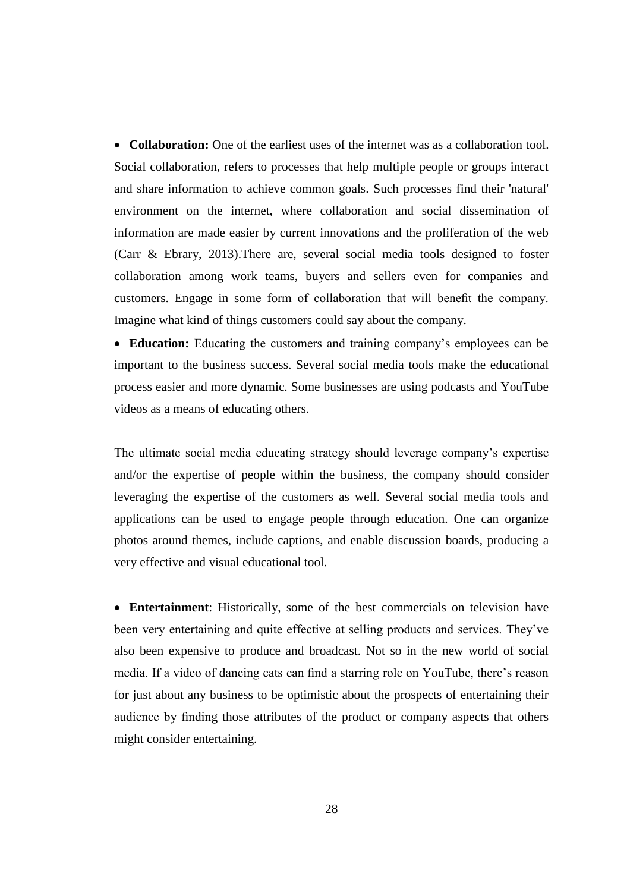• **Collaboration:** One of the earliest uses of the internet was as a collaboration tool. Social collaboration, refers to processes that help multiple people or groups interact and share information to achieve common goals. Such processes find their 'natural' environment on the internet, where collaboration and social dissemination of information are made easier by current innovations and the proliferation of the web (Carr & Ebrary, 2013).There are, several social media tools designed to foster collaboration among work teams, buyers and sellers even for companies and customers. Engage in some form of collaboration that will benefit the company. Imagine what kind of things customers could say about the company.

• **Education:** Educating the customers and training company's employees can be important to the business success. Several social media tools make the educational process easier and more dynamic. Some businesses are using podcasts and YouTube videos as a means of educating others.

The ultimate social media educating strategy should leverage company's expertise and/or the expertise of people within the business, the company should consider leveraging the expertise of the customers as well. Several social media tools and applications can be used to engage people through education. One can organize photos around themes, include captions, and enable discussion boards, producing a very effective and visual educational tool.

• **Entertainment**: Historically, some of the best commercials on television have been very entertaining and quite effective at selling products and services. They've also been expensive to produce and broadcast. Not so in the new world of social media. If a video of dancing cats can find a starring role on YouTube, there's reason for just about any business to be optimistic about the prospects of entertaining their audience by finding those attributes of the product or company aspects that others might consider entertaining.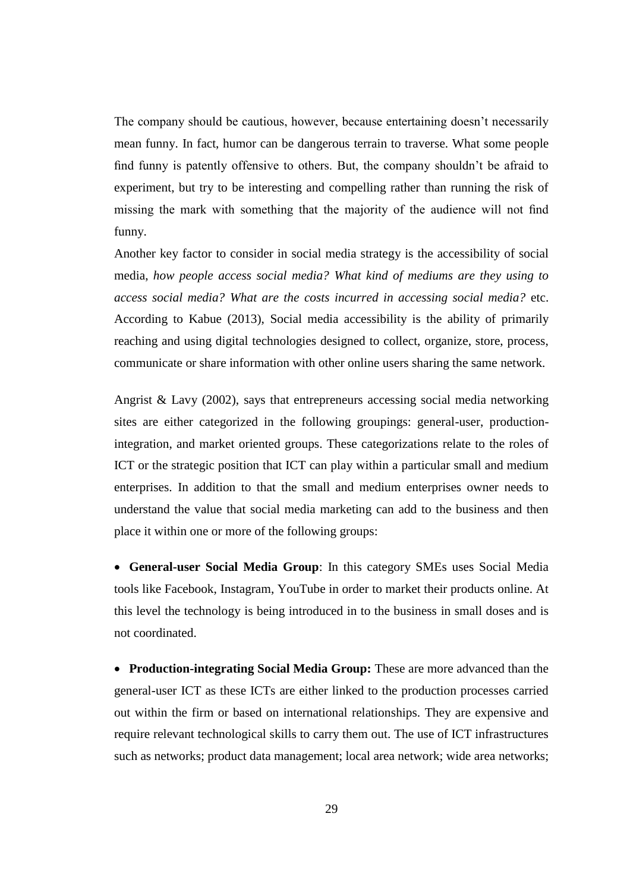The company should be cautious, however, because entertaining doesn't necessarily mean funny. In fact, humor can be dangerous terrain to traverse. What some people find funny is patently offensive to others. But, the company shouldn't be afraid to experiment, but try to be interesting and compelling rather than running the risk of missing the mark with something that the majority of the audience will not find funny.

Another key factor to consider in social media strategy is the accessibility of social media, *how people access social media? What kind of mediums are they using to access social media? What are the costs incurred in accessing social media?* etc. According to Kabue (2013), Social media accessibility is the ability of primarily reaching and using digital technologies designed to collect, organize, store, process, communicate or share information with other online users sharing the same network.

Angrist & Lavy (2002), says that entrepreneurs accessing social media networking sites are either categorized in the following groupings: general-user, productionintegration, and market oriented groups. These categorizations relate to the roles of ICT or the strategic position that ICT can play within a particular small and medium enterprises. In addition to that the small and medium enterprises owner needs to understand the value that social media marketing can add to the business and then place it within one or more of the following groups:

• **General-user Social Media Group**: In this category SMEs uses Social Media tools like Facebook, Instagram, YouTube in order to market their products online. At this level the technology is being introduced in to the business in small doses and is not coordinated.

• **Production-integrating Social Media Group:** These are more advanced than the general-user ICT as these ICTs are either linked to the production processes carried out within the firm or based on international relationships. They are expensive and require relevant technological skills to carry them out. The use of ICT infrastructures such as networks; product data management; local area network; wide area networks;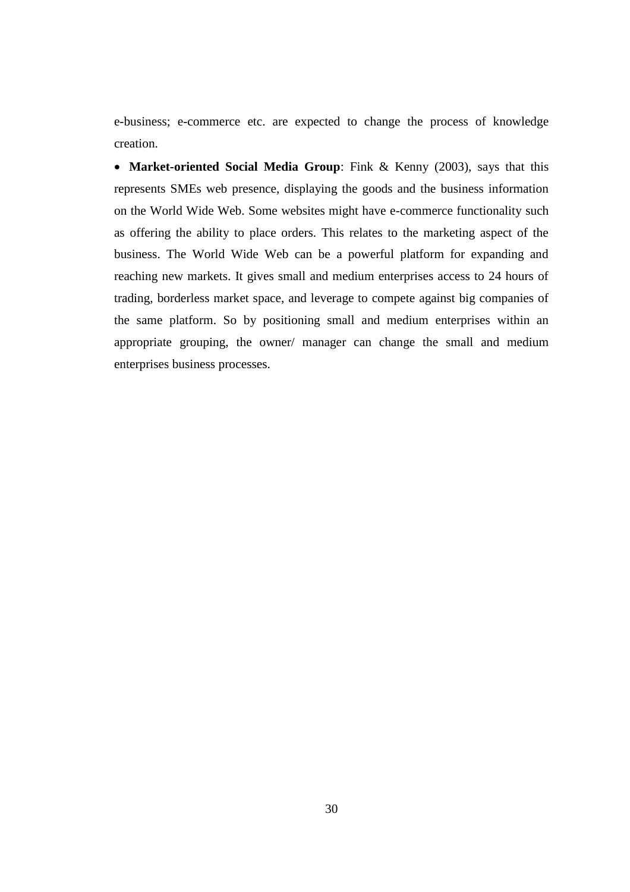e-business; e-commerce etc. are expected to change the process of knowledge creation.

• **Market-oriented Social Media Group**: Fink & Kenny (2003), says that this represents SMEs web presence, displaying the goods and the business information on the World Wide Web. Some websites might have e-commerce functionality such as offering the ability to place orders. This relates to the marketing aspect of the business. The World Wide Web can be a powerful platform for expanding and reaching new markets. It gives small and medium enterprises access to 24 hours of trading, borderless market space, and leverage to compete against big companies of the same platform. So by positioning small and medium enterprises within an appropriate grouping, the owner/ manager can change the small and medium enterprises business processes.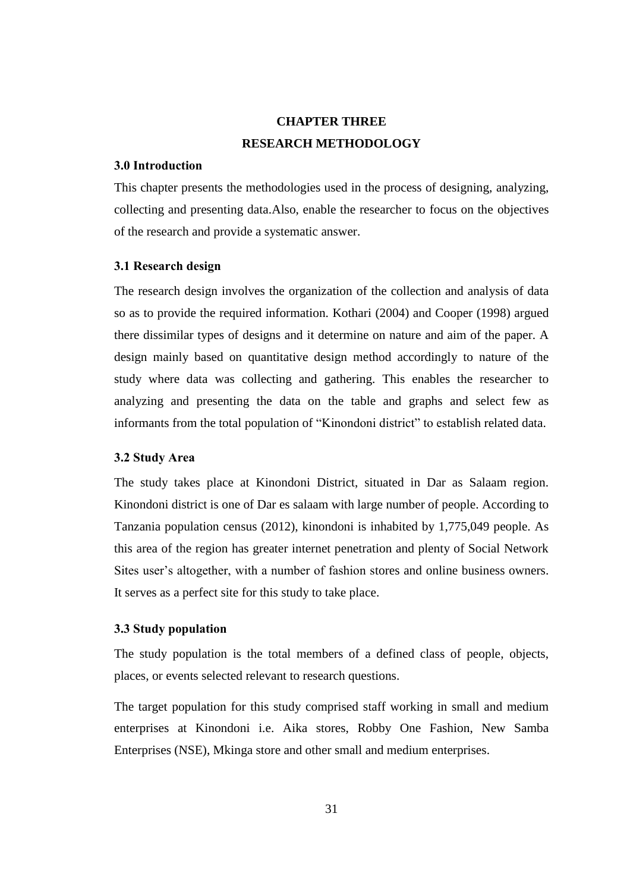# **CHAPTER THREE RESEARCH METHODOLOGY**

### **3.0 Introduction**

This chapter presents the methodologies used in the process of designing, analyzing, collecting and presenting data.Also, enable the researcher to focus on the objectives of the research and provide a systematic answer.

### **3.1 Research design**

The research design involves the organization of the collection and analysis of data so as to provide the required information. Kothari (2004) and Cooper (1998) argued there dissimilar types of designs and it determine on nature and aim of the paper. A design mainly based on quantitative design method accordingly to nature of the study where data was collecting and gathering. This enables the researcher to analyzing and presenting the data on the table and graphs and select few as informants from the total population of "Kinondoni district" to establish related data.

### **3.2 Study Area**

The study takes place at Kinondoni District, situated in Dar as Salaam region. Kinondoni district is one of Dar es salaam with large number of people. According to Tanzania population census (2012), kinondoni is inhabited by 1,775,049 people. As this area of the region has greater internet penetration and plenty of Social Network Sites user's altogether, with a number of fashion stores and online business owners. It serves as a perfect site for this study to take place.

## **3.3 Study population**

The study population is the total members of a defined class of people, objects, places, or events selected relevant to research questions.

The target population for this study comprised staff working in small and medium enterprises at Kinondoni i.e. Aika stores, Robby One Fashion, New Samba Enterprises (NSE), Mkinga store and other small and medium enterprises.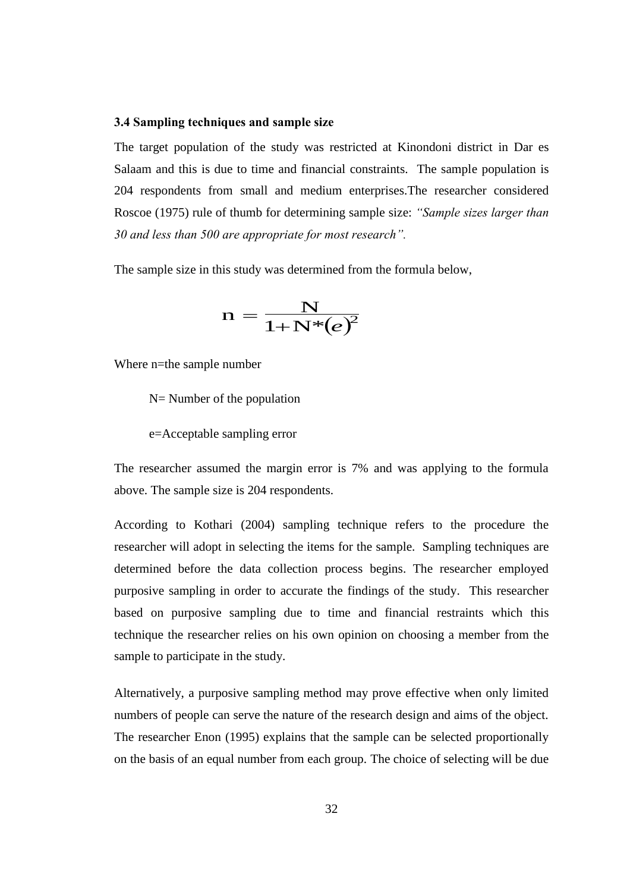### **3.4 Sampling techniques and sample size**

The target population of the study was restricted at Kinondoni district in Dar es Salaam and this is due to time and financial constraints. The sample population is 204 respondents from small and medium enterprises.The researcher considered Roscoe (1975) rule of thumb for determining sample size: *"Sample sizes larger than 30 and less than 500 are appropriate for most research".* 

The sample size in this study was determined from the formula below,

$$
\mathrm{n}=\frac{\mathrm{N}}{1\mathrm{+N}^*\! \left(e\right)^{\!2}}
$$

Where n=the sample number

N= Number of the population

e=Acceptable sampling error

The researcher assumed the margin error is 7% and was applying to the formula above. The sample size is 204 respondents.

According to Kothari (2004) sampling technique refers to the procedure the researcher will adopt in selecting the items for the sample. Sampling techniques are determined before the data collection process begins. The researcher employed purposive sampling in order to accurate the findings of the study. This researcher based on purposive sampling due to time and financial restraints which this technique the researcher relies on his own opinion on choosing a member from the sample to participate in the study.

Alternatively, a purposive sampling method may prove effective when only limited numbers of people can serve the nature of the research design and aims of the object. The researcher Enon (1995) explains that the sample can be selected proportionally on the basis of an equal number from each group. The choice of selecting will be due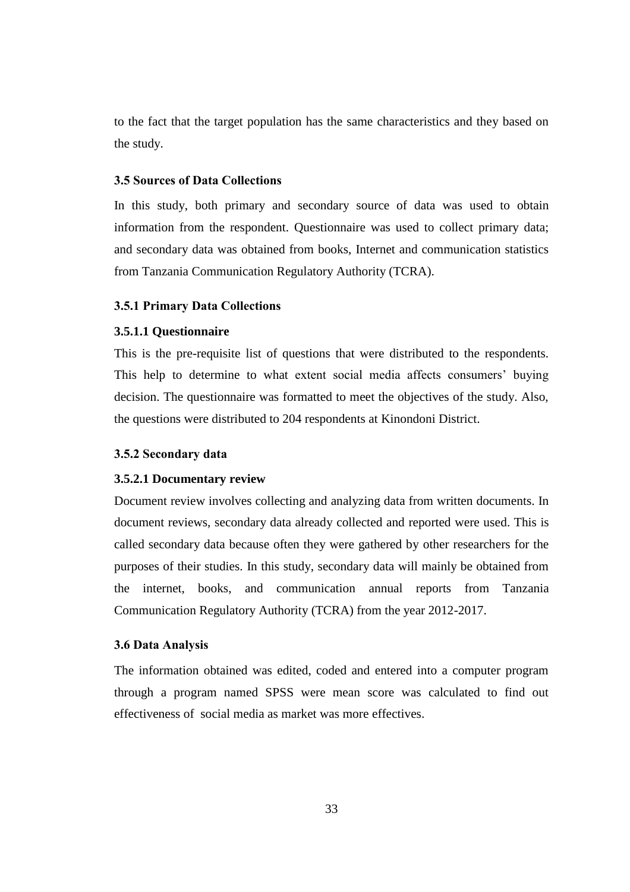to the fact that the target population has the same characteristics and they based on the study.

## **3.5 Sources of Data Collections**

In this study, both primary and secondary source of data was used to obtain information from the respondent. Questionnaire was used to collect primary data; and secondary data was obtained from books, Internet and communication statistics from Tanzania Communication Regulatory Authority (TCRA).

### **3.5.1 Primary Data Collections**

## **3.5.1.1 Questionnaire**

This is the pre-requisite list of questions that were distributed to the respondents. This help to determine to what extent social media affects consumers' buying decision. The questionnaire was formatted to meet the objectives of the study. Also, the questions were distributed to 204 respondents at Kinondoni District.

### **3.5.2 Secondary data**

### **3.5.2.1 Documentary review**

Document review involves collecting and analyzing data from written documents. In document reviews, secondary data already collected and reported were used. This is called secondary data because often they were gathered by other researchers for the purposes of their studies. In this study, secondary data will mainly be obtained from the internet, books, and communication annual reports from Tanzania Communication Regulatory Authority (TCRA) from the year 2012-2017.

### **3.6 Data Analysis**

The information obtained was edited, coded and entered into a computer program through a program named SPSS were mean score was calculated to find out effectiveness of social media as market was more effectives.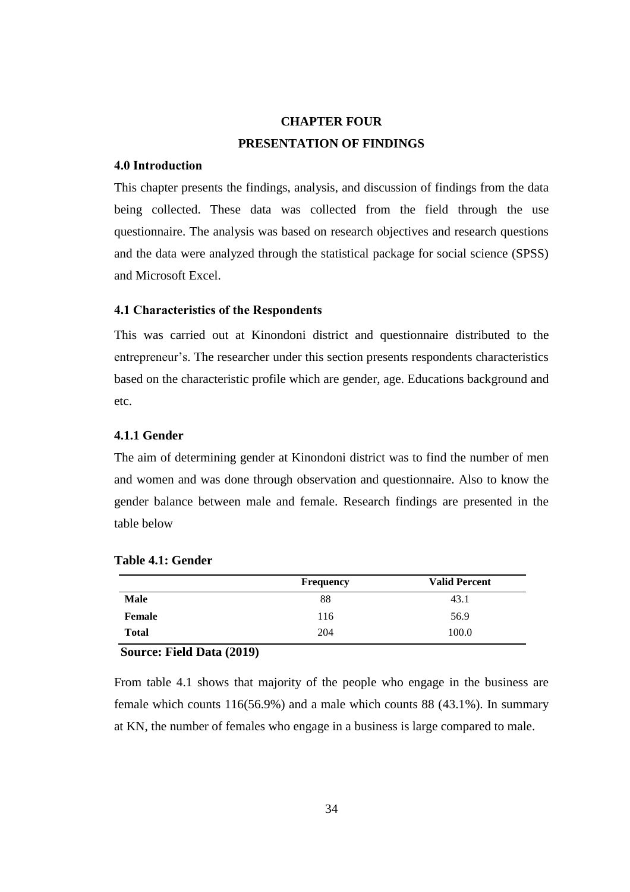# **CHAPTER FOUR PRESENTATION OF FINDINGS**

## **4.0 Introduction**

This chapter presents the findings, analysis, and discussion of findings from the data being collected. These data was collected from the field through the use questionnaire. The analysis was based on research objectives and research questions and the data were analyzed through the statistical package for social science (SPSS) and Microsoft Excel.

## **4.1 Characteristics of the Respondents**

This was carried out at Kinondoni district and questionnaire distributed to the entrepreneur's. The researcher under this section presents respondents characteristics based on the characteristic profile which are gender, age. Educations background and etc.

## **4.1.1 Gender**

The aim of determining gender at Kinondoni district was to find the number of men and women and was done through observation and questionnaire. Also to know the gender balance between male and female. Research findings are presented in the table below

|              | <b>Frequency</b> | <b>Valid Percent</b> |
|--------------|------------------|----------------------|
| <b>Male</b>  | 88               | 43.1                 |
| Female       | 116              | 56.9                 |
| <b>Total</b> | 204              | 100.0                |

## **Table 4.1: Gender**

### **Source: Field Data (2019)**

From table 4.1 shows that majority of the people who engage in the business are female which counts 116(56.9%) and a male which counts 88 (43.1%). In summary at KN, the number of females who engage in a business is large compared to male.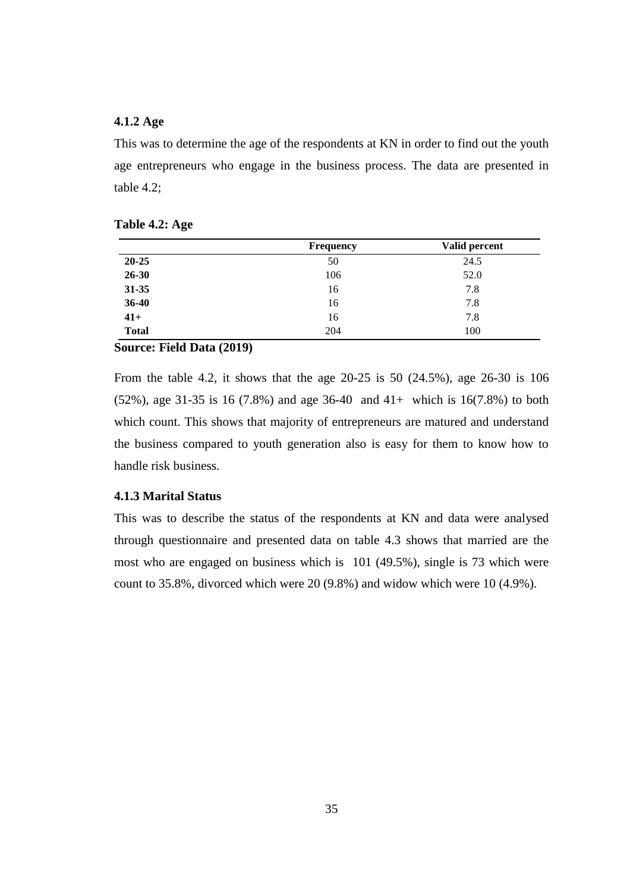## **4.1.2 Age**

This was to determine the age of the respondents at KN in order to find out the youth age entrepreneurs who engage in the business process. The data are presented in table 4.2;

|              | <b>Frequency</b> | Valid percent |
|--------------|------------------|---------------|
| 20-25        | 50               | 24.5          |
| 26-30        | 106              | 52.0          |
| 31-35        | 16               | 7.8           |
| 36-40        | 16               | 7.8           |
| $41+$        | 16               | 7.8           |
| <b>Total</b> | 204              | 100           |

| <b>Table 4.2: Age</b> |  |  |
|-----------------------|--|--|
|-----------------------|--|--|

### **Source: Field Data (2019)**

From the table 4.2, it shows that the age 20-25 is 50 (24.5%), age 26-30 is 106 (52%), age 31-35 is 16 (7.8%) and age 36-40 and 41+ which is 16(7.8%) to both which count. This shows that majority of entrepreneurs are matured and understand the business compared to youth generation also is easy for them to know how to handle risk business.

### **4.1.3 Marital Status**

This was to describe the status of the respondents at KN and data were analysed through questionnaire and presented data on table 4.3 shows that married are the most who are engaged on business which is 101 (49.5%), single is 73 which were count to 35.8%, divorced which were 20 (9.8%) and widow which were 10 (4.9%).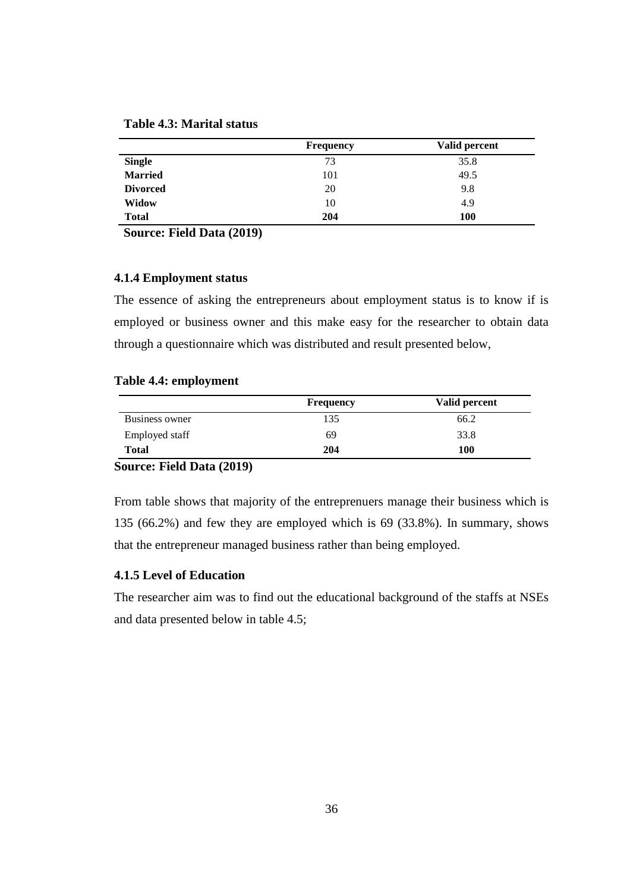|                 | <b>Frequency</b> | Valid percent |
|-----------------|------------------|---------------|
| <b>Single</b>   | 73               | 35.8          |
| <b>Married</b>  | 101              | 49.5          |
| <b>Divorced</b> | 20               | 9.8           |
| <b>Widow</b>    | 10               | 4.9           |
| <b>Total</b>    | 204              | 100           |

**Source: Field Data (2019)**

### **4.1.4 Employment status**

The essence of asking the entrepreneurs about employment status is to know if is employed or business owner and this make easy for the researcher to obtain data through a questionnaire which was distributed and result presented below,

### **Table 4.4: employment**

|                | <b>Frequency</b> | Valid percent |
|----------------|------------------|---------------|
| Business owner | 135              | 66.2          |
| Employed staff | 69               | 33.8          |
| Total          | 204              | 100           |

## **Source: Field Data (2019)**

From table shows that majority of the entreprenuers manage their business which is 135 (66.2%) and few they are employed which is 69 (33.8%). In summary, shows that the entrepreneur managed business rather than being employed.

## **4.1.5 Level of Education**

The researcher aim was to find out the educational background of the staffs at NSEs and data presented below in table 4.5;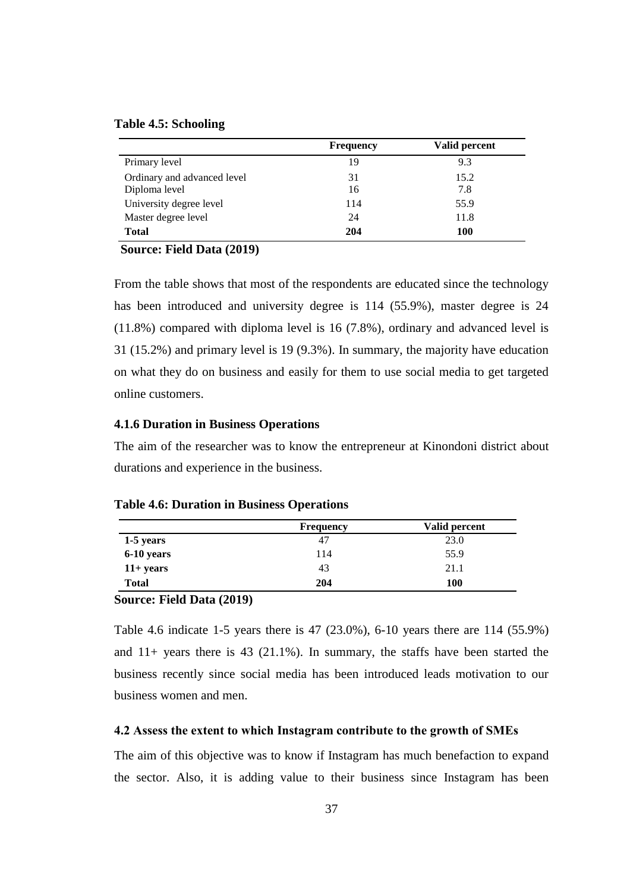### **Table 4.5: Schooling**

|                             | <b>Frequency</b> | Valid percent |
|-----------------------------|------------------|---------------|
| Primary level               | 19               | 9.3           |
| Ordinary and advanced level | 31               | 15.2          |
| Diploma level               | 16               | 7.8           |
| University degree level     | 114              | 55.9          |
| Master degree level         | 24               | 11.8          |
| <b>Total</b>                | 204              | 100           |

## **Source: Field Data (2019)**

From the table shows that most of the respondents are educated since the technology has been introduced and university degree is 114 (55.9%), master degree is 24 (11.8%) compared with diploma level is 16 (7.8%), ordinary and advanced level is 31 (15.2%) and primary level is 19 (9.3%). In summary, the majority have education on what they do on business and easily for them to use social media to get targeted online customers.

## **4.1.6 Duration in Business Operations**

The aim of the researcher was to know the entrepreneur at Kinondoni district about durations and experience in the business.

|              | <b>Frequency</b> | Valid percent |
|--------------|------------------|---------------|
| 1-5 years    | 47               | 23.0          |
| $6-10$ years | 114              | 55.9          |
| $11+ years$  | 43               | 21.1          |
| <b>Total</b> | 204              | 100           |

**Table 4.6: Duration in Business Operations** 

### **Source: Field Data (2019)**

Table 4.6 indicate 1-5 years there is 47 (23.0%), 6-10 years there are 114 (55.9%) and 11+ years there is 43 (21.1%). In summary, the staffs have been started the business recently since social media has been introduced leads motivation to our business women and men.

### **4.2 Assess the extent to which Instagram contribute to the growth of SMEs**

The aim of this objective was to know if Instagram has much benefaction to expand the sector. Also, it is adding value to their business since Instagram has been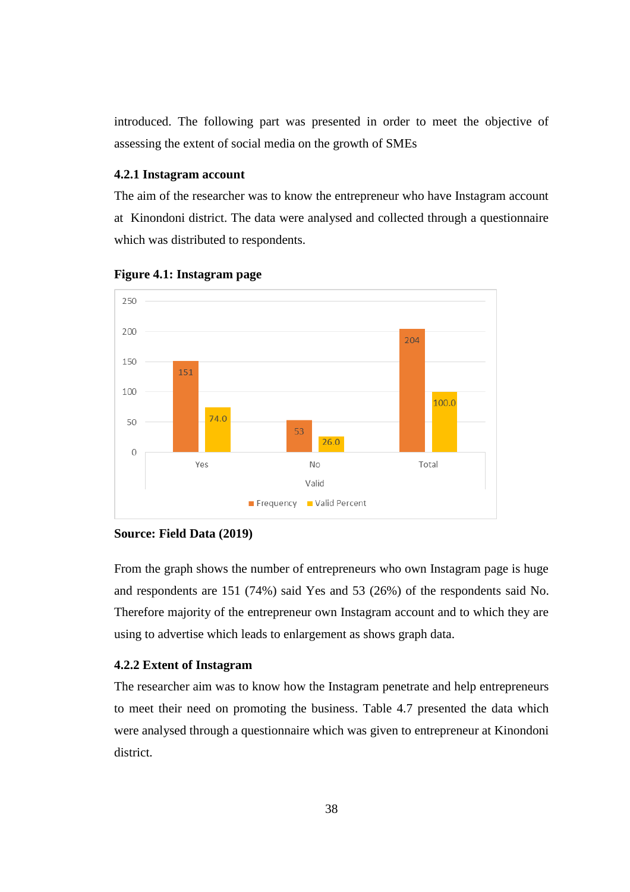introduced. The following part was presented in order to meet the objective of assessing the extent of social media on the growth of SMEs

## **4.2.1 Instagram account**

The aim of the researcher was to know the entrepreneur who have Instagram account at Kinondoni district. The data were analysed and collected through a questionnaire which was distributed to respondents.



### **Figure 4.1: Instagram page**

### **Source: Field Data (2019)**

From the graph shows the number of entrepreneurs who own Instagram page is huge and respondents are 151 (74%) said Yes and 53 (26%) of the respondents said No. Therefore majority of the entrepreneur own Instagram account and to which they are using to advertise which leads to enlargement as shows graph data.

### **4.2.2 Extent of Instagram**

The researcher aim was to know how the Instagram penetrate and help entrepreneurs to meet their need on promoting the business. Table 4.7 presented the data which were analysed through a questionnaire which was given to entrepreneur at Kinondoni district.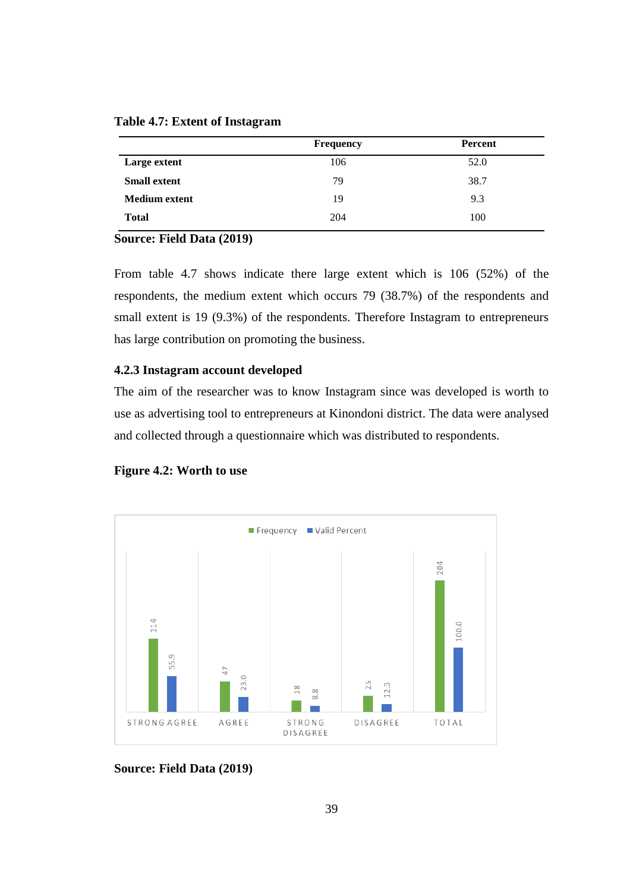|                      | <b>Frequency</b> | Percent |
|----------------------|------------------|---------|
| Large extent         | 106              | 52.0    |
| <b>Small extent</b>  | 79               | 38.7    |
| <b>Medium extent</b> | 19               | 9.3     |
| <b>Total</b>         | 204              | 100     |

**Table 4.7: Extent of Instagram**

## **Source: Field Data (2019)**

From table 4.7 shows indicate there large extent which is 106 (52%) of the respondents, the medium extent which occurs 79 (38.7%) of the respondents and small extent is 19 (9.3%) of the respondents. Therefore Instagram to entrepreneurs has large contribution on promoting the business.

## **4.2.3 Instagram account developed**

The aim of the researcher was to know Instagram since was developed is worth to use as advertising tool to entrepreneurs at Kinondoni district. The data were analysed and collected through a questionnaire which was distributed to respondents.





**Source: Field Data (2019)**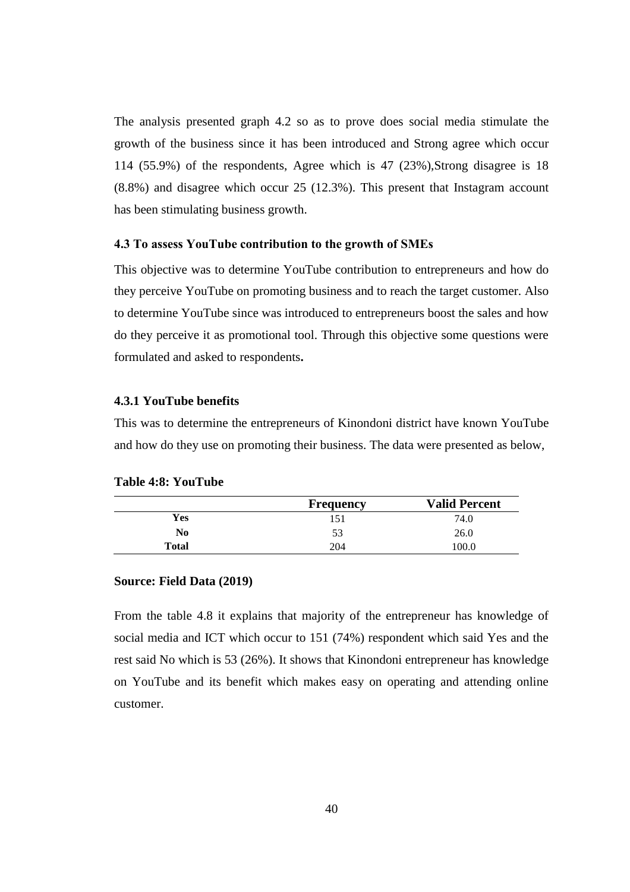The analysis presented graph 4.2 so as to prove does social media stimulate the growth of the business since it has been introduced and Strong agree which occur 114 (55.9%) of the respondents, Agree which is 47 (23%),Strong disagree is 18 (8.8%) and disagree which occur 25 (12.3%). This present that Instagram account has been stimulating business growth.

### **4.3 To assess YouTube contribution to the growth of SMEs**

This objective was to determine YouTube contribution to entrepreneurs and how do they perceive YouTube on promoting business and to reach the target customer. Also to determine YouTube since was introduced to entrepreneurs boost the sales and how do they perceive it as promotional tool. Through this objective some questions were formulated and asked to respondents**.**

## **4.3.1 YouTube benefits**

This was to determine the entrepreneurs of Kinondoni district have known YouTube and how do they use on promoting their business. The data were presented as below,

|                | <b>Frequency</b> | <b>Valid Percent</b> |
|----------------|------------------|----------------------|
| Yes            | 151              | 74.0                 |
| N <sub>0</sub> | 53               | 26.0                 |
| Total          | 204              | 100.0                |

## **Table 4:8: YouTube**

#### **Source: Field Data (2019)**

From the table 4.8 it explains that majority of the entrepreneur has knowledge of social media and ICT which occur to 151 (74%) respondent which said Yes and the rest said No which is 53 (26%). It shows that Kinondoni entrepreneur has knowledge on YouTube and its benefit which makes easy on operating and attending online customer.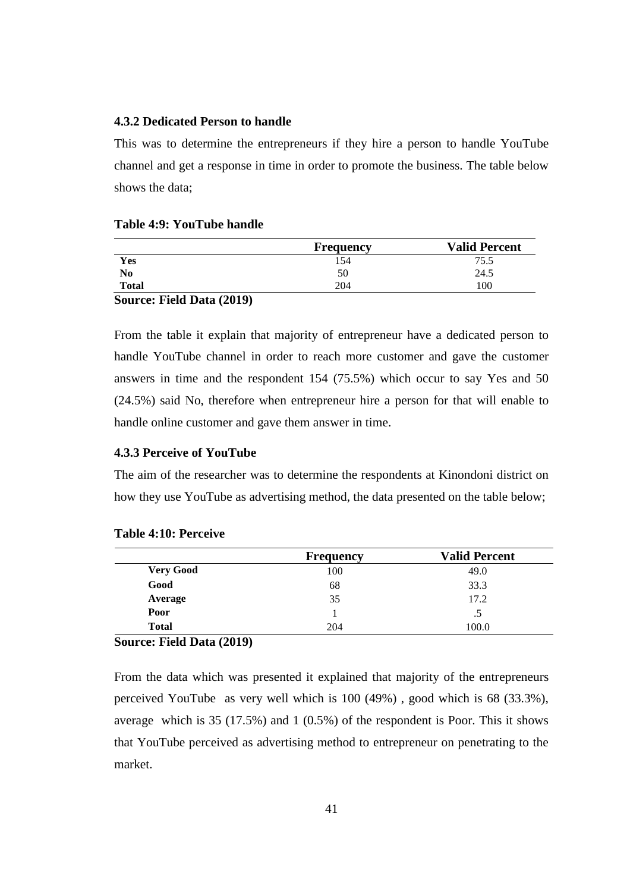## **4.3.2 Dedicated Person to handle**

This was to determine the entrepreneurs if they hire a person to handle YouTube channel and get a response in time in order to promote the business. The table below shows the data;

|              | <b>Frequency</b> | <b>Valid Percent</b> |
|--------------|------------------|----------------------|
| Yes          | 154              | 75.5                 |
| No           | 50               | 24.5                 |
| <b>Total</b> | 204              | 100                  |

#### **Table 4:9: YouTube handle**

#### **Source: Field Data (2019)**

From the table it explain that majority of entrepreneur have a dedicated person to handle YouTube channel in order to reach more customer and gave the customer answers in time and the respondent 154 (75.5%) which occur to say Yes and 50 (24.5%) said No, therefore when entrepreneur hire a person for that will enable to handle online customer and gave them answer in time.

## **4.3.3 Perceive of YouTube**

The aim of the researcher was to determine the respondents at Kinondoni district on how they use YouTube as advertising method, the data presented on the table below;

|                  | <b>Frequency</b> | <b>Valid Percent</b> |
|------------------|------------------|----------------------|
| <b>Very Good</b> | 100              | 49.0                 |
| Good             | 68               | 33.3                 |
| Average          | 35               | 17.2                 |
| Poor             |                  | .5                   |
| <b>Total</b>     | 204              | 100.0                |

### **Table 4:10: Perceive**

### **Source: Field Data (2019)**

From the data which was presented it explained that majority of the entrepreneurs perceived YouTube as very well which is 100 (49%) , good which is 68 (33.3%), average which is 35 (17.5%) and 1 (0.5%) of the respondent is Poor. This it shows that YouTube perceived as advertising method to entrepreneur on penetrating to the market.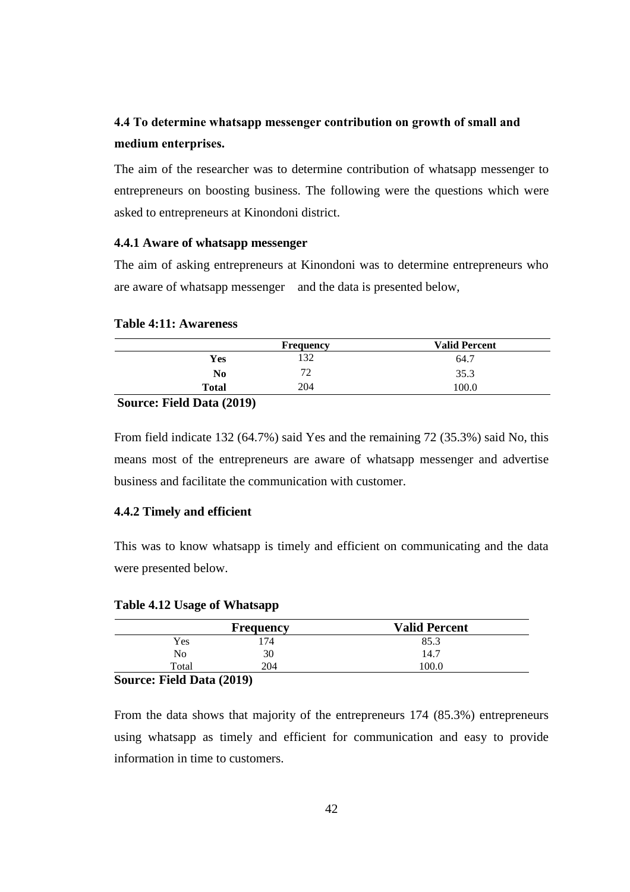# **4.4 To determine whatsapp messenger contribution on growth of small and medium enterprises.**

The aim of the researcher was to determine contribution of whatsapp messenger to entrepreneurs on boosting business. The following were the questions which were asked to entrepreneurs at Kinondoni district.

## **4.4.1 Aware of whatsapp messenger**

The aim of asking entrepreneurs at Kinondoni was to determine entrepreneurs who are aware of whatsapp messenger and the data is presented below,

### **Table 4:11: Awareness**

|              | <b>Frequency</b> | <b>Valid Percent</b> |
|--------------|------------------|----------------------|
| Yes          | 132              | 64.7                 |
| No           | 70<br>∠          | 35.3                 |
| <b>Total</b> | 204              | 100.0                |
| $\sim$       |                  |                      |

#### **Source: Field Data (2019)**

From field indicate 132 (64.7%) said Yes and the remaining 72 (35.3%) said No, this means most of the entrepreneurs are aware of whatsapp messenger and advertise business and facilitate the communication with customer.

## **4.4.2 Timely and efficient**

This was to know whatsapp is timely and efficient on communicating and the data were presented below.

## **Table 4.12 Usage of Whatsapp**

|       | <b>Frequency</b> | <b>Valid Percent</b> |
|-------|------------------|----------------------|
| Yes   | 74               | 85.3                 |
| No    | 30               | 14.7                 |
| Total | 204              | 100.0                |
|       |                  |                      |

### **Source: Field Data (2019)**

From the data shows that majority of the entrepreneurs 174 (85.3%) entrepreneurs using whatsapp as timely and efficient for communication and easy to provide information in time to customers.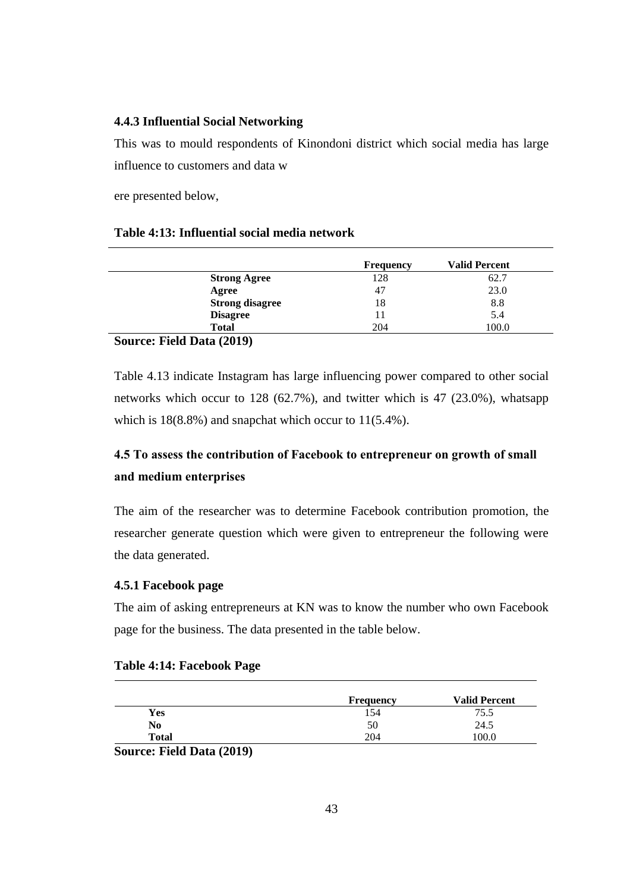## **4.4.3 Influential Social Networking**

This was to mould respondents of Kinondoni district which social media has large influence to customers and data w

ere presented below,

## **Table 4:13: Influential social media network**

|                                  | <b>Frequency</b> | <b>Valid Percent</b> |
|----------------------------------|------------------|----------------------|
| <b>Strong Agree</b>              | 128              | 62.7                 |
| Agree                            | 47               | 23.0                 |
| <b>Strong disagree</b>           | 18               | 8.8                  |
| <b>Disagree</b>                  | 11               | 5.4                  |
| <b>Total</b>                     | 204              | 100.0                |
| $\sim$<br>$E'$ iin $\ell$ (8040) |                  |                      |

## **Source: Field Data (2019)**

Table 4.13 indicate Instagram has large influencing power compared to other social networks which occur to 128 (62.7%), and twitter which is 47 (23.0%), whatsapp which is  $18(8.8\%)$  and snapchat which occur to  $11(5.4\%).$ 

# **4.5 To assess the contribution of Facebook to entrepreneur on growth of small and medium enterprises**

The aim of the researcher was to determine Facebook contribution promotion, the researcher generate question which were given to entrepreneur the following were the data generated.

## **4.5.1 Facebook page**

The aim of asking entrepreneurs at KN was to know the number who own Facebook page for the business. The data presented in the table below.

|                | <b>Frequency</b> | <b>Valid Percent</b> |
|----------------|------------------|----------------------|
| Yes            | 154              | 75.5                 |
| N <sub>0</sub> | 50               | 24.5                 |
| <b>Total</b>   | 204              | .00.0                |

### **Table 4:14: Facebook Page**

**Source: Field Data (2019)**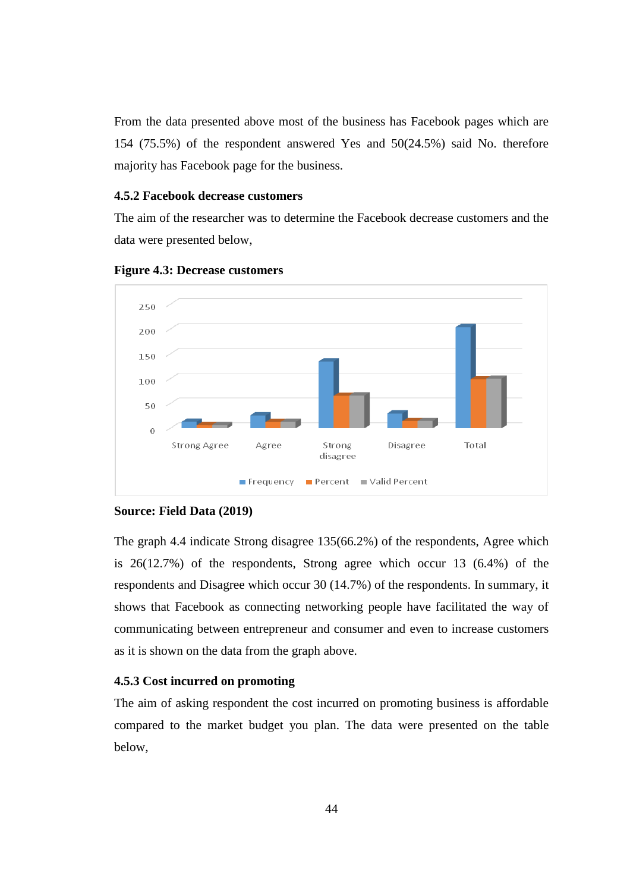From the data presented above most of the business has Facebook pages which are 154 (75.5%) of the respondent answered Yes and 50(24.5%) said No. therefore majority has Facebook page for the business.

### **4.5.2 Facebook decrease customers**

The aim of the researcher was to determine the Facebook decrease customers and the data were presented below,





### **Source: Field Data (2019)**

The graph 4.4 indicate Strong disagree 135(66.2%) of the respondents, Agree which is 26(12.7%) of the respondents, Strong agree which occur 13 (6.4%) of the respondents and Disagree which occur 30 (14.7%) of the respondents. In summary, it shows that Facebook as connecting networking people have facilitated the way of communicating between entrepreneur and consumer and even to increase customers as it is shown on the data from the graph above.

### **4.5.3 Cost incurred on promoting**

The aim of asking respondent the cost incurred on promoting business is affordable compared to the market budget you plan. The data were presented on the table below,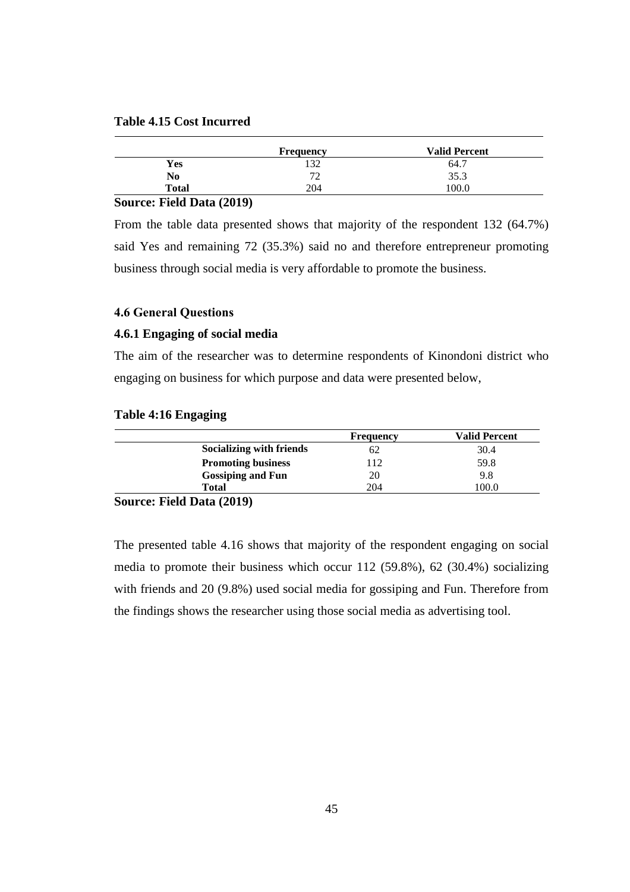## **Table 4.15 Cost Incurred**

|              | <b>Frequency</b> | <b>Valid Percent</b> |
|--------------|------------------|----------------------|
| Yes          | 132              | 64.7                 |
| No           | 70<br>∠          | 35.3                 |
| <b>Total</b> | 204              | 100.0                |
| .<br>_______ |                  |                      |

## **Source: Field Data (2019)**

From the table data presented shows that majority of the respondent 132 (64.7%) said Yes and remaining 72 (35.3%) said no and therefore entrepreneur promoting business through social media is very affordable to promote the business.

### **4.6 General Questions**

## **4.6.1 Engaging of social media**

The aim of the researcher was to determine respondents of Kinondoni district who engaging on business for which purpose and data were presented below,

### **Table 4:16 Engaging**

|                           | Frequency | <b>Valid Percent</b> |
|---------------------------|-----------|----------------------|
| Socializing with friends  | 62        | 30.4                 |
| <b>Promoting business</b> | 112       | 59.8                 |
| <b>Gossiping and Fun</b>  | 20        | 9.8                  |
| Total                     | 204       | 0.00                 |

## **Source: Field Data (2019)**

The presented table 4.16 shows that majority of the respondent engaging on social media to promote their business which occur 112 (59.8%), 62 (30.4%) socializing with friends and 20 (9.8%) used social media for gossiping and Fun. Therefore from the findings shows the researcher using those social media as advertising tool.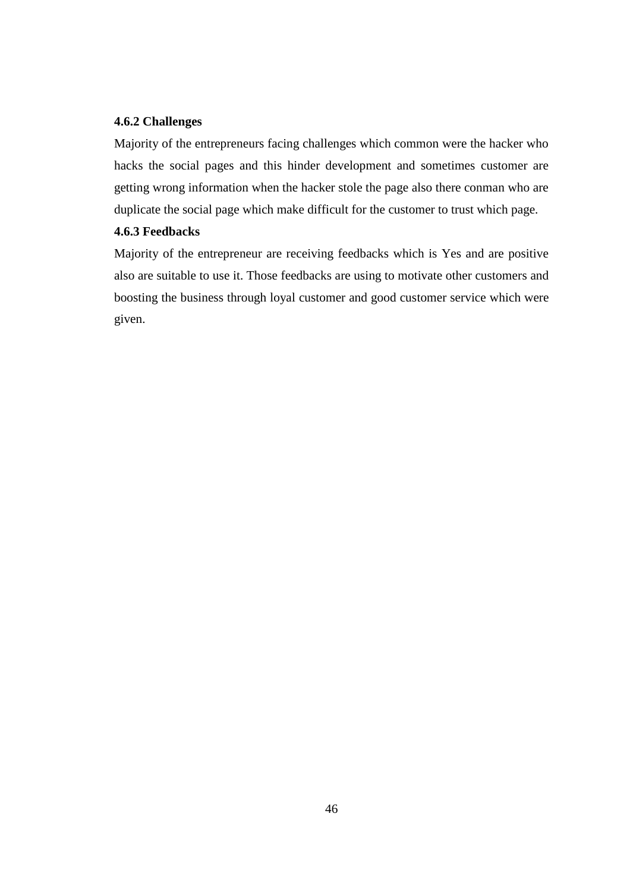## **4.6.2 Challenges**

Majority of the entrepreneurs facing challenges which common were the hacker who hacks the social pages and this hinder development and sometimes customer are getting wrong information when the hacker stole the page also there conman who are duplicate the social page which make difficult for the customer to trust which page.

## **4.6.3 Feedbacks**

Majority of the entrepreneur are receiving feedbacks which is Yes and are positive also are suitable to use it. Those feedbacks are using to motivate other customers and boosting the business through loyal customer and good customer service which were given.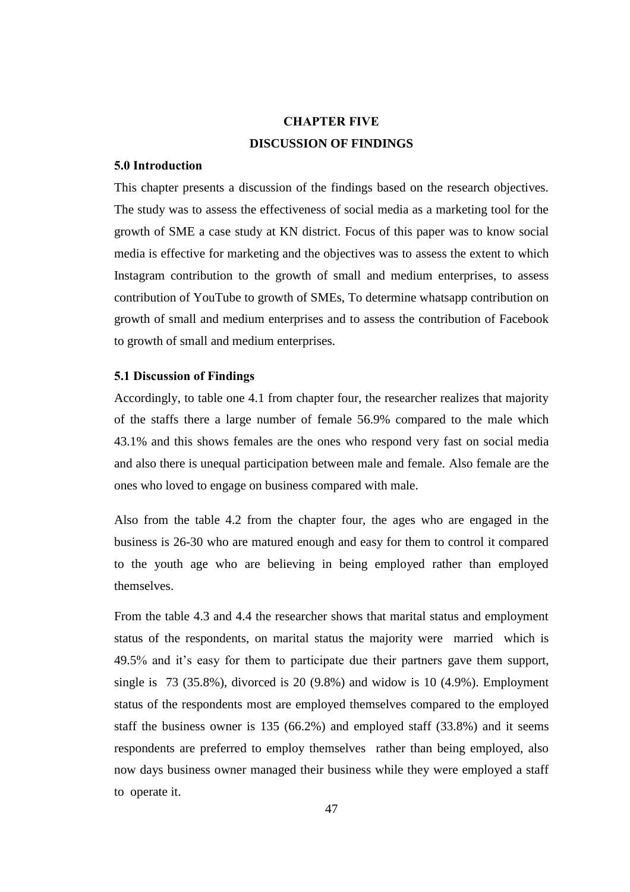# **CHAPTER FIVE DISCUSSION OF FINDINGS**

### **5.0 Introduction**

This chapter presents a discussion of the findings based on the research objectives. The study was to assess the effectiveness of social media as a marketing tool for the growth of SME a case study at KN district. Focus of this paper was to know social media is effective for marketing and the objectives was to assess the extent to which Instagram contribution to the growth of small and medium enterprises, to assess contribution of YouTube to growth of SMEs, To determine whatsapp contribution on growth of small and medium enterprises and to assess the contribution of Facebook to growth of small and medium enterprises.

## **5.1 Discussion of Findings**

Accordingly, to table one 4.1 from chapter four, the researcher realizes that majority of the staffs there a large number of female 56.9% compared to the male which 43.1% and this shows females are the ones who respond very fast on social media and also there is unequal participation between male and female. Also female are the ones who loved to engage on business compared with male.

Also from the table 4.2 from the chapter four, the ages who are engaged in the business is 26-30 who are matured enough and easy for them to control it compared to the youth age who are believing in being employed rather than employed themselves.

From the table 4.3 and 4.4 the researcher shows that marital status and employment status of the respondents, on marital status the majority were married which is 49.5% and it's easy for them to participate due their partners gave them support, single is 73 (35.8%), divorced is 20 (9.8%) and widow is 10 (4.9%). Employment status of the respondents most are employed themselves compared to the employed staff the business owner is 135 (66.2%) and employed staff (33.8%) and it seems respondents are preferred to employ themselves rather than being employed, also now days business owner managed their business while they were employed a staff to operate it.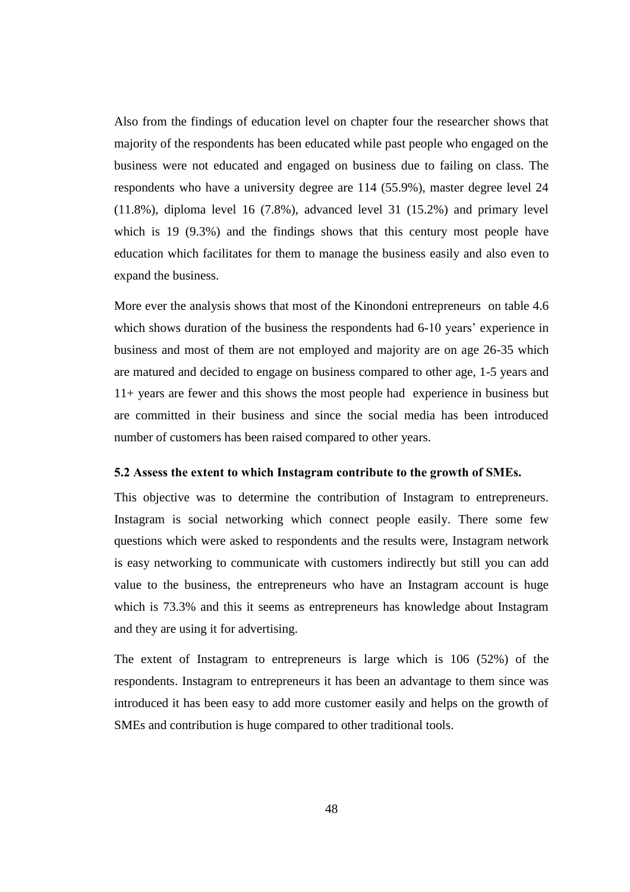Also from the findings of education level on chapter four the researcher shows that majority of the respondents has been educated while past people who engaged on the business were not educated and engaged on business due to failing on class. The respondents who have a university degree are 114 (55.9%), master degree level 24 (11.8%), diploma level 16 (7.8%), advanced level 31 (15.2%) and primary level which is 19 (9.3%) and the findings shows that this century most people have education which facilitates for them to manage the business easily and also even to expand the business.

More ever the analysis shows that most of the Kinondoni entrepreneurs on table 4.6 which shows duration of the business the respondents had 6-10 years' experience in business and most of them are not employed and majority are on age 26-35 which are matured and decided to engage on business compared to other age, 1-5 years and 11+ years are fewer and this shows the most people had experience in business but are committed in their business and since the social media has been introduced number of customers has been raised compared to other years.

### **5.2 Assess the extent to which Instagram contribute to the growth of SMEs.**

This objective was to determine the contribution of Instagram to entrepreneurs. Instagram is social networking which connect people easily. There some few questions which were asked to respondents and the results were, Instagram network is easy networking to communicate with customers indirectly but still you can add value to the business, the entrepreneurs who have an Instagram account is huge which is 73.3% and this it seems as entrepreneurs has knowledge about Instagram and they are using it for advertising.

The extent of Instagram to entrepreneurs is large which is 106 (52%) of the respondents. Instagram to entrepreneurs it has been an advantage to them since was introduced it has been easy to add more customer easily and helps on the growth of SMEs and contribution is huge compared to other traditional tools.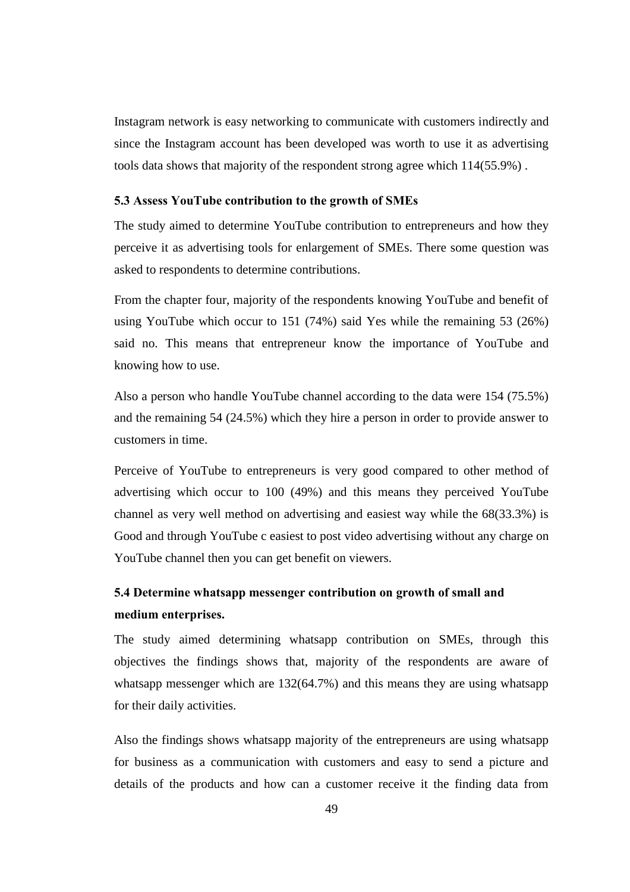Instagram network is easy networking to communicate with customers indirectly and since the Instagram account has been developed was worth to use it as advertising tools data shows that majority of the respondent strong agree which 114(55.9%) .

### **5.3 Assess YouTube contribution to the growth of SMEs**

The study aimed to determine YouTube contribution to entrepreneurs and how they perceive it as advertising tools for enlargement of SMEs. There some question was asked to respondents to determine contributions.

From the chapter four, majority of the respondents knowing YouTube and benefit of using YouTube which occur to 151 (74%) said Yes while the remaining 53 (26%) said no. This means that entrepreneur know the importance of YouTube and knowing how to use.

Also a person who handle YouTube channel according to the data were 154 (75.5%) and the remaining 54 (24.5%) which they hire a person in order to provide answer to customers in time.

Perceive of YouTube to entrepreneurs is very good compared to other method of advertising which occur to 100 (49%) and this means they perceived YouTube channel as very well method on advertising and easiest way while the 68(33.3%) is Good and through YouTube c easiest to post video advertising without any charge on YouTube channel then you can get benefit on viewers.

# **5.4 Determine whatsapp messenger contribution on growth of small and medium enterprises.**

The study aimed determining whatsapp contribution on SMEs, through this objectives the findings shows that, majority of the respondents are aware of whatsapp messenger which are 132(64.7%) and this means they are using whatsapp for their daily activities.

Also the findings shows whatsapp majority of the entrepreneurs are using whatsapp for business as a communication with customers and easy to send a picture and details of the products and how can a customer receive it the finding data from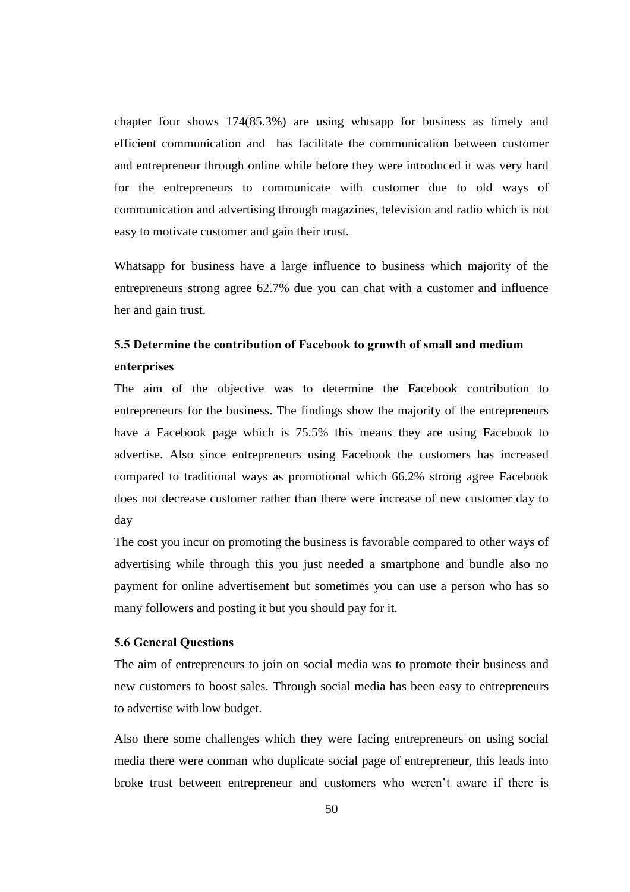chapter four shows 174(85.3%) are using whtsapp for business as timely and efficient communication and has facilitate the communication between customer and entrepreneur through online while before they were introduced it was very hard for the entrepreneurs to communicate with customer due to old ways of communication and advertising through magazines, television and radio which is not easy to motivate customer and gain their trust.

Whatsapp for business have a large influence to business which majority of the entrepreneurs strong agree 62.7% due you can chat with a customer and influence her and gain trust.

# **5.5 Determine the contribution of Facebook to growth of small and medium enterprises**

The aim of the objective was to determine the Facebook contribution to entrepreneurs for the business. The findings show the majority of the entrepreneurs have a Facebook page which is 75.5% this means they are using Facebook to advertise. Also since entrepreneurs using Facebook the customers has increased compared to traditional ways as promotional which 66.2% strong agree Facebook does not decrease customer rather than there were increase of new customer day to day

The cost you incur on promoting the business is favorable compared to other ways of advertising while through this you just needed a smartphone and bundle also no payment for online advertisement but sometimes you can use a person who has so many followers and posting it but you should pay for it.

## **5.6 General Questions**

The aim of entrepreneurs to join on social media was to promote their business and new customers to boost sales. Through social media has been easy to entrepreneurs to advertise with low budget.

Also there some challenges which they were facing entrepreneurs on using social media there were conman who duplicate social page of entrepreneur, this leads into broke trust between entrepreneur and customers who weren't aware if there is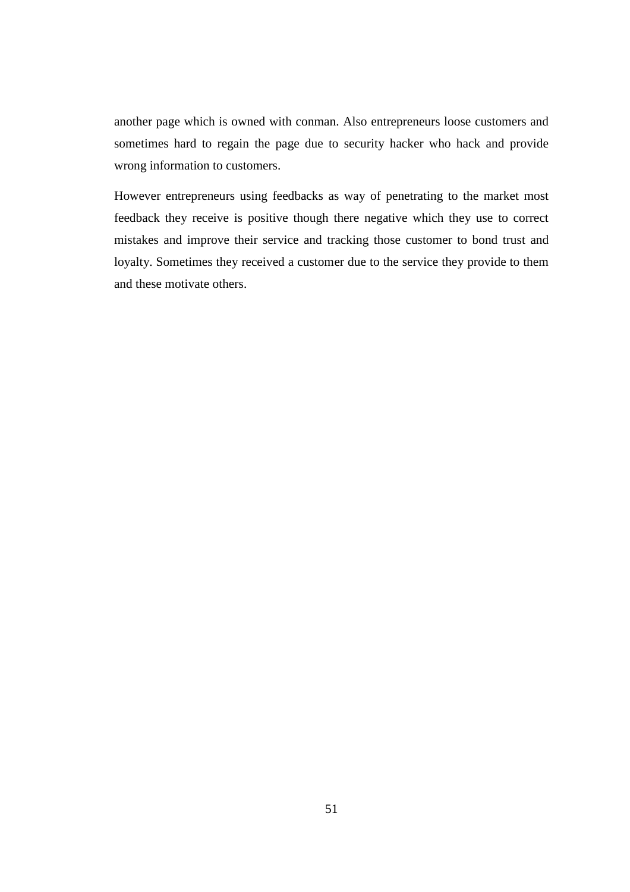another page which is owned with conman. Also entrepreneurs loose customers and sometimes hard to regain the page due to security hacker who hack and provide wrong information to customers.

However entrepreneurs using feedbacks as way of penetrating to the market most feedback they receive is positive though there negative which they use to correct mistakes and improve their service and tracking those customer to bond trust and loyalty. Sometimes they received a customer due to the service they provide to them and these motivate others.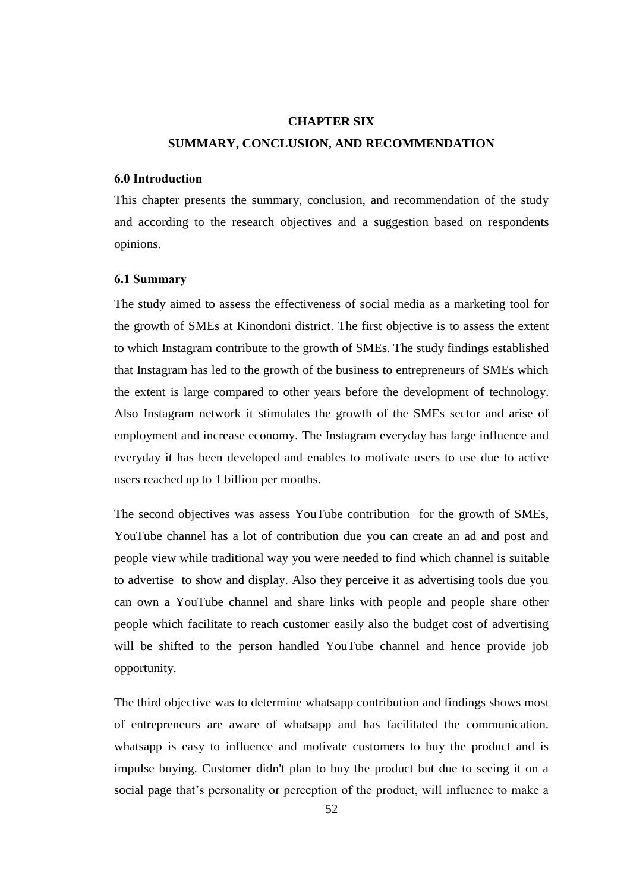# **CHAPTER SIX SUMMARY, CONCLUSION, AND RECOMMENDATION**

## **6.0 Introduction**

This chapter presents the summary, conclusion, and recommendation of the study and according to the research objectives and a suggestion based on respondents opinions.

### **6.1 Summary**

The study aimed to assess the effectiveness of social media as a marketing tool for the growth of SMEs at Kinondoni district. The first objective is to assess the extent to which Instagram contribute to the growth of SMEs. The study findings established that Instagram has led to the growth of the business to entrepreneurs of SMEs which the extent is large compared to other years before the development of technology. Also Instagram network it stimulates the growth of the SMEs sector and arise of employment and increase economy. The Instagram everyday has large influence and everyday it has been developed and enables to motivate users to use due to active users reached up to 1 billion per months.

The second objectives was assess YouTube contribution for the growth of SMEs, YouTube channel has a lot of contribution due you can create an ad and post and people view while traditional way you were needed to find which channel is suitable to advertise to show and display. Also they perceive it as advertising tools due you can own a YouTube channel and share links with people and people share other people which facilitate to reach customer easily also the budget cost of advertising will be shifted to the person handled YouTube channel and hence provide job opportunity.

The third objective was to determine whatsapp contribution and findings shows most of entrepreneurs are aware of whatsapp and has facilitated the communication. whatsapp is easy to influence and motivate customers to buy the product and is impulse buying. Customer didn't plan to buy the product but due to seeing it on a social page that's personality or perception of the product, will influence to make a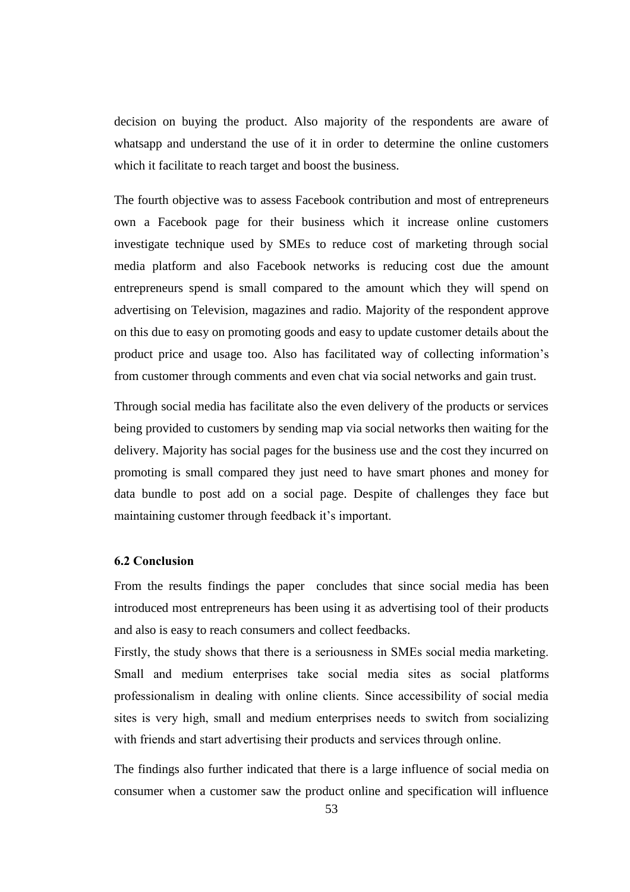decision on buying the product. Also majority of the respondents are aware of whatsapp and understand the use of it in order to determine the online customers which it facilitate to reach target and boost the business.

The fourth objective was to assess Facebook contribution and most of entrepreneurs own a Facebook page for their business which it increase online customers investigate technique used by SMEs to reduce cost of marketing through social media platform and also Facebook networks is reducing cost due the amount entrepreneurs spend is small compared to the amount which they will spend on advertising on Television, magazines and radio. Majority of the respondent approve on this due to easy on promoting goods and easy to update customer details about the product price and usage too. Also has facilitated way of collecting information's from customer through comments and even chat via social networks and gain trust.

Through social media has facilitate also the even delivery of the products or services being provided to customers by sending map via social networks then waiting for the delivery. Majority has social pages for the business use and the cost they incurred on promoting is small compared they just need to have smart phones and money for data bundle to post add on a social page. Despite of challenges they face but maintaining customer through feedback it's important.

## **6.2 Conclusion**

From the results findings the paper concludes that since social media has been introduced most entrepreneurs has been using it as advertising tool of their products and also is easy to reach consumers and collect feedbacks.

Firstly, the study shows that there is a seriousness in SMEs social media marketing. Small and medium enterprises take social media sites as social platforms professionalism in dealing with online clients. Since accessibility of social media sites is very high, small and medium enterprises needs to switch from socializing with friends and start advertising their products and services through online.

The findings also further indicated that there is a large influence of social media on consumer when a customer saw the product online and specification will influence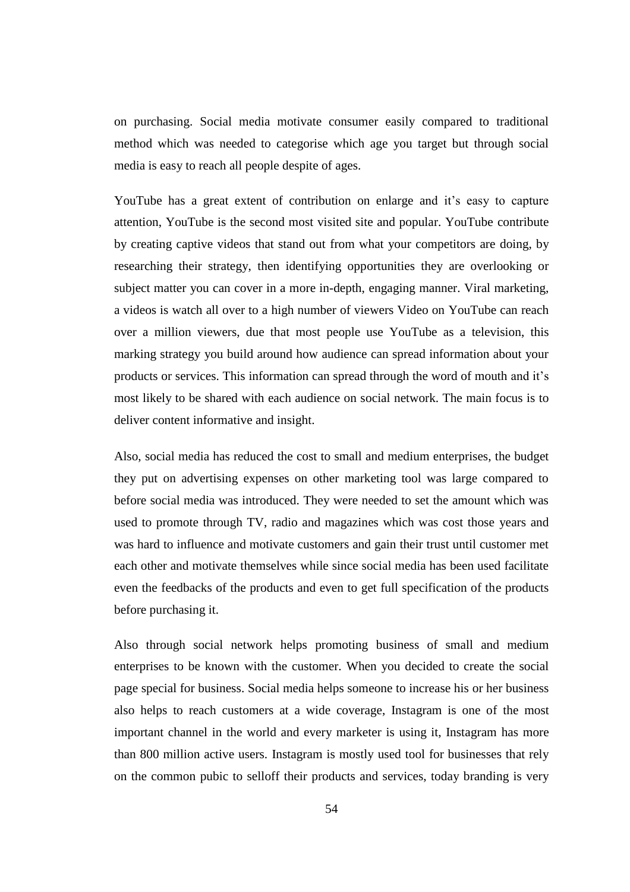on purchasing. Social media motivate consumer easily compared to traditional method which was needed to categorise which age you target but through social media is easy to reach all people despite of ages.

YouTube has a great extent of contribution on enlarge and it's easy to capture attention, YouTube is the second most visited site and popular. YouTube contribute by creating captive videos that stand out from what your competitors are doing, by researching their strategy, then identifying opportunities they are overlooking or subject matter you can cover in a more in-depth, engaging manner. Viral marketing, a videos is watch all over to a high number of viewers Video on YouTube can reach over a million viewers, due that most people use YouTube as a television, this marking strategy you build around how audience can spread information about your products or services. This information can spread through the word of mouth and it's most likely to be shared with each audience on social network. The main focus is to deliver content informative and insight.

Also, social media has reduced the cost to small and medium enterprises, the budget they put on advertising expenses on other marketing tool was large compared to before social media was introduced. They were needed to set the amount which was used to promote through TV, radio and magazines which was cost those years and was hard to influence and motivate customers and gain their trust until customer met each other and motivate themselves while since social media has been used facilitate even the feedbacks of the products and even to get full specification of the products before purchasing it.

Also through social network helps promoting business of small and medium enterprises to be known with the customer. When you decided to create the social page special for business. Social media helps someone to increase his or her business also helps to reach customers at a wide coverage, Instagram is one of the most important channel in the world and every marketer is using it, Instagram has more than 800 million active users. Instagram is mostly used tool for businesses that rely on the common pubic to selloff their products and services, today branding is very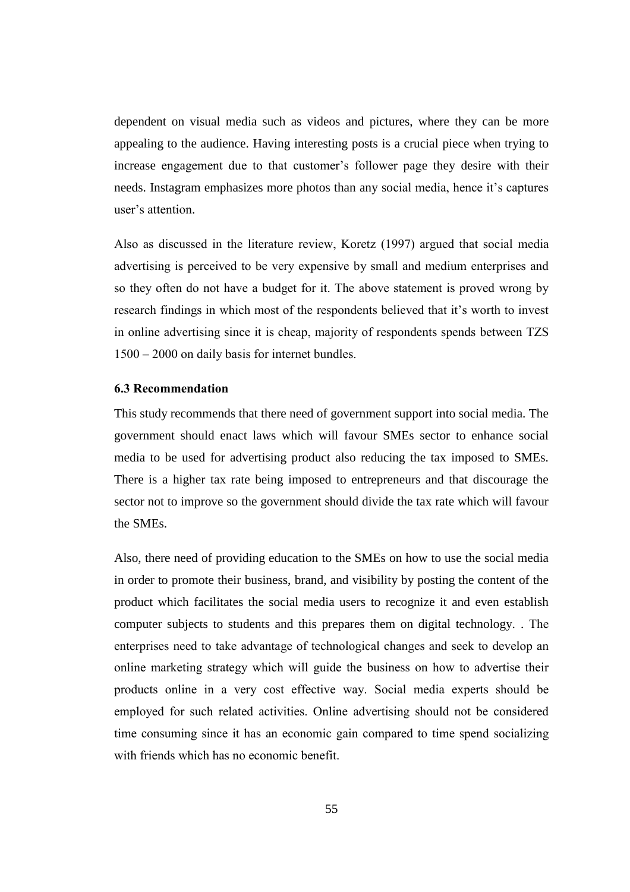dependent on visual media such as videos and pictures, where they can be more appealing to the audience. Having interesting posts is a crucial piece when trying to increase engagement due to that customer's follower page they desire with their needs. Instagram emphasizes more photos than any social media, hence it's captures user's attention.

Also as discussed in the literature review, Koretz (1997) argued that social media advertising is perceived to be very expensive by small and medium enterprises and so they often do not have a budget for it. The above statement is proved wrong by research findings in which most of the respondents believed that it's worth to invest in online advertising since it is cheap, majority of respondents spends between TZS 1500 – 2000 on daily basis for internet bundles.

## **6.3 Recommendation**

This study recommends that there need of government support into social media. The government should enact laws which will favour SMEs sector to enhance social media to be used for advertising product also reducing the tax imposed to SMEs. There is a higher tax rate being imposed to entrepreneurs and that discourage the sector not to improve so the government should divide the tax rate which will favour the SMEs.

Also, there need of providing education to the SMEs on how to use the social media in order to promote their business, brand, and visibility by posting the content of the product which facilitates the social media users to recognize it and even establish computer subjects to students and this prepares them on digital technology. . The enterprises need to take advantage of technological changes and seek to develop an online marketing strategy which will guide the business on how to advertise their products online in a very cost effective way. Social media experts should be employed for such related activities. Online advertising should not be considered time consuming since it has an economic gain compared to time spend socializing with friends which has no economic benefit.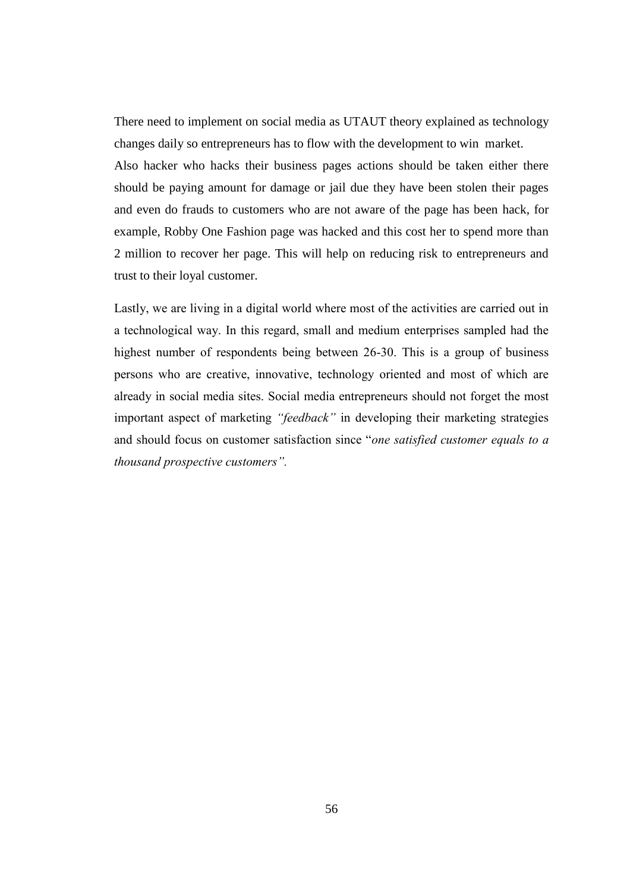There need to implement on social media as UTAUT theory explained as technology changes daily so entrepreneurs has to flow with the development to win market.

Also hacker who hacks their business pages actions should be taken either there should be paying amount for damage or jail due they have been stolen their pages and even do frauds to customers who are not aware of the page has been hack, for example, Robby One Fashion page was hacked and this cost her to spend more than 2 million to recover her page. This will help on reducing risk to entrepreneurs and trust to their loyal customer.

Lastly, we are living in a digital world where most of the activities are carried out in a technological way. In this regard, small and medium enterprises sampled had the highest number of respondents being between 26-30. This is a group of business persons who are creative, innovative, technology oriented and most of which are already in social media sites. Social media entrepreneurs should not forget the most important aspect of marketing *"feedback"* in developing their marketing strategies and should focus on customer satisfaction since "*one satisfied customer equals to a thousand prospective customers".*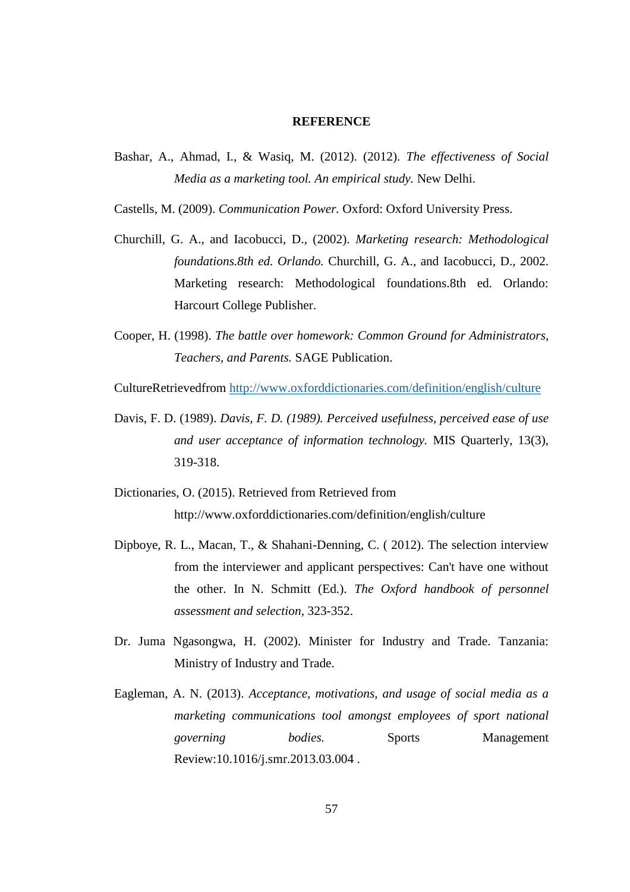#### **REFERENCE**

Bashar, A., Ahmad, I., & Wasiq, M. (2012). (2012). *The effectiveness of Social Media as a marketing tool. An empirical study.* New Delhi.

Castells, M. (2009). *Communication Power.* Oxford: Oxford University Press.

- Churchill, G. A., and Iacobucci, D., (2002). *Marketing research: Methodological foundations.8th ed. Orlando.* Churchill, G. A., and Iacobucci, D., 2002. Marketing research: Methodological foundations.8th ed. Orlando: Harcourt College Publisher.
- Cooper, H. (1998). *The battle over homework: Common Ground for Administrators, Teachers, and Parents.* SAGE Publication.

CultureRetrievedfrom<http://www.oxforddictionaries.com/definition/english/culture>

- Davis, F. D. (1989). *Davis, F. D. (1989). Perceived usefulness, perceived ease of use and user acceptance of information technology.* MIS Quarterly, 13(3), 319-318.
- Dictionaries, O. (2015). Retrieved from Retrieved from http://www.oxforddictionaries.com/definition/english/culture
- Dipboye, R. L., Macan, T., & Shahani-Denning, C. ( 2012). The selection interview from the interviewer and applicant perspectives: Can't have one without the other. In N. Schmitt (Ed.). *The Oxford handbook of personnel assessment and selection*, 323-352.
- Dr. Juma Ngasongwa, H. (2002). Minister for Industry and Trade. Tanzania: Ministry of Industry and Trade.
- Eagleman, A. N. (2013). *Acceptance, motivations, and usage of social media as a marketing communications tool amongst employees of sport national governing bodies.* Sports Management Review:10.1016/j.smr.2013.03.004 .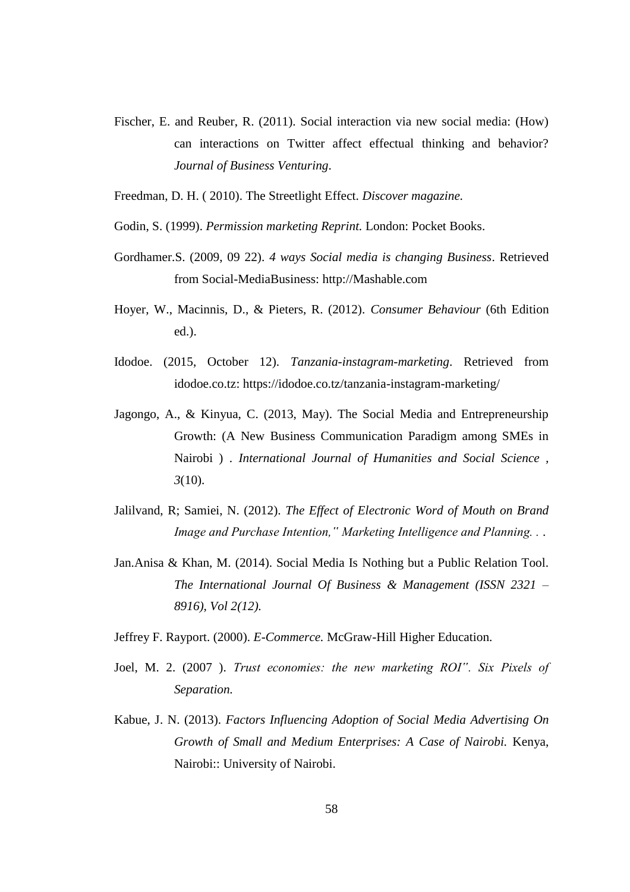- Fischer, E. and Reuber, R. (2011). Social interaction via new social media: (How) can interactions on Twitter affect effectual thinking and behavior? *Journal of Business Venturing*.
- Freedman, D. H. ( 2010). The Streetlight Effect. *Discover magazine.*
- Godin, S. (1999). *Permission marketing Reprint.* London: Pocket Books.
- Gordhamer.S. (2009, 09 22). *4 ways Social media is changing Business*. Retrieved from Social-MediaBusiness: http://Mashable.com
- Hoyer, W., Macinnis, D., & Pieters, R. (2012). *Consumer Behaviour* (6th Edition ed.).
- Idodoe. (2015, October 12). *Tanzania-instagram-marketing*. Retrieved from idodoe.co.tz: https://idodoe.co.tz/tanzania-instagram-marketing/
- Jagongo, A., & Kinyua, C. (2013, May). The Social Media and Entrepreneurship Growth: (A New Business Communication Paradigm among SMEs in Nairobi ) . *International Journal of Humanities and Social Science , 3*(10).
- Jalilvand, R; Samiei, N. (2012). *The Effect of Electronic Word of Mouth on Brand Image and Purchase Intention," Marketing Intelligence and Planning. .* .
- Jan.Anisa & Khan, M. (2014). Social Media Is Nothing but a Public Relation Tool. *The International Journal Of Business & Management (ISSN 2321 – 8916), Vol 2(12).*
- Jeffrey F. Rayport. (2000). *E-Commerce.* McGraw-Hill Higher Education.
- Joel, M. 2. (2007 ). *Trust economies: the new marketing ROI". Six Pixels of Separation.*
- Kabue, J. N. (2013). *Factors Influencing Adoption of Social Media Advertising On Growth of Small and Medium Enterprises: A Case of Nairobi.* Kenya, Nairobi:: University of Nairobi.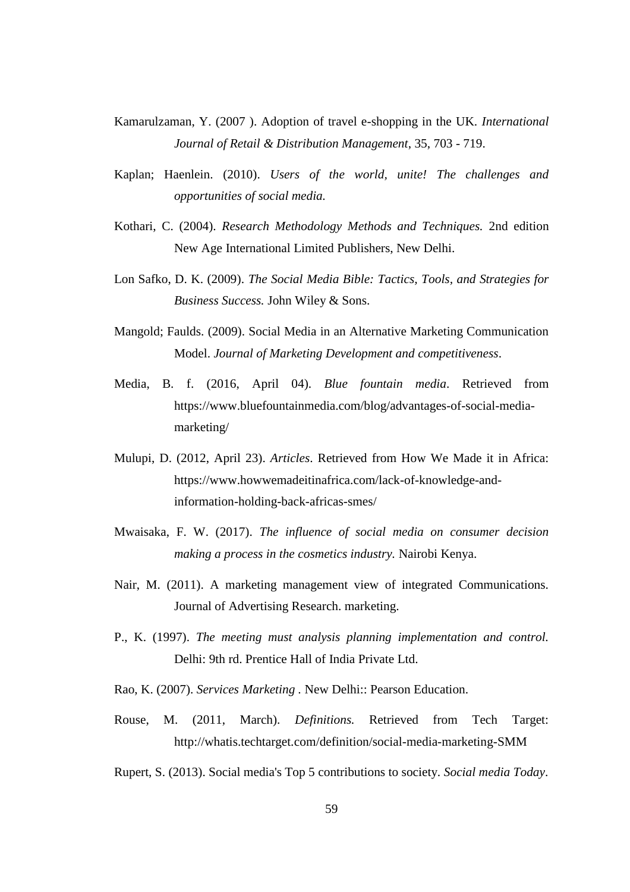- Kamarulzaman, Y. (2007 ). Adoption of travel e-shopping in the UK. *International Journal of Retail & Distribution Management*, 35, 703 - 719.
- Kaplan; Haenlein. (2010). *Users of the world, unite! The challenges and opportunities of social media.*
- Kothari, C. (2004). *Research Methodology Methods and Techniques.* 2nd edition New Age International Limited Publishers, New Delhi.
- Lon Safko, D. K. (2009). *The Social Media Bible: Tactics, Tools, and Strategies for Business Success.* John Wiley & Sons.
- Mangold; Faulds. (2009). Social Media in an Alternative Marketing Communication Model. *Journal of Marketing Development and competitiveness*.
- Media, B. f. (2016, April 04). *Blue fountain media*. Retrieved from https://www.bluefountainmedia.com/blog/advantages-of-social-mediamarketing/
- Mulupi, D. (2012, April 23). *Articles*. Retrieved from How We Made it in Africa: https://www.howwemadeitinafrica.com/lack-of-knowledge-andinformation-holding-back-africas-smes/
- Mwaisaka, F. W. (2017). *The influence of social media on consumer decision making a process in the cosmetics industry.* Nairobi Kenya.
- Nair, M. (2011). A marketing management view of integrated Communications. Journal of Advertising Research. marketing.
- P., K. (1997). *The meeting must analysis planning implementation and control.* Delhi: 9th rd. Prentice Hall of India Private Ltd.
- Rao, K. (2007). *Services Marketing .* New Delhi:: Pearson Education.
- Rouse, M. (2011, March). *Definitions.* Retrieved from Tech Target: http://whatis.techtarget.com/definition/social-media-marketing-SMM
- Rupert, S. (2013). Social media's Top 5 contributions to society. *Social media Today*.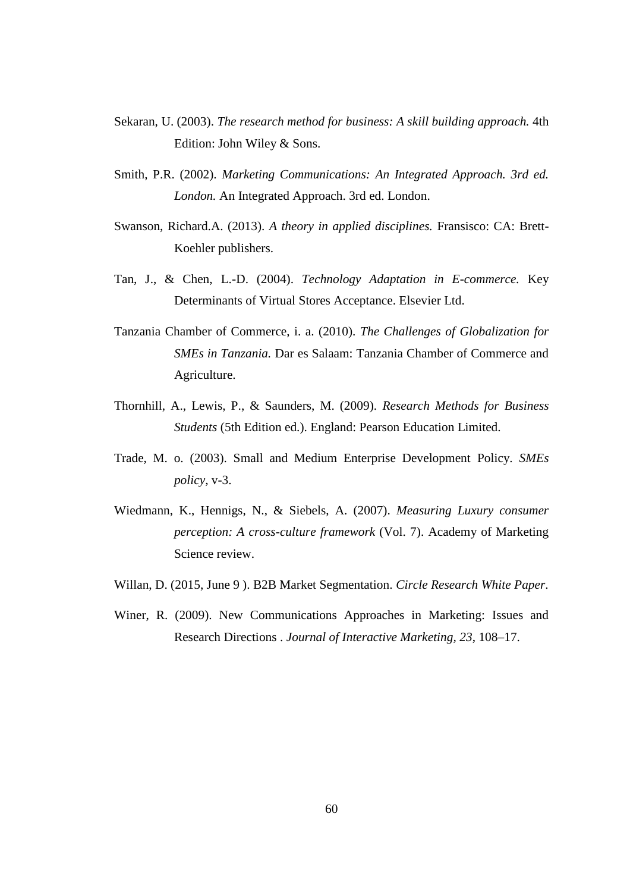- Sekaran, U. (2003). *The research method for business: A skill building approach.* 4th Edition: John Wiley & Sons.
- Smith, P.R. (2002). *Marketing Communications: An Integrated Approach. 3rd ed. London.* An Integrated Approach. 3rd ed. London.
- Swanson, Richard.A. (2013). *A theory in applied disciplines.* Fransisco: CA: Brett-Koehler publishers.
- Tan, J., & Chen, L.-D. (2004). *Technology Adaptation in E-commerce.* Key Determinants of Virtual Stores Acceptance. Elsevier Ltd.
- Tanzania Chamber of Commerce, i. a. (2010). *The Challenges of Globalization for SMEs in Tanzania.* Dar es Salaam: Tanzania Chamber of Commerce and Agriculture.
- Thornhill, A., Lewis, P., & Saunders, M. (2009). *Research Methods for Business Students* (5th Edition ed.). England: Pearson Education Limited.
- Trade, M. o. (2003). Small and Medium Enterprise Development Policy. *SMEs policy*, v-3.
- Wiedmann, K., Hennigs, N., & Siebels, A. (2007). *Measuring Luxury consumer perception: A cross-culture framework* (Vol. 7). Academy of Marketing Science review.
- Willan, D. (2015, June 9 ). B2B Market Segmentation. *Circle Research White Paper*.
- Winer, R. (2009). New Communications Approaches in Marketing: Issues and Research Directions . *Journal of Interactive Marketing, 23*, 108–17.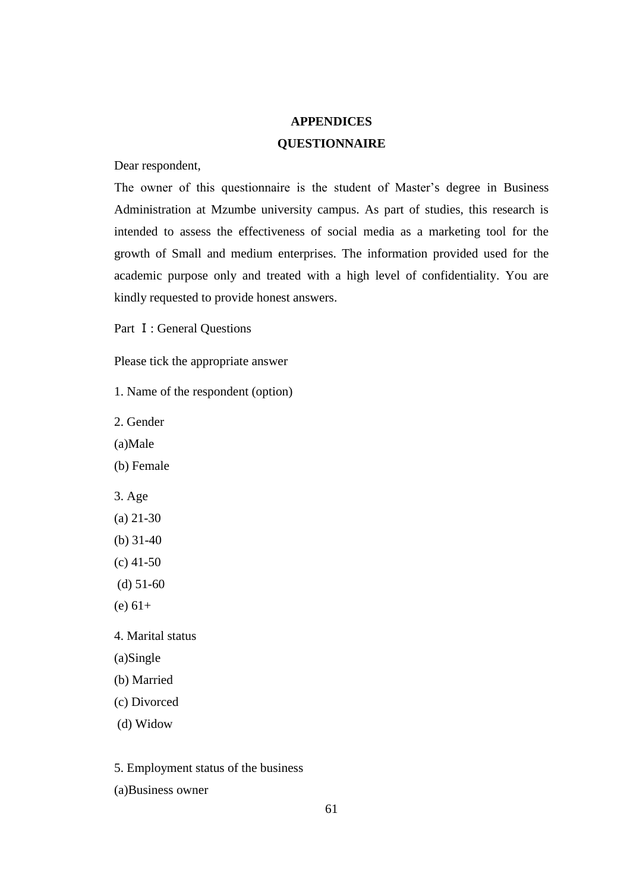## **APPENDICES QUESTIONNAIRE**

Dear respondent,

The owner of this questionnaire is the student of Master's degree in Business Administration at Mzumbe university campus. As part of studies, this research is intended to assess the effectiveness of social media as a marketing tool for the growth of Small and medium enterprises. The information provided used for the academic purpose only and treated with a high level of confidentiality. You are kindly requested to provide honest answers.

Part Ⅰ: General Questions

Please tick the appropriate answer

1. Name of the respondent (option)

2. Gender

(a)Male

(b) Female

- 3. Age
- (a) 21-30
- (b) 31-40
- (c) 41-50
- (d) 51-60
- $(e) 61+$

4. Marital status

(a)Single

(b) Married

(c) Divorced

(d) Widow

5. Employment status of the business

(a)Business owner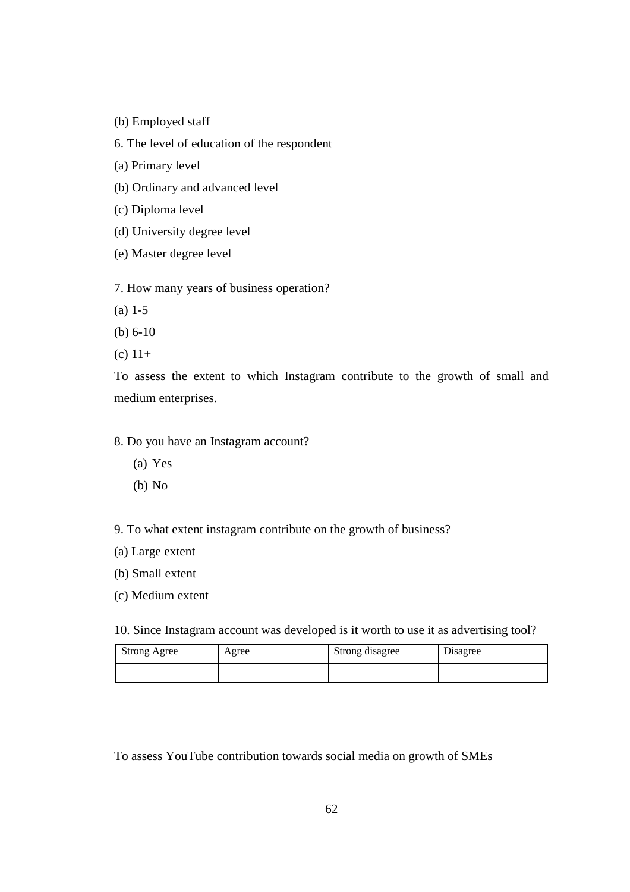- (b) Employed staff
- 6. The level of education of the respondent
- (a) Primary level
- (b) Ordinary and advanced level
- (c) Diploma level
- (d) University degree level
- (e) Master degree level

7. How many years of business operation?

- (a) 1-5
- (b) 6-10
- (c)  $11+$

To assess the extent to which Instagram contribute to the growth of small and medium enterprises.

## 8. Do you have an Instagram account?

- (a) Yes
- (b) No

9. To what extent instagram contribute on the growth of business?

- (a) Large extent
- (b) Small extent
- (c) Medium extent

10. Since Instagram account was developed is it worth to use it as advertising tool?

| <b>Strong Agree</b> | Agree | Strong disagree | Disagree |
|---------------------|-------|-----------------|----------|
|                     |       |                 |          |

To assess YouTube contribution towards social media on growth of SMEs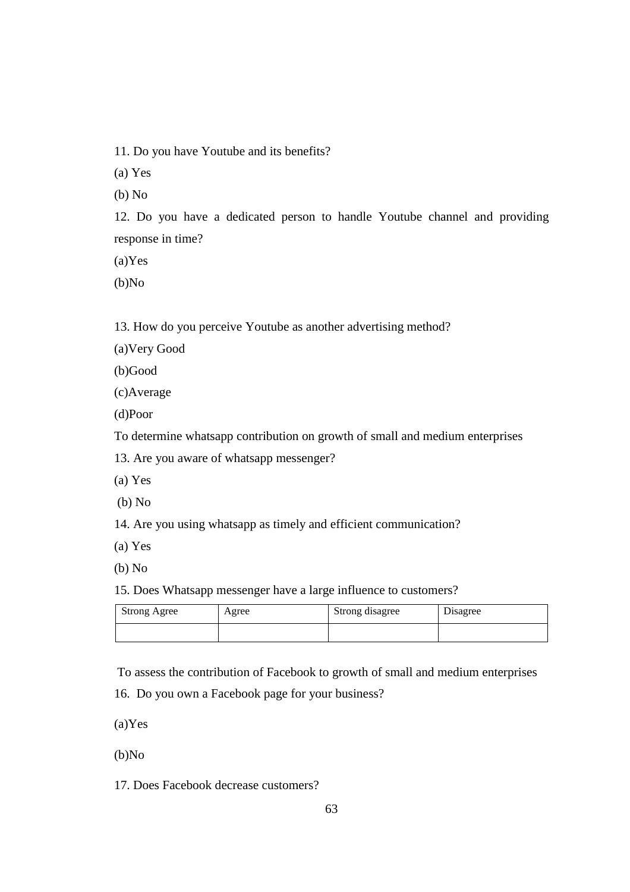11. Do you have Youtube and its benefits?

(a) Yes

(b) No

12. Do you have a dedicated person to handle Youtube channel and providing response in time?

(a)Yes

(b)No

13. How do you perceive Youtube as another advertising method?

(a)Very Good

(b)Good

(c)Average

(d)Poor

To determine whatsapp contribution on growth of small and medium enterprises

13. Are you aware of whatsapp messenger?

(a) Yes

(b) No

14. Are you using whatsapp as timely and efficient communication?

(a) Yes

(b) No

15. Does Whatsapp messenger have a large influence to customers?

| <b>Strong Agree</b> | Agree | Strong disagree | Disagree |
|---------------------|-------|-----------------|----------|
|                     |       |                 |          |

To assess the contribution of Facebook to growth of small and medium enterprises

16. Do you own a Facebook page for your business?

(a)Yes

(b)No

17. Does Facebook decrease customers?